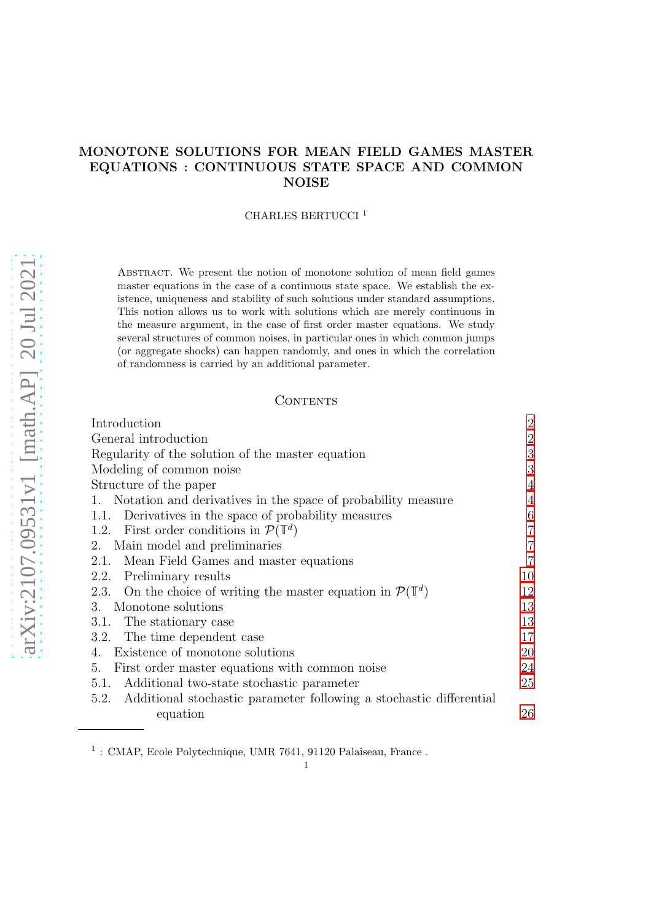# MONOTONE SOLUTIONS FOR MEAN FIELD GAMES MASTER EQUATIONS : CONTINUOUS STATE SPACE AND COMMON NOISE

# CHARLES BERTUCCI <sup>1</sup>

Abstract. We present the notion of monotone solution of mean field games master equations in the case of a continuous state space. We establish the existence, uniqueness and stability of such solutions under standard assumptions. This notion allows us to work with solutions which are merely continuous in the measure argument, in the case of first order master equations. We study several structures of common noises, in particular ones in which common jumps (or aggregate shocks) can happen randomly, and ones in which the correlation of randomness is carried by an additional parameter.

## CONTENTS

| Introduction                                                                     | $\overline{2}$ |
|----------------------------------------------------------------------------------|----------------|
| General introduction                                                             | $\overline{2}$ |
| Regularity of the solution of the master equation                                | 3              |
| Modeling of common noise                                                         | 3              |
| Structure of the paper                                                           | 4              |
| 1. Notation and derivatives in the space of probability measure                  | $\overline{4}$ |
| 1.1. Derivatives in the space of probability measures                            | 6              |
| 1.2. First order conditions in $\mathcal{P}(\mathbb{T}^d)$                       | $\overline{7}$ |
| Main model and preliminaries<br>2.                                               | $\overline{7}$ |
| Mean Field Games and master equations<br>2.1.                                    | $\overline{7}$ |
| Preliminary results<br>2.2.                                                      | 10             |
| 2.3. On the choice of writing the master equation in $\mathcal{P}(\mathbb{T}^d)$ | 12             |
| Monotone solutions<br>3.                                                         | 13             |
| 3.1. The stationary case                                                         | 13             |
| The time dependent case<br>3.2.                                                  | 17             |
| 4. Existence of monotone solutions                                               | 20             |
| First order master equations with common noise<br>5.                             | 24             |
| 5.1. Additional two-state stochastic parameter                                   | 25             |
| 5.2. Additional stochastic parameter following a stochastic differential         |                |
| equation                                                                         | 26             |

 $^1$ : CMAP, Ecole Polytechnique, UMR 7641, 91120 Palaiseau, France .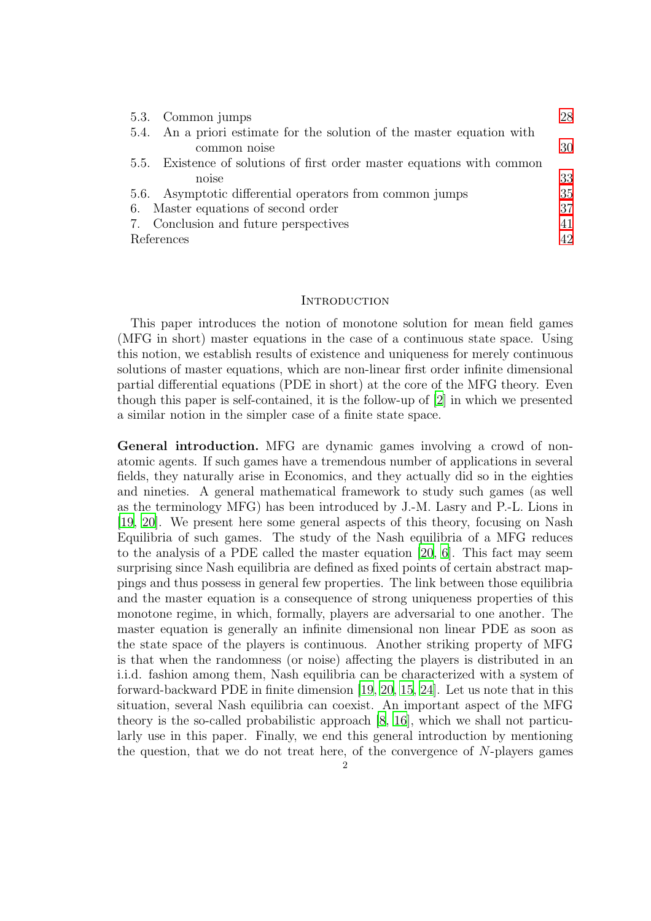| 5.3. Common jumps                                                       | 28 |
|-------------------------------------------------------------------------|----|
| 5.4. An a priori estimate for the solution of the master equation with  |    |
| common noise                                                            | 30 |
| 5.5. Existence of solutions of first order master equations with common |    |
| noise                                                                   | 33 |
| 5.6. Asymptotic differential operators from common jumps                | 35 |
| 6. Master equations of second order                                     | 37 |
| 7. Conclusion and future perspectives                                   | 41 |
| References                                                              | 42 |

#### <span id="page-1-0"></span>**INTRODUCTION**

This paper introduces the notion of monotone solution for mean field games (MFG in short) master equations in the case of a continuous state space. Using this notion, we establish results of existence and uniqueness for merely continuous solutions of master equations, which are non-linear first order infinite dimensional partial differential equations (PDE in short) at the core of the MFG theory. Even though this paper is self-contained, it is the follow-up of [\[2\]](#page-41-1) in which we presented a similar notion in the simpler case of a finite state space.

<span id="page-1-1"></span>General introduction. MFG are dynamic games involving a crowd of nonatomic agents. If such games have a tremendous number of applications in several fields, they naturally arise in Economics, and they actually did so in the eighties and nineties. A general mathematical framework to study such games (as well as the terminology MFG) has been introduced by J.-M. Lasry and P.-L. Lions in [\[19](#page-42-0), [20\]](#page-42-1). We present here some general aspects of this theory, focusing on Nash Equilibria of such games. The study of the Nash equilibria of a MFG reduces to the analysis of a PDE called the master equation [\[20](#page-42-1), [6\]](#page-41-2). This fact may seem surprising since Nash equilibria are defined as fixed points of certain abstract mappings and thus possess in general few properties. The link between those equilibria and the master equation is a consequence of strong uniqueness properties of this monotone regime, in which, formally, players are adversarial to one another. The master equation is generally an infinite dimensional non linear PDE as soon as the state space of the players is continuous. Another striking property of MFG is that when the randomness (or noise) affecting the players is distributed in an i.i.d. fashion among them, Nash equilibria can be characterized with a system of forward-backward PDE in finite dimension [\[19,](#page-42-0) [20,](#page-42-1) [15,](#page-42-2) [24\]](#page-42-3). Let us note that in this situation, several Nash equilibria can coexist. An important aspect of the MFG theory is the so-called probabilistic approach [\[8,](#page-41-3) [16\]](#page-42-4), which we shall not particularly use in this paper. Finally, we end this general introduction by mentioning the question, that we do not treat here, of the convergence of N-players games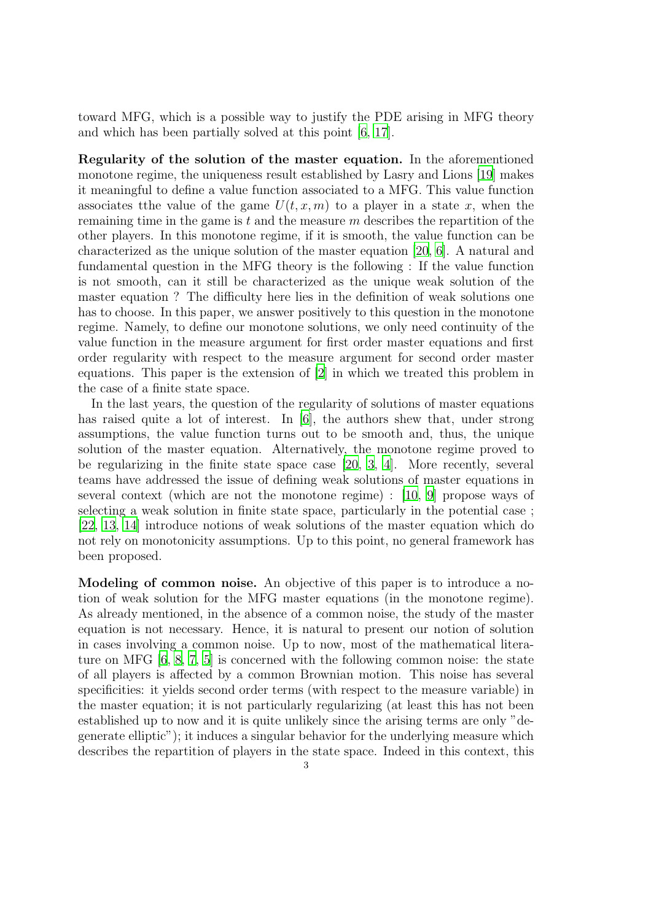toward MFG, which is a possible way to justify the PDE arising in MFG theory and which has been partially solved at this point [\[6](#page-41-2), [17](#page-42-5)].

<span id="page-2-0"></span>Regularity of the solution of the master equation. In the aforementioned monotone regime, the uniqueness result established by Lasry and Lions [\[19](#page-42-0)] makes it meaningful to define a value function associated to a MFG. This value function associates tthe value of the game  $U(t, x, m)$  to a player in a state x, when the remaining time in the game is  $t$  and the measure  $m$  describes the repartition of the other players. In this monotone regime, if it is smooth, the value function can be characterized as the unique solution of the master equation [\[20,](#page-42-1) [6\]](#page-41-2). A natural and fundamental question in the MFG theory is the following : If the value function is not smooth, can it still be characterized as the unique weak solution of the master equation ? The difficulty here lies in the definition of weak solutions one has to choose. In this paper, we answer positively to this question in the monotone regime. Namely, to define our monotone solutions, we only need continuity of the value function in the measure argument for first order master equations and first order regularity with respect to the measure argument for second order master equations. This paper is the extension of [\[2](#page-41-1)] in which we treated this problem in the case of a finite state space.

In the last years, the question of the regularity of solutions of master equations has raised quite a lot of interest. In [\[6\]](#page-41-2), the authors shew that, under strong assumptions, the value function turns out to be smooth and, thus, the unique solution of the master equation. Alternatively, the monotone regime proved to be regularizing in the finite state space case [\[20](#page-42-1), [3,](#page-41-4) [4\]](#page-41-5). More recently, several teams have addressed the issue of defining weak solutions of master equations in several context (which are not the monotone regime) : [\[10,](#page-41-6) [9](#page-41-7)] propose ways of selecting a weak solution in finite state space, particularly in the potential case ; [\[22](#page-42-6), [13,](#page-42-7) [14](#page-42-8)] introduce notions of weak solutions of the master equation which do not rely on monotonicity assumptions. Up to this point, no general framework has been proposed.

<span id="page-2-1"></span>Modeling of common noise. An objective of this paper is to introduce a notion of weak solution for the MFG master equations (in the monotone regime). As already mentioned, in the absence of a common noise, the study of the master equation is not necessary. Hence, it is natural to present our notion of solution in cases involving a common noise. Up to now, most of the mathematical literature on MFG [\[6,](#page-41-2) [8,](#page-41-3) [7,](#page-41-8) [5\]](#page-41-9) is concerned with the following common noise: the state of all players is affected by a common Brownian motion. This noise has several specificities: it yields second order terms (with respect to the measure variable) in the master equation; it is not particularly regularizing (at least this has not been established up to now and it is quite unlikely since the arising terms are only "degenerate elliptic"); it induces a singular behavior for the underlying measure which describes the repartition of players in the state space. Indeed in this context, this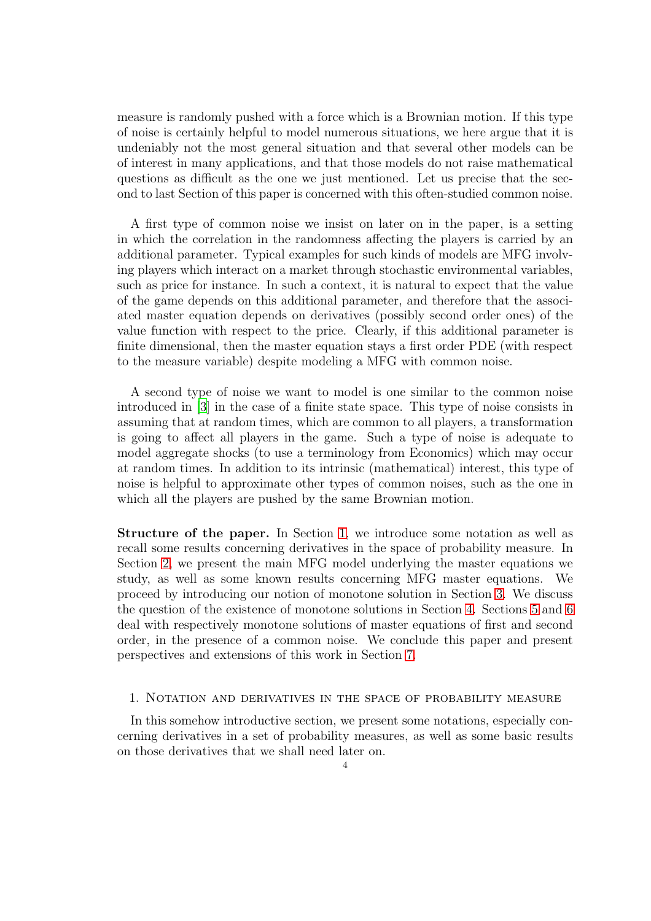measure is randomly pushed with a force which is a Brownian motion. If this type of noise is certainly helpful to model numerous situations, we here argue that it is undeniably not the most general situation and that several other models can be of interest in many applications, and that those models do not raise mathematical questions as difficult as the one we just mentioned. Let us precise that the second to last Section of this paper is concerned with this often-studied common noise.

A first type of common noise we insist on later on in the paper, is a setting in which the correlation in the randomness affecting the players is carried by an additional parameter. Typical examples for such kinds of models are MFG involving players which interact on a market through stochastic environmental variables, such as price for instance. In such a context, it is natural to expect that the value of the game depends on this additional parameter, and therefore that the associated master equation depends on derivatives (possibly second order ones) of the value function with respect to the price. Clearly, if this additional parameter is finite dimensional, then the master equation stays a first order PDE (with respect to the measure variable) despite modeling a MFG with common noise.

A second type of noise we want to model is one similar to the common noise introduced in [\[3\]](#page-41-4) in the case of a finite state space. This type of noise consists in assuming that at random times, which are common to all players, a transformation is going to affect all players in the game. Such a type of noise is adequate to model aggregate shocks (to use a terminology from Economics) which may occur at random times. In addition to its intrinsic (mathematical) interest, this type of noise is helpful to approximate other types of common noises, such as the one in which all the players are pushed by the same Brownian motion.

<span id="page-3-0"></span>Structure of the paper. In Section [1,](#page-3-1) we introduce some notation as well as recall some results concerning derivatives in the space of probability measure. In Section [2,](#page-6-1) we present the main MFG model underlying the master equations we study, as well as some known results concerning MFG master equations. We proceed by introducing our notion of monotone solution in Section [3.](#page-12-0) We discuss the question of the existence of monotone solutions in Section [4.](#page-19-0) Sections [5](#page-23-0) and [6](#page-36-0) deal with respectively monotone solutions of master equations of first and second order, in the presence of a common noise. We conclude this paper and present perspectives and extensions of this work in Section [7.](#page-40-0)

# <span id="page-3-1"></span>1. Notation and derivatives in the space of probability measure

In this somehow introductive section, we present some notations, especially concerning derivatives in a set of probability measures, as well as some basic results on those derivatives that we shall need later on.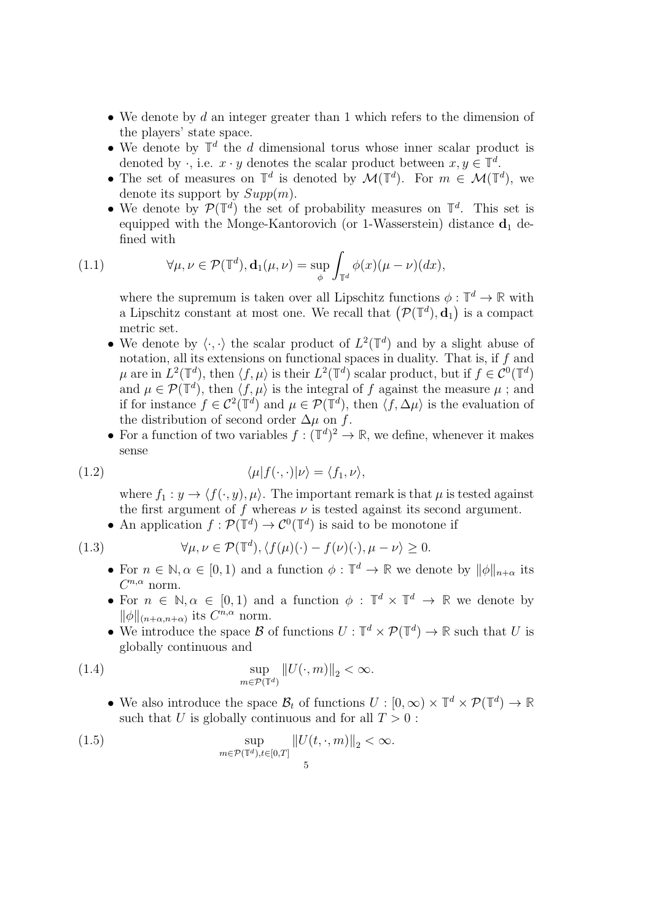- We denote by  $d$  an integer greater than 1 which refers to the dimension of the players' state space.
- We denote by  $\mathbb{T}^d$  the d dimensional torus whose inner scalar product is denoted by  $\cdot$ , i.e.  $x \cdot y$  denotes the scalar product between  $x, y \in \mathbb{T}^d$ .
- The set of measures on  $\mathbb{T}^d$  is denoted by  $\mathcal{M}(\mathbb{T}^d)$ . For  $m \in \mathcal{M}(\mathbb{T}^d)$ , we denote its support by  $Supp(m)$ .
- We denote by  $\mathcal{P}(\mathbb{T}^d)$  the set of probability measures on  $\mathbb{T}^d$ . This set is equipped with the Monge-Kantorovich (or 1-Wasserstein) distance  $\mathbf{d}_1$  defined with

(1.1) 
$$
\forall \mu, \nu \in \mathcal{P}(\mathbb{T}^d), \mathbf{d}_1(\mu, \nu) = \sup_{\phi} \int_{\mathbb{T}^d} \phi(x) (\mu - \nu)(dx),
$$

where the supremum is taken over all Lipschitz functions  $\phi: \mathbb{T}^d \to \mathbb{R}$  with a Lipschitz constant at most one. We recall that  $(\mathcal{P}(\mathbb{T}^d), \mathbf{d}_1)$  is a compact metric set.

- We denote by  $\langle \cdot, \cdot \rangle$  the scalar product of  $L^2(\mathbb{T}^d)$  and by a slight abuse of notation, all its extensions on functional spaces in duality. That is, if f and  $\mu$  are in  $L^2(\mathbb{T}^d)$ , then  $\langle f, \mu \rangle$  is their  $L^2(\mathbb{T}^d)$  scalar product, but if  $f \in C^0(\mathbb{T}^d)$ and  $\mu \in \mathcal{P}(\mathbb{T}^d)$ , then  $\langle f, \mu \rangle$  is the integral of f against the measure  $\mu$ ; and if for instance  $f \in C^2(\mathbb{T}^d)$  and  $\mu \in \mathcal{P}(\mathbb{T}^d)$ , then  $\langle f, \Delta \mu \rangle$  is the evaluation of the distribution of second order  $\Delta \mu$  on f.
- For a function of two variables  $f : (\mathbb{T}^d)^2 \to \mathbb{R}$ , we define, whenever it makes sense

(1.2) 
$$
\langle \mu | f(\cdot, \cdot) | \nu \rangle = \langle f_1, \nu \rangle,
$$

where  $f_1 : y \to \langle f(\cdot, y), \mu \rangle$ . The important remark is that  $\mu$  is tested against the first argument of f whereas  $\nu$  is tested against its second argument.

• An application  $f: \mathcal{P}(\mathbb{T}^d) \to \mathcal{C}^0(\mathbb{T}^d)$  is said to be monotone if

(1.3) 
$$
\forall \mu, \nu \in \mathcal{P}(\mathbb{T}^d), \langle f(\mu)(\cdot) - f(\nu)(\cdot), \mu - \nu \rangle \ge 0.
$$

- For  $n \in \mathbb{N}, \alpha \in [0, 1)$  and a function  $\phi : \mathbb{T}^d \to \mathbb{R}$  we denote by  $\|\phi\|_{n+\alpha}$  its  $C^{n,\alpha}$  norm.
- For  $n \in \mathbb{N}, \alpha \in [0, 1)$  and a function  $\phi : \mathbb{T}^d \times \mathbb{T}^d \to \mathbb{R}$  we denote by  $\|\phi\|_{(n+\alpha,n+\alpha)}$  its  $C^{n,\alpha}$  norm.
- We introduce the space  $\mathcal{B}$  of functions  $U : \mathbb{T}^d \times \mathcal{P}(\mathbb{T}^d) \to \mathbb{R}$  such that U is globally continuous and

(1.4) 
$$
\sup_{m \in \mathcal{P}(\mathbb{T}^d)} ||U(\cdot, m)||_2 < \infty.
$$

• We also introduce the space  $\mathcal{B}_t$  of functions  $U : [0, \infty) \times \mathbb{T}^d \times \mathcal{P}(\mathbb{T}^d) \to \mathbb{R}$ such that U is globally continuous and for all  $T > 0$ :

(1.5) 
$$
\sup_{m \in \mathcal{P}(\mathbb{T}^d), t \in [0,T]} \|U(t,\cdot,m)\|_2 < \infty.
$$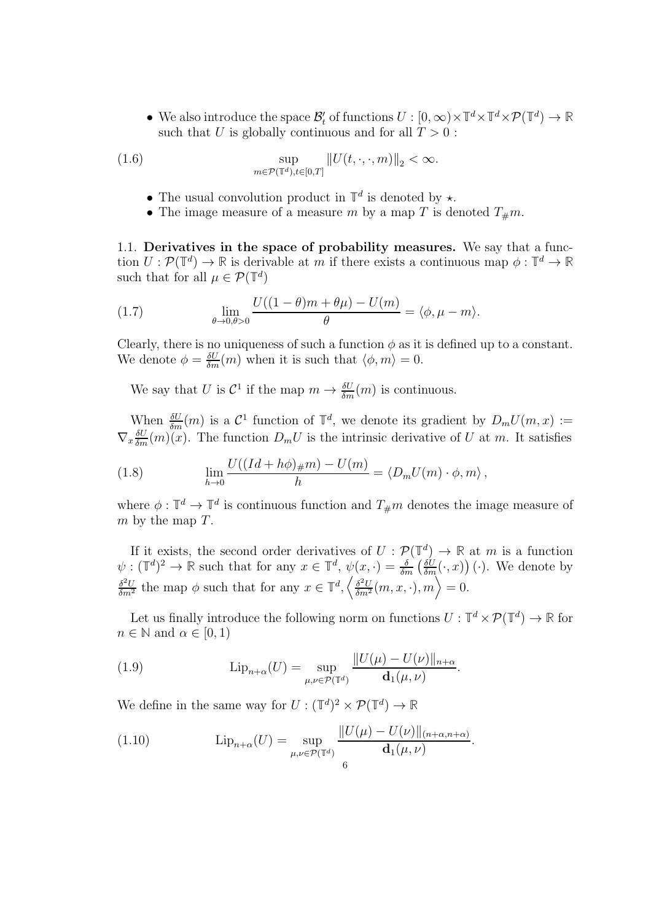• We also introduce the space  $\mathcal{B}'_t$  of functions  $U : [0, \infty) \times \mathbb{T}^d \times \mathbb{T}^d \times \mathcal{P}(\mathbb{T}^d) \to \mathbb{R}$ such that U is globally continuous and for all  $T > 0$ :

(1.6) 
$$
\sup_{m \in \mathcal{P}(\mathbb{T}^d), t \in [0,T]} ||U(t,\cdot,\cdot,m)||_2 < \infty.
$$

- The usual convolution product in  $\mathbb{T}^d$  is denoted by  $\star$ .
- The image measure of a measure m by a map T is denoted  $T_{\#}m$ .

<span id="page-5-0"></span>1.1. Derivatives in the space of probability measures. We say that a function  $U: \mathcal{P}(\mathbb{T}^d) \to \mathbb{R}$  is derivable at m if there exists a continuous map  $\phi: \mathbb{T}^d \to \mathbb{R}$ such that for all  $\mu \in \mathcal{P}(\mathbb{T}^d)$ 

<span id="page-5-1"></span>(1.7) 
$$
\lim_{\theta \to 0, \theta > 0} \frac{U((1 - \theta)m + \theta\mu) - U(m)}{\theta} = \langle \phi, \mu - m \rangle.
$$

Clearly, there is no uniqueness of such a function  $\phi$  as it is defined up to a constant. We denote  $\phi = \frac{\delta U}{\delta m}(m)$  when it is such that  $\langle \phi, m \rangle = 0$ .

We say that U is  $\mathcal{C}^1$  if the map  $m \to \frac{\delta U}{\delta m}(m)$  is continuous.

When  $\frac{\delta U}{\delta m}(m)$  is a  $\mathcal{C}^1$  function of  $\mathbb{T}^d$ , we denote its gradient by  $D_m U(m, x) :=$  $\nabla_x \frac{\delta U}{\delta m}(m)(x)$ . The function  $D_m U$  is the intrinsic derivative of U at m. It satisfies

<span id="page-5-2"></span>(1.8) 
$$
\lim_{h \to 0} \frac{U((Id + h\phi)_{\#}m) - U(m)}{h} = \langle D_m U(m) \cdot \phi, m \rangle,
$$

where  $\phi: \mathbb{T}^d \to \mathbb{T}^d$  is continuous function and  $T_{\#}m$  denotes the image measure of  $m$  by the map  $T$ .

If it exists, the second order derivatives of  $U : \mathcal{P}(\mathbb{T}^d) \to \mathbb{R}$  at m is a function  $\psi: (\mathbb{T}^d)^2 \to \mathbb{R}$  such that for any  $x \in \mathbb{T}^d$ ,  $\psi(x, \cdot) = \frac{\delta}{\delta m} \left( \frac{\delta U}{\delta m}(\cdot, x) \right) (\cdot)$ . We denote by  $\frac{\delta^2 U}{\delta m^2}$  the map  $\phi$  such that for any  $x \in \mathbb{T}^d$ ,  $\left\langle \frac{\delta^2 U}{\delta m^2}(m, x, \cdot), m \right\rangle = 0$ .

Let us finally introduce the following norm on functions  $U : \mathbb{T}^d \times \mathcal{P}(\mathbb{T}^d) \to \mathbb{R}$  for  $n \in \mathbb{N}$  and  $\alpha \in [0, 1)$ 

(1.9) 
$$
\mathrm{Lip}_{n+\alpha}(U) = \sup_{\mu,\nu \in \mathcal{P}(\mathbb{T}^d)} \frac{\|U(\mu) - U(\nu)\|_{n+\alpha}}{\mathbf{d}_1(\mu,\nu)}.
$$

We define in the same way for  $U : (\mathbb{T}^d)^2 \times \mathcal{P}(\mathbb{T}^d) \to \mathbb{R}$ 

(1.10) 
$$
\mathrm{Lip}_{n+\alpha}(U) = \sup_{\mu,\nu \in \mathcal{P}(\mathbb{T}^d)} \frac{\|U(\mu) - U(\nu)\|_{(n+\alpha,n+\alpha)}}{\mathbf{d}_1(\mu,\nu)}.
$$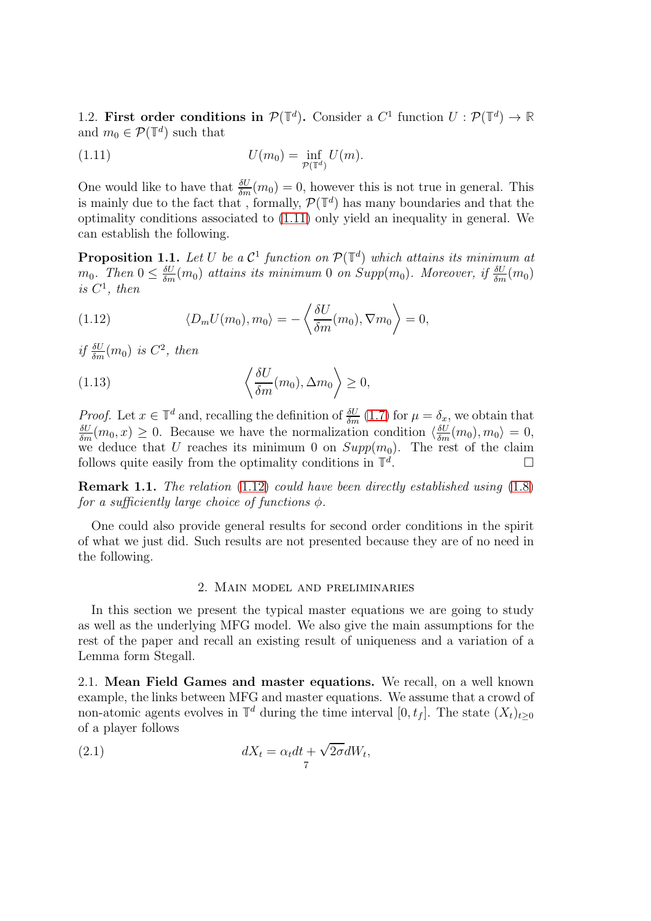<span id="page-6-0"></span>1.2. First order conditions in  $\mathcal{P}(\mathbb{T}^d)$ . Consider a  $C^1$  function  $U: \mathcal{P}(\mathbb{T}^d) \to \mathbb{R}$ and  $m_0 \in \mathcal{P}(\mathbb{T}^d)$  such that

<span id="page-6-3"></span>
$$
U(m_0) = \inf_{\mathcal{P}(\mathbb{T}^d)} U(m).
$$

One would like to have that  $\frac{\delta U}{\delta m}(m_0) = 0$ , however this is not true in general. This is mainly due to the fact that, formally,  $\mathcal{P}(\mathbb{T}^d)$  has many boundaries and that the optimality conditions associated to [\(1.11\)](#page-6-3) only yield an inequality in general. We can establish the following.

<span id="page-6-5"></span>**Proposition 1.1.** Let U be a  $\mathcal{C}^1$  function on  $\mathcal{P}(\mathbb{T}^d)$  which attains its minimum at  $m_0$ . Then  $0 \leq \frac{\delta U}{\delta m}(m_0)$  attains its minimum 0 on Supp $(m_0)$ . Moreover, if  $\frac{\delta U}{\delta m}(m_0)$ is  $C^1$ , then

<span id="page-6-4"></span>(1.12) 
$$
\langle D_m U(m_0), m_0 \rangle = -\left\langle \frac{\delta U}{\delta m}(m_0), \nabla m_0 \right\rangle = 0,
$$

if  $\frac{\delta U}{\delta m}(m_0)$  is  $C^2$ , then

(1.13) 
$$
\left\langle \frac{\delta U}{\delta m}(m_0), \Delta m_0 \right\rangle \ge 0,
$$

Proof. Let  $x \in \mathbb{T}^d$  and, recalling the definition of  $\frac{\delta U}{\delta m}(1.7)$  $\frac{\delta U}{\delta m}(1.7)$  for  $\mu = \delta_x$ , we obtain that  $\frac{\delta U}{\delta m}(m_0, x) \geq 0$ . Because we have the normalization condition  $\langle \frac{\delta U}{\delta m}(m_0), m_0 \rangle = 0$ , we deduce that U reaches its minimum 0 on  $Supp(m_0)$ . The rest of the claim follows quite easily from the optimality conditions in  $\mathbb{T}^d$ .<br>.<br>.

Remark 1.1. The relation [\(1.12\)](#page-6-4) could have been directly established using [\(1.8\)](#page-5-2) for a sufficiently large choice of functions  $\phi$ .

One could also provide general results for second order conditions in the spirit of what we just did. Such results are not presented because they are of no need in the following.

## 2. Main model and preliminaries

<span id="page-6-1"></span>In this section we present the typical master equations we are going to study as well as the underlying MFG model. We also give the main assumptions for the rest of the paper and recall an existing result of uniqueness and a variation of a Lemma form Stegall.

<span id="page-6-2"></span>2.1. Mean Field Games and master equations. We recall, on a well known example, the links between MFG and master equations. We assume that a crowd of non-atomic agents evolves in  $\mathbb{T}^d$  during the time interval  $[0, t_f]$ . The state  $(X_t)_{t\geq 0}$ of a player follows

(2.1) 
$$
dX_t = \alpha_t dt + \sqrt{2\sigma} dW_t,
$$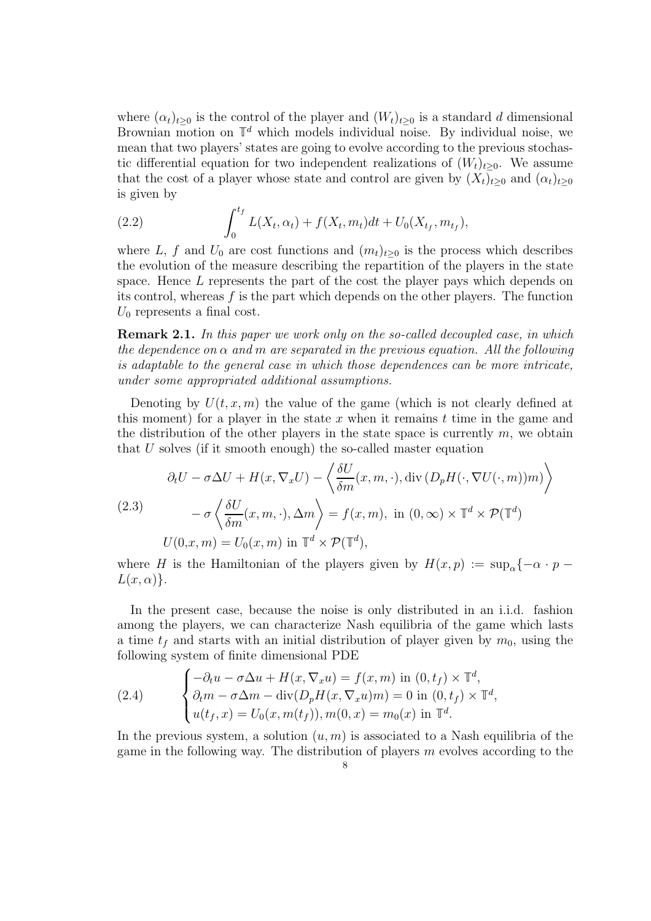where  $(\alpha_t)_{t\geq0}$  is the control of the player and  $(W_t)_{t\geq0}$  is a standard d dimensional Brownian motion on  $\mathbb{T}^d$  which models individual noise. By individual noise, we mean that two players' states are going to evolve according to the previous stochastic differential equation for two independent realizations of  $(W_t)_{t>0}$ . We assume that the cost of a player whose state and control are given by  $(X_t)_{t\geq 0}$  and  $(\alpha_t)_{t\geq 0}$ is given by

(2.2) 
$$
\int_0^{t_f} L(X_t, \alpha_t) + f(X_t, m_t) dt + U_0(X_{t_f}, m_{t_f}),
$$

where L, f and  $U_0$  are cost functions and  $(m_t)_{t>0}$  is the process which describes the evolution of the measure describing the repartition of the players in the state space. Hence L represents the part of the cost the player pays which depends on its control, whereas  $f$  is the part which depends on the other players. The function  $U_0$  represents a final cost.

**Remark 2.1.** In this paper we work only on the so-called decoupled case, in which the dependence on  $\alpha$  and m are separated in the previous equation. All the following is adaptable to the general case in which those dependences can be more intricate, under some appropriated additional assumptions.

Denoting by  $U(t, x, m)$  the value of the game (which is not clearly defined at this moment) for a player in the state x when it remains  $t$  time in the game and the distribution of the other players in the state space is currently  $m$ , we obtain that U solves (if it smooth enough) the so-called master equation

<span id="page-7-1"></span>(2.3)  
\n
$$
\partial_t U - \sigma \Delta U + H(x, \nabla_x U) - \left\langle \frac{\delta U}{\delta m}(x, m, \cdot), \operatorname{div} (D_p H(\cdot, \nabla U(\cdot, m))m) \right\rangle
$$
\n
$$
- \sigma \left\langle \frac{\delta U}{\delta m}(x, m, \cdot), \Delta m \right\rangle = f(x, m), \text{ in } (0, \infty) \times \mathbb{T}^d \times \mathcal{P}(\mathbb{T}^d)
$$
\n
$$
U(0, x, m) = U_0(x, m) \text{ in } \mathbb{T}^d \times \mathcal{P}(\mathbb{T}^d),
$$

where H is the Hamiltonian of the players given by  $H(x, p) := \sup_{\alpha} \{-\alpha \cdot p L(x, \alpha)$ .

In the present case, because the noise is only distributed in an i.i.d. fashion among the players, we can characterize Nash equilibria of the game which lasts a time  $t_f$  and starts with an initial distribution of player given by  $m_0$ , using the following system of finite dimensional PDE

<span id="page-7-0"></span>(2.4) 
$$
\begin{cases}\n-\partial_t u - \sigma \Delta u + H(x, \nabla_x u) = f(x, m) \text{ in } (0, t_f) \times \mathbb{T}^d, \\
\partial_t m - \sigma \Delta m - \text{div}(D_p H(x, \nabla_x u) m) = 0 \text{ in } (0, t_f) \times \mathbb{T}^d, \\
u(t_f, x) = U_0(x, m(t_f)), m(0, x) = m_0(x) \text{ in } \mathbb{T}^d.\n\end{cases}
$$

In the previous system, a solution  $(u, m)$  is associated to a Nash equilibria of the game in the following way. The distribution of players  $m$  evolves according to the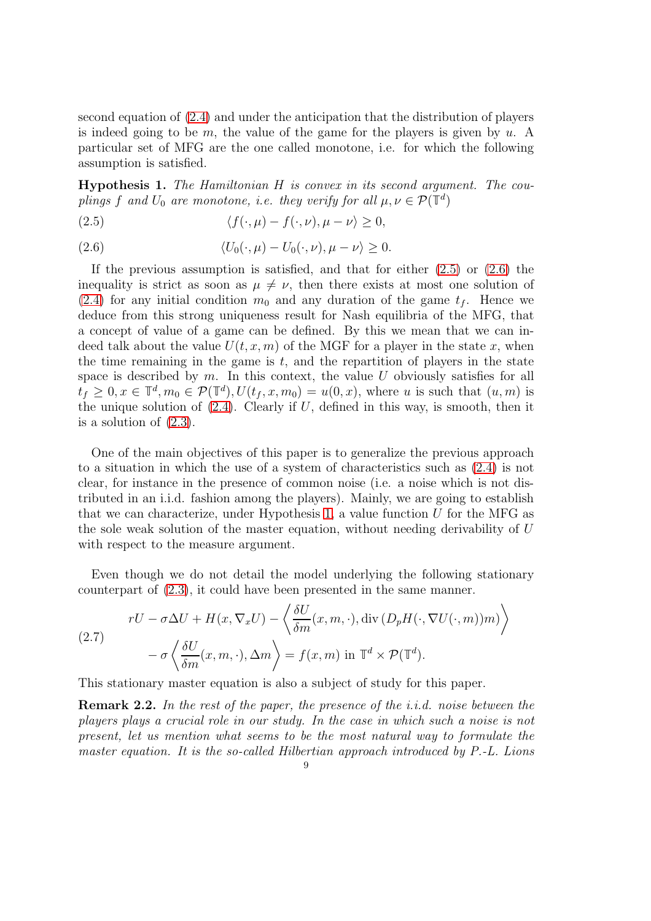second equation of [\(2.4\)](#page-7-0) and under the anticipation that the distribution of players is indeed going to be m, the value of the game for the players is given by  $u$ . A particular set of MFG are the one called monotone, i.e. for which the following assumption is satisfied.

<span id="page-8-2"></span>Hypothesis 1. The Hamiltonian H is convex in its second argument. The couplings f and  $U_0$  are monotone, i.e. they verify for all  $\mu, \nu \in \mathcal{P}(\mathbb{T}^d)$ 

<span id="page-8-0"></span>(2.5)  $\langle f(\cdot, \mu) - f(\cdot, \nu), \mu - \nu \rangle > 0,$ 

<span id="page-8-1"></span>(2.6) 
$$
\langle U_0(\cdot,\mu) - U_0(\cdot,\nu), \mu - \nu \rangle \geq 0.
$$

If the previous assumption is satisfied, and that for either  $(2.5)$  or  $(2.6)$  the inequality is strict as soon as  $\mu \neq \nu$ , then there exists at most one solution of [\(2.4\)](#page-7-0) for any initial condition  $m_0$  and any duration of the game  $t_f$ . Hence we deduce from this strong uniqueness result for Nash equilibria of the MFG, that a concept of value of a game can be defined. By this we mean that we can indeed talk about the value  $U(t, x, m)$  of the MGF for a player in the state x, when the time remaining in the game is  $t$ , and the repartition of players in the state space is described by  $m$ . In this context, the value U obviously satisfies for all  $t_f \geq 0, x \in \mathbb{T}^d, m_0 \in \mathcal{P}(\mathbb{T}^d), U(t_f, x, m_0) = u(0, x),$  where u is such that  $(u, m)$  is the unique solution of  $(2.4)$ . Clearly if U, defined in this way, is smooth, then it is a solution of [\(2.3\)](#page-7-1).

One of the main objectives of this paper is to generalize the previous approach to a situation in which the use of a system of characteristics such as [\(2.4\)](#page-7-0) is not clear, for instance in the presence of common noise (i.e. a noise which is not distributed in an i.i.d. fashion among the players). Mainly, we are going to establish that we can characterize, under Hypothesis [1,](#page-8-2) a value function  $U$  for the MFG as the sole weak solution of the master equation, without needing derivability of U with respect to the measure argument.

Even though we do not detail the model underlying the following stationary counterpart of [\(2.3\)](#page-7-1), it could have been presented in the same manner.

<span id="page-8-3"></span>(2.7)  

$$
rU - \sigma \Delta U + H(x, \nabla_x U) - \left\langle \frac{\delta U}{\delta m}(x, m, \cdot), \operatorname{div} (D_p H(\cdot, \nabla U(\cdot, m))m) \right\rangle
$$

$$
- \sigma \left\langle \frac{\delta U}{\delta m}(x, m, \cdot), \Delta m \right\rangle = f(x, m) \text{ in } \mathbb{T}^d \times \mathcal{P}(\mathbb{T}^d).
$$

This stationary master equation is also a subject of study for this paper.

**Remark 2.2.** In the rest of the paper, the presence of the i.i.d. noise between the players plays a crucial role in our study. In the case in which such a noise is not present, let us mention what seems to be the most natural way to formulate the master equation. It is the so-called Hilbertian approach introduced by P.-L. Lions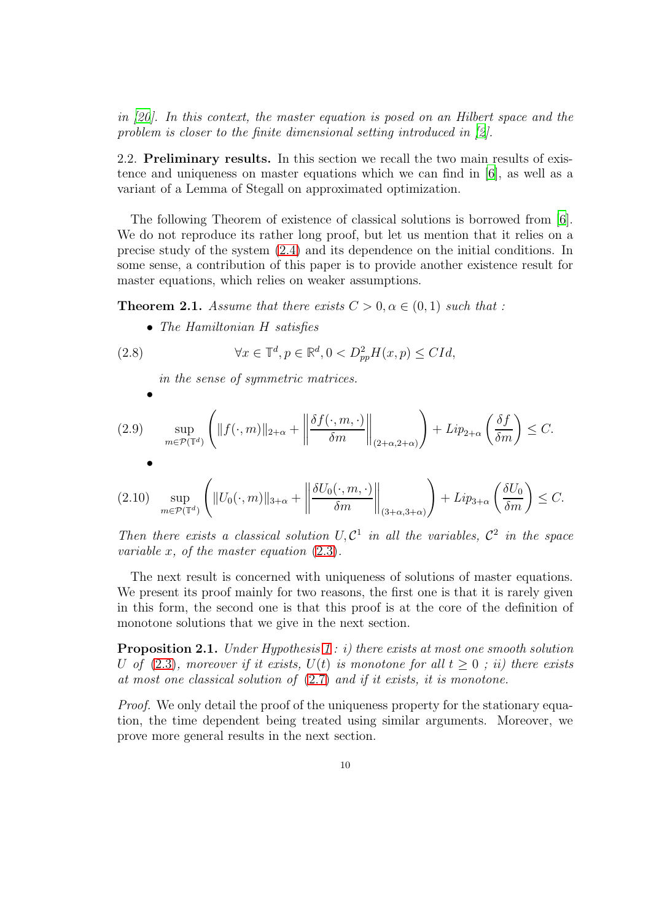in [\[20](#page-42-1)]. In this context, the master equation is posed on an Hilbert space and the problem is closer to the finite dimensional setting introduced in [\[2](#page-41-1)].

<span id="page-9-0"></span>2.2. Preliminary results. In this section we recall the two main results of existence and uniqueness on master equations which we can find in [\[6](#page-41-2)], as well as a variant of a Lemma of Stegall on approximated optimization.

The following Theorem of existence of classical solutions is borrowed from [\[6](#page-41-2)]. We do not reproduce its rather long proof, but let us mention that it relies on a precise study of the system [\(2.4\)](#page-7-0) and its dependence on the initial conditions. In some sense, a contribution of this paper is to provide another existence result for master equations, which relies on weaker assumptions.

<span id="page-9-2"></span>**Theorem 2.1.** Assume that there exists  $C > 0, \alpha \in (0, 1)$  such that :

• The Hamiltonian H satisfies

(2.8) 
$$
\forall x \in \mathbb{T}^d, p \in \mathbb{R}^d, 0 < D_{pp}^2 H(x, p) \leq C Id,
$$

<span id="page-9-3"></span>in the sense of symmetric matrices.

$$
(2.9) \quad \sup_{m \in \mathcal{P}(\mathbb{T}^d)} \left( \|f(\cdot, m)\|_{2+\alpha} + \left\|\frac{\delta f(\cdot, m, \cdot)}{\delta m}\right\|_{(2+\alpha, 2+\alpha)} \right) + Lip_{2+\alpha} \left(\frac{\delta f}{\delta m}\right) \le C.
$$
\n
$$
(2.10) \quad \sup_{m \in \mathcal{P}(\mathbb{T}^d)} \left( \|U_0(\cdot, m)\|_{3+\alpha} + \left\|\frac{\delta U_0(\cdot, m, \cdot)}{\delta m}\right\|_{(3+\alpha, 3+\alpha)} \right) + Lip_{3+\alpha} \left(\frac{\delta U_0}{\delta m}\right) \le C.
$$

Then there exists a classical solution  $U, C^1$  in all the variables,  $C^2$  in the space variable x, of the master equation  $(2.3)$ .

The next result is concerned with uniqueness of solutions of master equations. We present its proof mainly for two reasons, the first one is that it is rarely given in this form, the second one is that this proof is at the core of the definition of monotone solutions that we give in the next section.

<span id="page-9-1"></span>**Proposition 2.1.** Under Hypothesis [1](#page-8-2): i) there exists at most one smooth solution U of [\(2.3\)](#page-7-1), moreover if it exists,  $U(t)$  is monotone for all  $t > 0$ ; ii) there exists at most one classical solution of [\(2.7\)](#page-8-3) and if it exists, it is monotone.

Proof. We only detail the proof of the uniqueness property for the stationary equation, the time dependent being treated using similar arguments. Moreover, we prove more general results in the next section.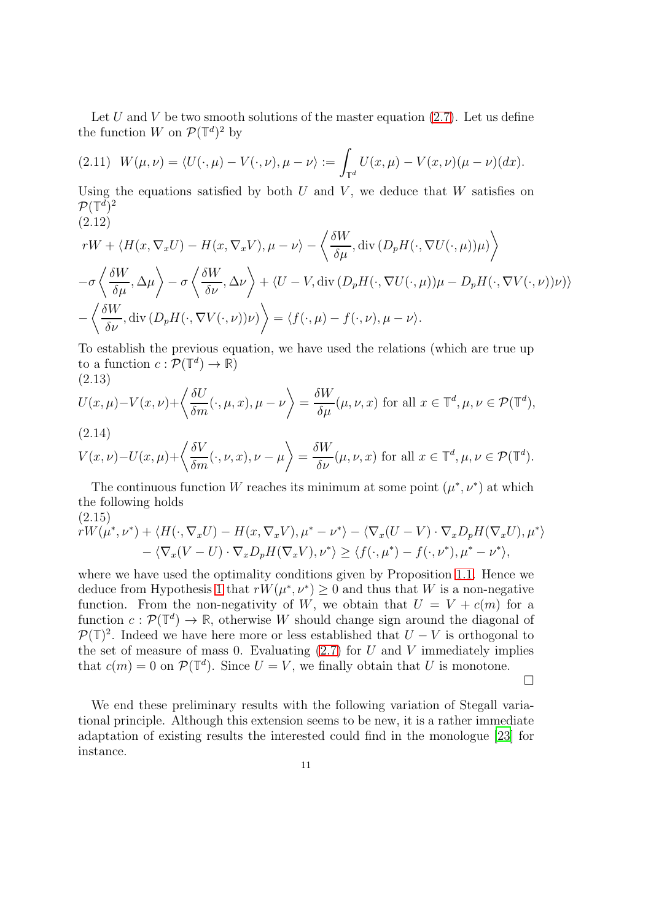Let U and V be two smooth solutions of the master equation  $(2.7)$ . Let us define the function W on  $\mathcal{P}(\mathbb{T}^d)^2$  by

$$
(2.11) \ W(\mu,\nu) = \langle U(\cdot,\mu) - V(\cdot,\nu), \mu - \nu \rangle := \int_{\mathbb{T}^d} U(x,\mu) - V(x,\nu)(\mu - \nu)(dx).
$$

Using the equations satisfied by both  $U$  and  $V$ , we deduce that  $W$  satisfies on  $\mathcal{P}(\mathbb{T}^d)^2$ (2.12)

$$
rW + \langle H(x, \nabla_x U) - H(x, \nabla_x V), \mu - \nu \rangle - \left\langle \frac{\delta W}{\delta \mu}, \text{div} \left( D_p H(\cdot, \nabla U(\cdot, \mu)) \mu \right) \right\rangle
$$
  

$$
-\sigma \left\langle \frac{\delta W}{\delta \mu}, \Delta \mu \right\rangle - \sigma \left\langle \frac{\delta W}{\delta \nu}, \Delta \nu \right\rangle + \langle U - V, \text{div} \left( D_p H(\cdot, \nabla U(\cdot, \mu)) \mu - D_p H(\cdot, \nabla V(\cdot, \nu)) \nu \right) \rangle
$$
  

$$
-\left\langle \frac{\delta W}{\delta \nu}, \text{div} \left( D_p H(\cdot, \nabla V(\cdot, \nu)) \nu \right) \right\rangle = \langle f(\cdot, \mu) - f(\cdot, \nu), \mu - \nu \rangle.
$$

To establish the previous equation, we have used the relations (which are true up to a function  $c: \mathcal{P}(\mathbb{T}^d) \to \mathbb{R}$ (2.13)

<span id="page-10-0"></span>
$$
U(x,\mu)-V(x,\nu)+\left\langle \frac{\delta U}{\delta m}(\cdot,\mu,x),\mu-\nu \right\rangle = \frac{\delta W}{\delta \mu}(\mu,\nu,x) \text{ for all } x \in \mathbb{T}^d, \mu,\nu \in \mathcal{P}(\mathbb{T}^d),
$$

(2.14)

$$
V(x,\nu)-U(x,\mu)+\left\langle \frac{\delta V}{\delta m}(\cdot,\nu,x),\nu-\mu\right\rangle =\frac{\delta W}{\delta\nu}(\mu,\nu,x) \text{ for all } x\in\mathbb{T}^d,\mu,\nu\in\mathcal{P}(\mathbb{T}^d).
$$

The continuous function W reaches its minimum at some point  $(\mu^*, \nu^*)$  at which the following holds (2.15)

$$
rW(\mu^*, \nu^*) + \langle H(\cdot, \nabla_x U) - H(x, \nabla_x V), \mu^* - \nu^* \rangle - \langle \nabla_x (U - V) \cdot \nabla_x D_p H(\nabla_x U), \mu^* \rangle
$$
  
- \langle \nabla\_x (V - U) \cdot \nabla\_x D\_p H(\nabla\_x V), \nu^\* \rangle \ge \langle f(\cdot, \mu^\*) - f(\cdot, \nu^\*), \mu^\* - \nu^\* \rangle,

where we have used the optimality conditions given by Proposition [1.1.](#page-6-5) Hence we deduce from Hypothesis [1](#page-8-2) that  $rW(\mu^*, \nu^*) \geq 0$  and thus that W is a non-negative function. From the non-negativity of W, we obtain that  $U = V + c(m)$  for a function  $c: \mathcal{P}(\mathbb{T}^d) \to \mathbb{R}$ , otherwise W should change sign around the diagonal of  $\mathcal{P}(\mathbb{T})^2$ . Indeed we have here more or less established that  $U - V$  is orthogonal to the set of measure of mass 0. Evaluating  $(2.7)$  for U and V immediately implies that  $c(m) = 0$  on  $\mathcal{P}(\mathbb{T}^d)$ . Since  $U = V$ , we finally obtain that U is monotone.

 $\Box$ 

We end these preliminary results with the following variation of Stegall variational principle. Although this extension seems to be new, it is a rather immediate adaptation of existing results the interested could find in the monologue [\[23](#page-42-9)] for instance.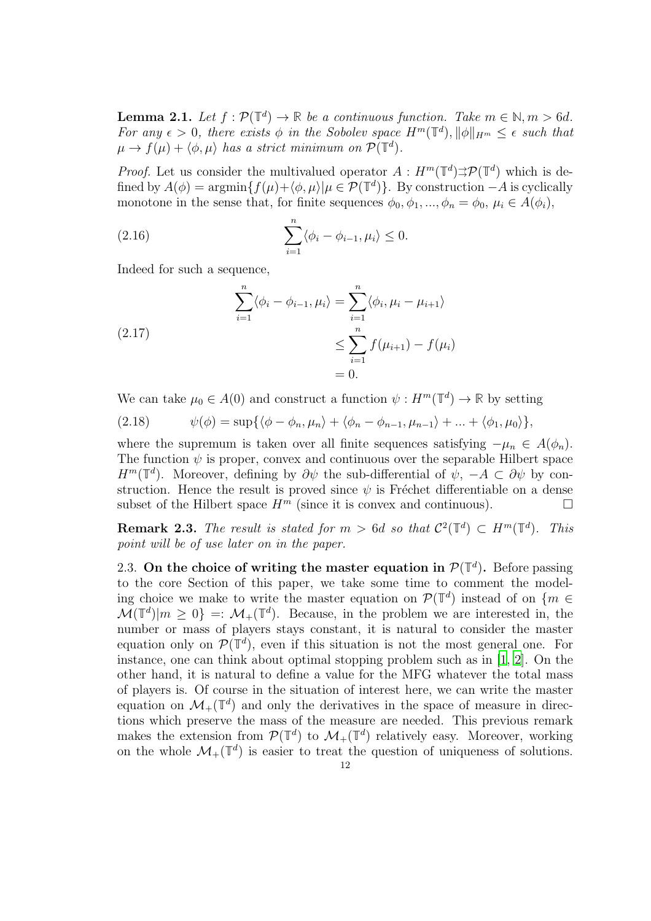<span id="page-11-1"></span>**Lemma 2.1.** Let  $f : \mathcal{P}(\mathbb{T}^d) \to \mathbb{R}$  be a continuous function. Take  $m \in \mathbb{N}, m > 6d$ . For any  $\epsilon > 0$ , there exists  $\phi$  in the Sobolev space  $H^m(\mathbb{T}^d)$ ,  $\|\phi\|_{H^m} \leq \epsilon$  such that  $\mu \to f(\mu) + \langle \phi, \mu \rangle$  has a strict minimum on  $\mathcal{P}(\mathbb{T}^d)$ .

*Proof.* Let us consider the multivalued operator  $A : H^m(\mathbb{T}^d) \to \mathcal{P}(\mathbb{T}^d)$  which is defined by  $A(\phi) = \operatorname{argmin} \{ f(\mu) + \langle \phi, \mu \rangle | \mu \in \mathcal{P}(\mathbb{T}^d) \}.$  By construction  $-A$  is cyclically monotone in the sense that, for finite sequences  $\phi_0, \phi_1, ..., \phi_n = \phi_0, \mu_i \in A(\phi_i)$ ,

(2.16) 
$$
\sum_{i=1}^{n} \langle \phi_i - \phi_{i-1}, \mu_i \rangle \leq 0.
$$

Indeed for such a sequence,

(2.17)  
\n
$$
\sum_{i=1}^{n} \langle \phi_i - \phi_{i-1}, \mu_i \rangle = \sum_{i=1}^{n} \langle \phi_i, \mu_i - \mu_{i+1} \rangle
$$
\n
$$
\leq \sum_{i=1}^{n} f(\mu_{i+1}) - f(\mu_i)
$$
\n
$$
= 0.
$$

We can take  $\mu_0 \in A(0)$  and construct a function  $\psi : H^m(\mathbb{T}^d) \to \mathbb{R}$  by setting

$$
(2.18) \qquad \psi(\phi) = \sup\{\langle \phi - \phi_n, \mu_n \rangle + \langle \phi_n - \phi_{n-1}, \mu_{n-1} \rangle + \ldots + \langle \phi_1, \mu_0 \rangle\},
$$

where the supremum is taken over all finite sequences satisfying  $-\mu_n \in A(\phi_n)$ . The function  $\psi$  is proper, convex and continuous over the separable Hilbert space  $H^m(\mathbb{T}^d)$ . Moreover, defining by  $\partial \psi$  the sub-differential of  $\psi$ ,  $-A \subset \partial \psi$  by construction. Hence the result is proved since  $\psi$  is Fréchet differentiable on a dense subset of the Hilbert space  $H^m$  (since it is convex and continuous).

**Remark 2.3.** The result is stated for  $m > 6d$  so that  $C^2(\mathbb{T}^d) \subset H^m(\mathbb{T}^d)$ . This point will be of use later on in the paper.

<span id="page-11-0"></span>2.3. On the choice of writing the master equation in  $\mathcal{P}(\mathbb{T}^d)$ . Before passing to the core Section of this paper, we take some time to comment the modeling choice we make to write the master equation on  $\mathcal{P}(\mathbb{T}^d)$  instead of on  $\{m \in \mathbb{Z}^d\}$  $\mathcal{M}(\mathbb{T}^d)|m \geq 0$  =:  $\mathcal{M}_+(\mathbb{T}^d)$ . Because, in the problem we are interested in, the number or mass of players stays constant, it is natural to consider the master equation only on  $\mathcal{P}(\mathbb{T}^d)$ , even if this situation is not the most general one. For instance, one can think about optimal stopping problem such as in [\[1](#page-41-10), [2](#page-41-1)]. On the other hand, it is natural to define a value for the MFG whatever the total mass of players is. Of course in the situation of interest here, we can write the master equation on  $\mathcal{M}_{+}(\mathbb{T}^d)$  and only the derivatives in the space of measure in directions which preserve the mass of the measure are needed. This previous remark makes the extension from  $\mathcal{P}(\mathbb{T}^d)$  to  $\mathcal{M}_+(\mathbb{T}^d)$  relatively easy. Moreover, working on the whole  $\mathcal{M}_{+}(\mathbb{T}^d)$  is easier to treat the question of uniqueness of solutions.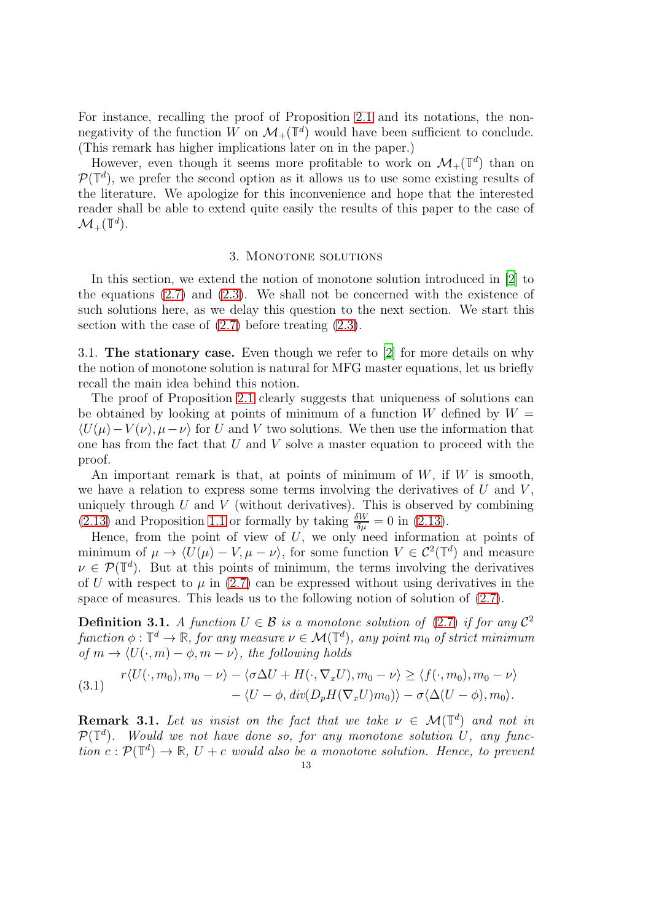For instance, recalling the proof of Proposition [2.1](#page-9-1) and its notations, the nonnegativity of the function W on  $\mathcal{M}_{+}(\mathbb{T}^d)$  would have been sufficient to conclude. (This remark has higher implications later on in the paper.)

However, even though it seems more profitable to work on  $\mathcal{M}_+(\mathbb{T}^d)$  than on  $\mathcal{P}(\mathbb{T}^d)$ , we prefer the second option as it allows us to use some existing results of the literature. We apologize for this inconvenience and hope that the interested reader shall be able to extend quite easily the results of this paper to the case of  $\mathcal{M}_+(\mathbb{T}^d).$ 

#### 3. MONOTONE SOLUTIONS

<span id="page-12-0"></span>In this section, we extend the notion of monotone solution introduced in [\[2](#page-41-1)] to the equations  $(2.7)$  and  $(2.3)$ . We shall not be concerned with the existence of such solutions here, as we delay this question to the next section. We start this section with the case of  $(2.7)$  before treating  $(2.3)$ .

<span id="page-12-1"></span>3.1. The stationary case. Even though we refer to [\[2\]](#page-41-1) for more details on why the notion of monotone solution is natural for MFG master equations, let us briefly recall the main idea behind this notion.

The proof of Proposition [2.1](#page-9-1) clearly suggests that uniqueness of solutions can be obtained by looking at points of minimum of a function W defined by  $W =$  $\langle U(\mu)-V(\nu), \mu-\nu \rangle$  for U and V two solutions. We then use the information that one has from the fact that  $U$  and  $V$  solve a master equation to proceed with the proof.

An important remark is that, at points of minimum of  $W$ , if  $W$  is smooth, we have a relation to express some terms involving the derivatives of  $U$  and  $V$ , uniquely through  $U$  and  $V$  (without derivatives). This is observed by combining [\(2.13\)](#page-10-0) and Proposition [1.1](#page-6-5) or formally by taking  $\frac{\delta W}{\delta \mu} = 0$  in [\(2.13\)](#page-10-0).

Hence, from the point of view of U, we only need information at points of minimum of  $\mu \to \langle U(\mu) - V, \mu - \nu \rangle$ , for some function  $V \in C^2(\mathbb{T}^d)$  and measure  $\nu \in \mathcal{P}(\mathbb{T}^d)$ . But at this points of minimum, the terms involving the derivatives of U with respect to  $\mu$  in [\(2.7\)](#page-8-3) can be expressed without using derivatives in the space of measures. This leads us to the following notion of solution of [\(2.7\)](#page-8-3).

<span id="page-12-2"></span>**Definition 3.1.** A function  $U \in \mathcal{B}$  is a monotone solution of [\(2.7\)](#page-8-3) if for any  $\mathcal{C}^2$  $function \phi : \mathbb{T}^d \to \mathbb{R}$ , for any measure  $\nu \in \mathcal{M}(\mathbb{T}^d)$ , any point  $m_0$  of strict minimum of  $m \to \langle U(\cdot, m) - \phi, m - \nu \rangle$ , the following holds

(3.1) 
$$
r\langle U(\cdot, m_0), m_0 - \nu \rangle - \langle \sigma \Delta U + H(\cdot, \nabla_x U), m_0 - \nu \rangle \ge \langle f(\cdot, m_0), m_0 - \nu \rangle - \langle U - \phi, \operatorname{div}(D_p H(\nabla_x U) m_0) \rangle - \sigma \langle \Delta (U - \phi), m_0 \rangle.
$$

**Remark 3.1.** Let us insist on the fact that we take  $\nu \in \mathcal{M}(\mathbb{T}^d)$  and not in  $\mathcal{P}(\mathbb{T}^d)$ . Would we not have done so, for any monotone solution U, any function  $c: \mathcal{P}(\mathbb{T}^d) \to \mathbb{R}, U + c$  would also be a monotone solution. Hence, to prevent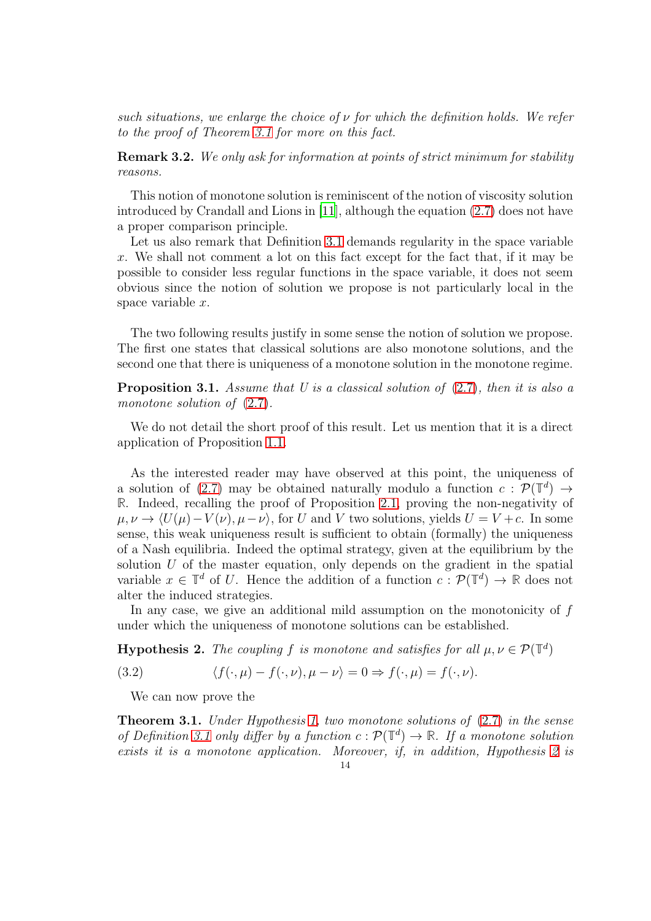such situations, we enlarge the choice of  $\nu$  for which the definition holds. We refer to the proof of Theorem [3.1](#page-13-0) for more on this fact.

**Remark 3.2.** We only ask for information at points of strict minimum for stability reasons.

This notion of monotone solution is reminiscent of the notion of viscosity solution introduced by Crandall and Lions in [\[11](#page-41-11)], although the equation [\(2.7\)](#page-8-3) does not have a proper comparison principle.

Let us also remark that Definition [3.1](#page-12-2) demands regularity in the space variable x. We shall not comment a lot on this fact except for the fact that, if it may be possible to consider less regular functions in the space variable, it does not seem obvious since the notion of solution we propose is not particularly local in the space variable x.

The two following results justify in some sense the notion of solution we propose. The first one states that classical solutions are also monotone solutions, and the second one that there is uniqueness of a monotone solution in the monotone regime.

**Proposition 3.1.** Assume that  $U$  is a classical solution of  $(2.7)$ , then it is also a monotone solution of  $(2.7)$ .

We do not detail the short proof of this result. Let us mention that it is a direct application of Proposition [1.1.](#page-6-5)

As the interested reader may have observed at this point, the uniqueness of a solution of [\(2.7\)](#page-8-3) may be obtained naturally modulo a function  $c : \mathcal{P}(\mathbb{T}^d) \to$ **R**. Indeed, recalling the proof of Proposition [2.1,](#page-9-1) proving the non-negativity of  $\mu, \nu \to \langle U(\mu)-V(\nu), \mu-\nu \rangle$ , for U and V two solutions, yields  $U = V +c$ . In some sense, this weak uniqueness result is sufficient to obtain (formally) the uniqueness of a Nash equilibria. Indeed the optimal strategy, given at the equilibrium by the solution  $U$  of the master equation, only depends on the gradient in the spatial variable  $x \in \mathbb{T}^d$  of U. Hence the addition of a function  $c : \mathcal{P}(\mathbb{T}^d) \to \mathbb{R}$  does not alter the induced strategies.

In any case, we give an additional mild assumption on the monotonicity of  $f$ under which the uniqueness of monotone solutions can be established.

<span id="page-13-1"></span>**Hypothesis 2.** The coupling f is monotone and satisfies for all  $\mu, \nu \in \mathcal{P}(\mathbb{T}^d)$ 

(3.2) 
$$
\langle f(\cdot,\mu)-f(\cdot,\nu),\mu-\nu\rangle=0 \Rightarrow f(\cdot,\mu)=f(\cdot,\nu).
$$

We can now prove the

<span id="page-13-0"></span>**Theorem 3.1.** Under Hypothesis [1,](#page-8-2) two monotone solutions of  $(2.7)$  in the sense of Definition [3.1](#page-12-2) only differ by a function  $c: \mathcal{P}(\mathbb{T}^d) \to \mathbb{R}$ . If a monotone solution exists it is a monotone application. Moreover, if, in addition, Hypothesis [2](#page-13-1) is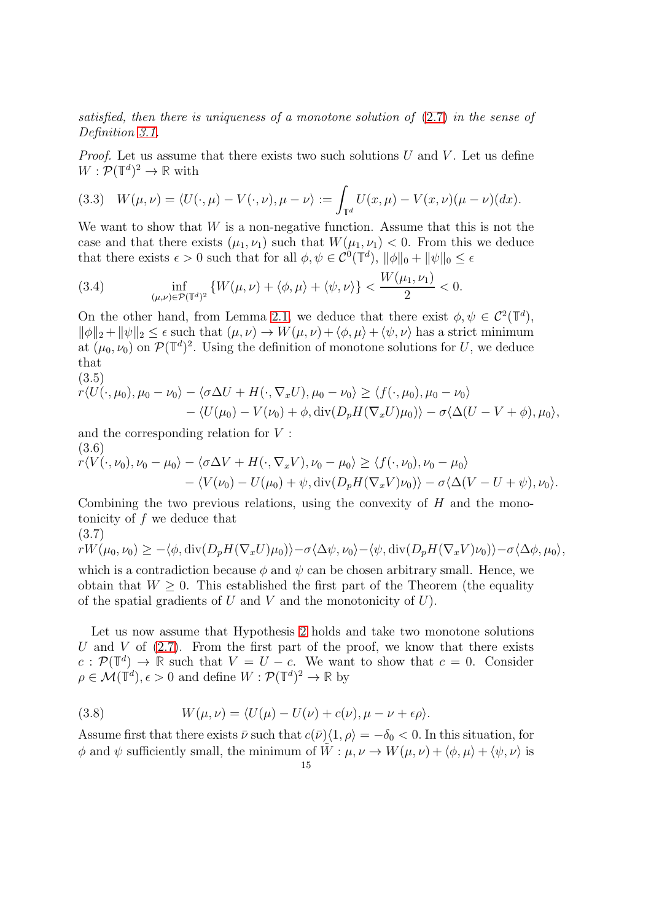satisfied, then there is uniqueness of a monotone solution of [\(2.7\)](#page-8-3) in the sense of Definition [3.1.](#page-12-2)

*Proof.* Let us assume that there exists two such solutions  $U$  and  $V$ . Let us define  $W: \mathcal{P}(\mathbb{T}^d)^2 \to \mathbb{R}$  with

(3.3) 
$$
W(\mu,\nu) = \langle U(\cdot,\mu) - V(\cdot,\nu), \mu - \nu \rangle := \int_{\mathbb{T}^d} U(x,\mu) - V(x,\nu)(\mu - \nu)(dx).
$$

We want to show that  $W$  is a non-negative function. Assume that this is not the case and that there exists  $(\mu_1, \nu_1)$  such that  $W(\mu_1, \nu_1) < 0$ . From this we deduce that there exists  $\epsilon > 0$  such that for all  $\phi, \psi \in \mathcal{C}^0(\mathbb{T}^d)$ ,  $\|\phi\|_0 + \|\psi\|_0 \leq \epsilon$ 

(3.4) 
$$
\inf_{(\mu,\nu)\in\mathcal{P}(\mathbb{T}^d)^2} \{W(\mu,\nu)+\langle \phi,\mu\rangle+\langle \psi,\nu\rangle\} < \frac{W(\mu_1,\nu_1)}{2} < 0.
$$

On the other hand, from Lemma [2.1,](#page-11-1) we deduce that there exist  $\phi, \psi \in C^2(\mathbb{T}^d)$ ,  $\|\phi\|_2 + \|\psi\|_2 \leq \epsilon$  such that  $(\mu, \nu) \to W(\mu, \nu) + \langle \phi, \mu \rangle + \langle \psi, \nu \rangle$  has a strict minimum at  $(\mu_0, \nu_0)$  on  $\mathcal{P}(\mathbb{T}^d)^2$ . Using the definition of monotone solutions for U, we deduce that

(3.5)  
\n
$$
r\langle U(\cdot,\mu_0),\mu_0-\nu_0\rangle-\langle\sigma\Delta U+H(\cdot,\nabla_x U),\mu_0-\nu_0\rangle\geq\langle f(\cdot,\mu_0),\mu_0-\nu_0\rangle
$$
\n
$$
-\langle U(\mu_0)-V(\nu_0)+\phi,\text{div}(D_pH(\nabla_x U)\mu_0)\rangle-\sigma\langle\Delta (U-V+\phi),\mu_0\rangle,
$$

and the corresponding relation for V : (3.6)

$$
r\langle V(\cdot,\nu_0),\nu_0-\mu_0\rangle-\langle\sigma\Delta V+H(\cdot,\nabla_xV),\nu_0-\mu_0\rangle\geq\langle f(\cdot,\nu_0),\nu_0-\mu_0\rangle-\langle V(\nu_0)-U(\mu_0)+\psi,\operatorname{div}(D_pH(\nabla_xV)\nu_0)\rangle-\sigma\langle\Delta(V-U+\psi),\nu_0\rangle.
$$

Combining the two previous relations, using the convexity of  $H$  and the monotonicity of  $f$  we deduce that (3.7)

$$
rW(\mu_0,\nu_0) \geq -\langle \phi, \operatorname{div}(D_p H(\nabla_x U)\mu_0) \rangle - \sigma \langle \Delta \psi, \nu_0 \rangle - \langle \psi, \operatorname{div}(D_p H(\nabla_x V)\nu_0) \rangle - \sigma \langle \Delta \phi, \mu_0 \rangle,
$$

which is a contradiction because  $\phi$  and  $\psi$  can be chosen arbitrary small. Hence, we obtain that  $W \geq 0$ . This established the first part of the Theorem (the equality of the spatial gradients of  $U$  and  $V$  and the monotonicity of  $U$ ).

Let us now assume that Hypothesis [2](#page-13-1) holds and take two monotone solutions U and V of  $(2.7)$ . From the first part of the proof, we know that there exists  $c : \mathcal{P}(\mathbb{T}^d) \to \mathbb{R}$  such that  $V = U - c$ . We want to show that  $c = 0$ . Consider  $\rho \in \mathcal{M}(\mathbb{T}^d), \epsilon > 0$  and define  $W: \mathcal{P}(\mathbb{T}^d)^2 \to \mathbb{R}$  by

(3.8) 
$$
W(\mu,\nu) = \langle U(\mu) - U(\nu) + c(\nu), \mu - \nu + \epsilon \rho \rangle.
$$

Assume first that there exists  $\bar{\nu}$  such that  $c(\bar{\nu})\langle 1, \rho \rangle = -\delta_0 < 0$ . In this situation, for  $\phi$  and  $\psi$  sufficiently small, the minimum of  $\tilde{W}: \mu, \nu \to W(\mu, \nu) + \langle \phi, \mu \rangle + \langle \psi, \nu \rangle$  is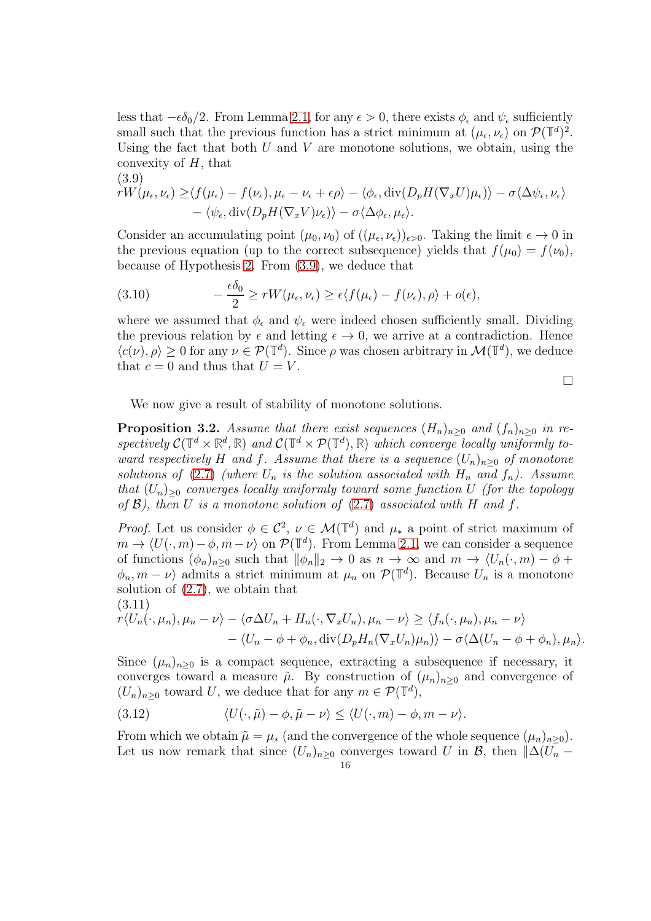less that  $-\epsilon \delta_0/2$ . From Lemma [2.1,](#page-11-1) for any  $\epsilon > 0$ , there exists  $\phi_{\epsilon}$  and  $\psi_{\epsilon}$  sufficiently small such that the previous function has a strict minimum at  $(\mu_{\epsilon}, \nu_{\epsilon})$  on  $\mathcal{P}(\mathbb{T}^d)^2$ . Using the fact that both  $U$  and  $V$  are monotone solutions, we obtain, using the convexity of  $H$ , that  $(2.0)$ 

<span id="page-15-0"></span>(3.9)  
\n
$$
rW(\mu_{\epsilon}, \nu_{\epsilon}) \geq \langle f(\mu_{\epsilon}) - f(\nu_{\epsilon}), \mu_{\epsilon} - \nu_{\epsilon} + \epsilon \rho \rangle - \langle \phi_{\epsilon}, \text{div}(D_p H(\nabla_x U)\mu_{\epsilon}) \rangle - \sigma \langle \Delta \psi_{\epsilon}, \nu_{\epsilon} \rangle - \langle \psi_{\epsilon}, \text{div}(D_p H(\nabla_x V)\nu_{\epsilon}) \rangle - \sigma \langle \Delta \phi_{\epsilon}, \mu_{\epsilon} \rangle.
$$

Consider an accumulating point  $(\mu_0, \nu_0)$  of  $((\mu_{\epsilon}, \nu_{\epsilon}))_{\epsilon > 0}$ . Taking the limit  $\epsilon \to 0$  in the previous equation (up to the correct subsequence) yields that  $f(\mu_0) = f(\nu_0)$ , because of Hypothesis [2.](#page-13-1) From [\(3.9\)](#page-15-0), we deduce that

(3.10) 
$$
-\frac{\epsilon \delta_0}{2} \geq r W(\mu_{\epsilon}, \nu_{\epsilon}) \geq \epsilon \langle f(\mu_{\epsilon}) - f(\nu_{\epsilon}), \rho \rangle + o(\epsilon),
$$

where we assumed that  $\phi_{\epsilon}$  and  $\psi_{\epsilon}$  were indeed chosen sufficiently small. Dividing the previous relation by  $\epsilon$  and letting  $\epsilon \to 0$ , we arrive at a contradiction. Hence  $\langle c(\nu), \rho \rangle \geq 0$  for any  $\nu \in \mathcal{P}(\mathbb{T}^d)$ . Since  $\rho$  was chosen arbitrary in  $\mathcal{M}(\mathbb{T}^d)$ , we deduce that  $c = 0$  and thus that  $U = V$ .

 $\Box$ 

We now give a result of stability of monotone solutions.

<span id="page-15-2"></span>**Proposition 3.2.** Assume that there exist sequences  $(H_n)_{n>0}$  and  $(f_n)_{n>0}$  in respectively  $C(\mathbb{T}^d \times \mathbb{R}^d, \mathbb{R})$  and  $C(\mathbb{T}^d \times \mathcal{P}(\mathbb{T}^d), \mathbb{R})$  which converge locally uniformly toward respectively H and f. Assume that there is a sequence  $(U_n)_{n>0}$  of monotone solutions of [\(2.7\)](#page-8-3) (where  $U_n$  is the solution associated with  $H_n$  and  $f_n$ ). Assume that  $(U_n)_{\geq 0}$  converges locally uniformly toward some function U (for the topology of  $\mathcal{B}$ ), then U is a monotone solution of [\(2.7\)](#page-8-3) associated with H and f.

Proof. Let us consider  $\phi \in C^2$ ,  $\nu \in \mathcal{M}(\mathbb{T}^d)$  and  $\mu_*$  a point of strict maximum of  $m \to \langle U(\cdot, m) - \phi, m - \nu \rangle$  on  $\mathcal{P}(\mathbb{T}^d)$ . From Lemma [2.1,](#page-11-1) we can consider a sequence of functions  $(\phi_n)_{n\geq 0}$  such that  $\|\phi_n\|_2 \to 0$  as  $n \to \infty$  and  $m \to \langle U_n(\cdot, m) - \phi +$  $\langle \phi_n, m-\nu \rangle$  admits a strict minimum at  $\mu_n$  on  $\mathcal{P}(\mathbb{T}^d)$ . Because  $U_n$  is a monotone solution of [\(2.7\)](#page-8-3), we obtain that (3.11)

<span id="page-15-1"></span>
$$
r\langle U_n(\cdot,\mu_n),\mu_n-\nu\rangle-\langle\sigma\Delta U_n+H_n(\cdot,\nabla_x U_n),\mu_n-\nu\rangle\geq\langle f_n(\cdot,\mu_n),\mu_n-\nu\rangle-\langle U_n-\phi+\phi_n,\mathrm{div}(D_pH_n(\nabla_x U_n)\mu_n)\rangle-\sigma\langle\Delta(U_n-\phi+\phi_n),\mu_n\rangle.
$$

Since  $(\mu_n)_{n\geq 0}$  is a compact sequence, extracting a subsequence if necessary, it converges toward a measure  $\tilde{\mu}$ . By construction of  $(\mu_n)_{n\geq 0}$  and convergence of  $(U_n)_{n\geq 0}$  toward U, we deduce that for any  $m \in \mathcal{P}(\mathbb{T}^d)$ ,

(3.12) 
$$
\langle U(\cdot,\tilde{\mu})-\phi,\tilde{\mu}-\nu\rangle \leq \langle U(\cdot,m)-\phi,m-\nu\rangle.
$$

From which we obtain  $\tilde{\mu} = \mu_*$  (and the convergence of the whole sequence  $(\mu_n)_{n>0}$ ). Let us now remark that since  $(U_n)_{n>0}$  converges toward U in B, then  $\|\Delta(U_n -$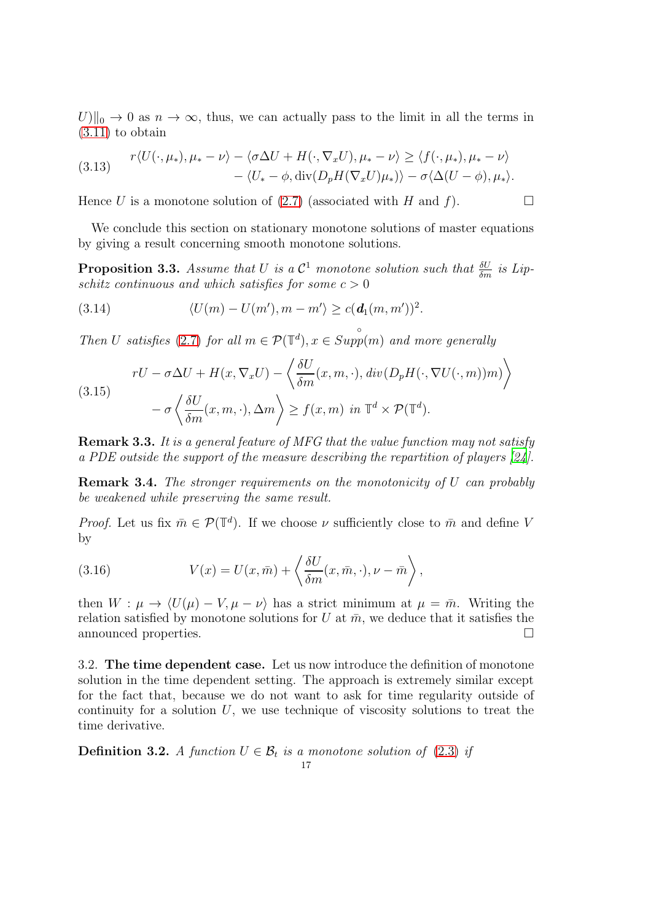$U\|_{0} \to 0$  as  $n \to \infty$ , thus, we can actually pass to the limit in all the terms in [\(3.11\)](#page-15-1) to obtain

(3.13) 
$$
r\langle U(\cdot,\mu_*) , \mu_* - \nu \rangle - \langle \sigma \Delta U + H(\cdot,\nabla_x U), \mu_* - \nu \rangle \ge \langle f(\cdot,\mu_*) , \mu_* - \nu \rangle - \langle U_* - \phi, \text{div}(D_p H(\nabla_x U)\mu_*) \rangle - \sigma \langle \Delta (U - \phi), \mu_* \rangle.
$$

Hence U is a monotone solution of [\(2.7\)](#page-8-3) (associated with H and f).

We conclude this section on stationary monotone solutions of master equations by giving a result concerning smooth monotone solutions.

**Proposition 3.3.** Assume that U is a  $\mathcal{C}^1$  monotone solution such that  $\frac{\delta U}{\delta m}$  is Lipschitz continuous and which satisfies for some  $c > 0$ 

(3.14) 
$$
\langle U(m) - U(m'), m - m' \rangle \geq c(\mathbf{d}_1(m, m'))^2.
$$

Then U satisfies [\(2.7\)](#page-8-3) for all  $m \in \mathcal{P}(\mathbb{T}^d), x \in$ ◦  $Supp(m)$  and more generally

(3.15)  

$$
rU - \sigma \Delta U + H(x, \nabla_x U) - \left\langle \frac{\delta U}{\delta m}(x, m, \cdot), \operatorname{div}(D_p H(\cdot, \nabla U(\cdot, m))m) \right\rangle
$$

$$
- \sigma \left\langle \frac{\delta U}{\delta m}(x, m, \cdot), \Delta m \right\rangle \ge f(x, m) \text{ in } \mathbb{T}^d \times \mathcal{P}(\mathbb{T}^d).
$$

**Remark 3.3.** It is a general feature of MFG that the value function may not satisfy a PDE outside the support of the measure describing the repartition of players [\[24\]](#page-42-3).

**Remark 3.4.** The stronger requirements on the monotonicity of U can probably be weakened while preserving the same result.

*Proof.* Let us fix  $\bar{m} \in \mathcal{P}(\mathbb{T}^d)$ . If we choose  $\nu$  sufficiently close to  $\bar{m}$  and define V by

(3.16) 
$$
V(x) = U(x, \bar{m}) + \left\langle \frac{\delta U}{\delta m}(x, \bar{m}, \cdot), \nu - \bar{m} \right\rangle,
$$

then  $W : \mu \to \langle U(\mu) - V, \mu - \nu \rangle$  has a strict minimum at  $\mu = \bar{m}$ . Writing the relation satisfied by monotone solutions for U at  $\bar{m}$ , we deduce that it satisfies the announced properties.

<span id="page-16-0"></span>3.2. The time dependent case. Let us now introduce the definition of monotone solution in the time dependent setting. The approach is extremely similar except for the fact that, because we do not want to ask for time regularity outside of continuity for a solution  $U$ , we use technique of viscosity solutions to treat the time derivative.

<span id="page-16-1"></span>**Definition 3.2.** A function  $U \in \mathcal{B}_t$  is a monotone solution of [\(2.3\)](#page-7-1) if 17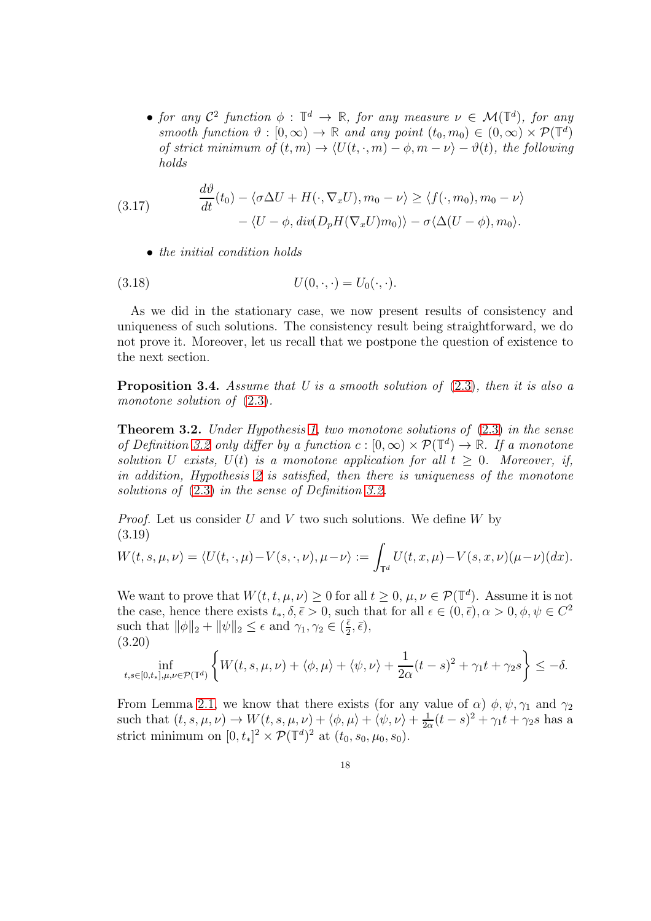• for any  $C^2$  function  $\phi : \mathbb{T}^d \to \mathbb{R}$ , for any measure  $\nu \in \mathcal{M}(\mathbb{T}^d)$ , for any smooth function  $\vartheta : [0, \infty) \to \mathbb{R}$  and any point  $(t_0, m_0) \in (0, \infty) \times \mathcal{P}(\mathbb{T}^d)$ of strict minimum of  $(t, m) \to \langle U(t, \cdot, m) - \phi, m - \nu \rangle - \vartheta(t)$ , the following holds

(3.17) 
$$
\frac{d\vartheta}{dt}(t_0) - \langle \sigma \Delta U + H(\cdot, \nabla_x U), m_0 - \nu \rangle \ge \langle f(\cdot, m_0), m_0 - \nu \rangle - \langle U - \phi, \operatorname{div}(D_p H(\nabla_x U) m_0) \rangle - \sigma \langle \Delta (U - \phi), m_0 \rangle.
$$

• the initial condition holds

$$
(3.18) \tU(0,\cdot,\cdot) = U_0(\cdot,\cdot).
$$

As we did in the stationary case, we now present results of consistency and uniqueness of such solutions. The consistency result being straightforward, we do not prove it. Moreover, let us recall that we postpone the question of existence to the next section.

**Proposition 3.4.** Assume that U is a smooth solution of  $(2.3)$ , then it is also a monotone solution of  $(2.3)$ .

<span id="page-17-1"></span>**Theorem 3.2.** Under Hypothesis [1,](#page-8-2) two monotone solutions of  $(2.3)$  in the sense of Definition [3.2](#page-16-1) only differ by a function  $c : [0, \infty) \times \mathcal{P}(\mathbb{T}^d) \to \mathbb{R}$ . If a monotone solution U exists,  $U(t)$  is a monotone application for all  $t \geq 0$ . Moreover, if, in addition, Hypothesis [2](#page-13-1) is satisfied, then there is uniqueness of the monotone solutions of [\(2.3\)](#page-7-1) in the sense of Definition [3.2.](#page-16-1)

*Proof.* Let us consider  $U$  and  $V$  two such solutions. We define  $W$  by (3.19)

$$
W(t,s,\mu,\nu)=\langle U(t,\cdot,\mu)-V(s,\cdot,\nu),\mu-\nu\rangle:=\int_{\mathbb{T}^d}U(t,x,\mu)-V(s,x,\nu)(\mu-\nu)(dx).
$$

We want to prove that  $W(t, t, \mu, \nu) \geq 0$  for all  $t \geq 0, \mu, \nu \in \mathcal{P}(\mathbb{T}^d)$ . Assume it is not the case, hence there exists  $t_*, \delta, \bar{\epsilon} > 0$ , such that for all  $\epsilon \in (0, \bar{\epsilon}), \alpha > 0, \phi, \psi \in C^2$ such that  $\|\phi\|_2 + \|\psi\|_2 \leq \epsilon$  and  $\gamma_1, \gamma_2 \in (\frac{\bar{\epsilon}}{2})$  $\frac{\bar{\epsilon}}{2}, \bar{\epsilon}$ , (3.20)

<span id="page-17-0"></span>
$$
\inf_{t,s\in[0,t_*],\mu,\nu\in\mathcal{P}(\mathbb{T}^d)}\left\{W(t,s,\mu,\nu)+\langle\phi,\mu\rangle+\langle\psi,\nu\rangle+\frac{1}{2\alpha}(t-s)^2+\gamma_1t+\gamma_2s\right\}\leq-\delta.
$$

From Lemma [2.1,](#page-11-1) we know that there exists (for any value of  $\alpha$ )  $\phi$ ,  $\psi$ ,  $\gamma_1$  and  $\gamma_2$ such that  $(t, s, \mu, \nu) \rightarrow W(t, s, \mu, \nu) + \langle \phi, \mu \rangle + \langle \psi, \nu \rangle + \frac{1}{2c}$  $\frac{1}{2\alpha}(t-s)^2 + \gamma_1 t + \gamma_2 s$  has a strict minimum on  $[0, t_*]^2 \times \mathcal{P}(\mathbb{T}^d)^2$  at  $(t_0, s_0, \mu_0, s_0)$ .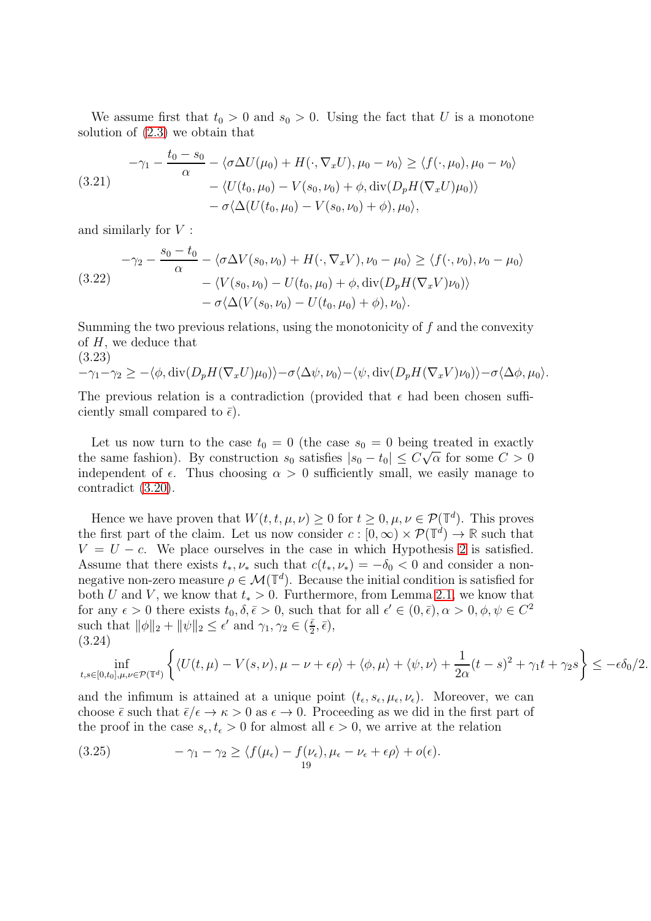We assume first that  $t_0 > 0$  and  $s_0 > 0$ . Using the fact that U is a monotone solution of [\(2.3\)](#page-7-1) we obtain that

$$
-\gamma_1 - \frac{t_0 - s_0}{\alpha} - \langle \sigma \Delta U(\mu_0) + H(\cdot, \nabla_x U), \mu_0 - \nu_0 \rangle \ge \langle f(\cdot, \mu_0), \mu_0 - \nu_0 \rangle
$$
  

$$
- \langle U(t_0, \mu_0) - V(s_0, \nu_0) + \phi, \operatorname{div}(D_p H(\nabla_x U)\mu_0) \rangle
$$
  

$$
- \sigma \langle \Delta (U(t_0, \mu_0) - V(s_0, \nu_0) + \phi), \mu_0 \rangle,
$$

and similarly for V :

$$
-\gamma_2 - \frac{s_0 - t_0}{\alpha} - \langle \sigma \Delta V(s_0, \nu_0) + H(\cdot, \nabla_x V), \nu_0 - \mu_0 \rangle \ge \langle f(\cdot, \nu_0), \nu_0 - \mu_0 \rangle
$$
  

$$
- \langle V(s_0, \nu_0) - U(t_0, \mu_0) + \phi, \operatorname{div}(D_p H(\nabla_x V)\nu_0) \rangle
$$
  

$$
- \sigma \langle \Delta (V(s_0, \nu_0) - U(t_0, \mu_0) + \phi), \nu_0 \rangle.
$$

Summing the two previous relations, using the monotonicity of f and the convexity of  $H$ , we deduce that

(3.23)

$$
-\gamma_1 - \gamma_2 \ge -\langle \phi, \operatorname{div}(D_p H(\nabla_x U)\mu_0) \rangle - \sigma \langle \Delta \psi, \nu_0 \rangle - \langle \psi, \operatorname{div}(D_p H(\nabla_x V)\nu_0) \rangle - \sigma \langle \Delta \phi, \mu_0 \rangle.
$$

The previous relation is a contradiction (provided that  $\epsilon$  had been chosen sufficiently small compared to  $\bar{\epsilon}$ ).

Let us now turn to the case  $t_0 = 0$  (the case  $s_0 = 0$  being treated in exactly the same fashion). By construction  $s_0$  satisfies  $|s_0 - t_0| \leq C \sqrt{\alpha}$  for some  $C > 0$ independent of  $\epsilon$ . Thus choosing  $\alpha > 0$  sufficiently small, we easily manage to contradict [\(3.20\)](#page-17-0).

Hence we have proven that  $W(t, t, \mu, \nu) \geq 0$  for  $t \geq 0, \mu, \nu \in \mathcal{P}(\mathbb{T}^d)$ . This proves the first part of the claim. Let us now consider  $c : [0, \infty) \times \mathcal{P}(\mathbb{T}^d) \to \mathbb{R}$  such that  $V = U - c$ . We place ourselves in the case in which Hypothesis [2](#page-13-1) is satisfied. Assume that there exists  $t_*, \nu_*$  such that  $c(t_*, \nu_*) = -\delta_0 < 0$  and consider a nonnegative non-zero measure  $\rho \in \mathcal{M}(\mathbb{T}^d)$ . Because the initial condition is satisfied for both U and V, we know that  $t_* > 0$ . Furthermore, from Lemma [2.1,](#page-11-1) we know that for any  $\epsilon > 0$  there exists  $t_0, \delta, \bar{\epsilon} > 0$ , such that for all  $\epsilon' \in (0, \bar{\epsilon}), \alpha > 0, \phi, \psi \in C^2$ such that  $\|\phi\|_2 + \|\psi\|_2 \leq \epsilon'$  and  $\gamma_1, \gamma_2 \in (\frac{\bar{\epsilon}}{2})$  $\frac{\bar{\epsilon}}{2}, \bar{\epsilon}$ , (3.24)

$$
\inf_{t,s\in[0,t_0],\mu,\nu\in\mathcal{P}(\mathbb{T}^d)}\left\{\langle U(t,\mu)-V(s,\nu),\mu-\nu+\epsilon\rho\rangle+\langle\phi,\mu\rangle+\langle\psi,\nu\rangle+\frac{1}{2\alpha}(t-s)^2+\gamma_1t+\gamma_2s\right\}\leq-\epsilon\delta_0/2.
$$

and the infimum is attained at a unique point  $(t_{\epsilon}, s_{\epsilon}, \mu_{\epsilon}, \nu_{\epsilon})$ . Moreover, we can choose  $\bar{\epsilon}$  such that  $\bar{\epsilon}/\epsilon \to \kappa > 0$  as  $\epsilon \to 0$ . Proceeding as we did in the first part of the proof in the case  $s_{\epsilon}, t_{\epsilon} > 0$  for almost all  $\epsilon > 0$ , we arrive at the relation

(3.25) 
$$
-\gamma_1 - \gamma_2 \ge \langle f(\mu_\epsilon) - f(\nu_\epsilon), \mu_\epsilon - \nu_\epsilon + \epsilon \rho \rangle + o(\epsilon).
$$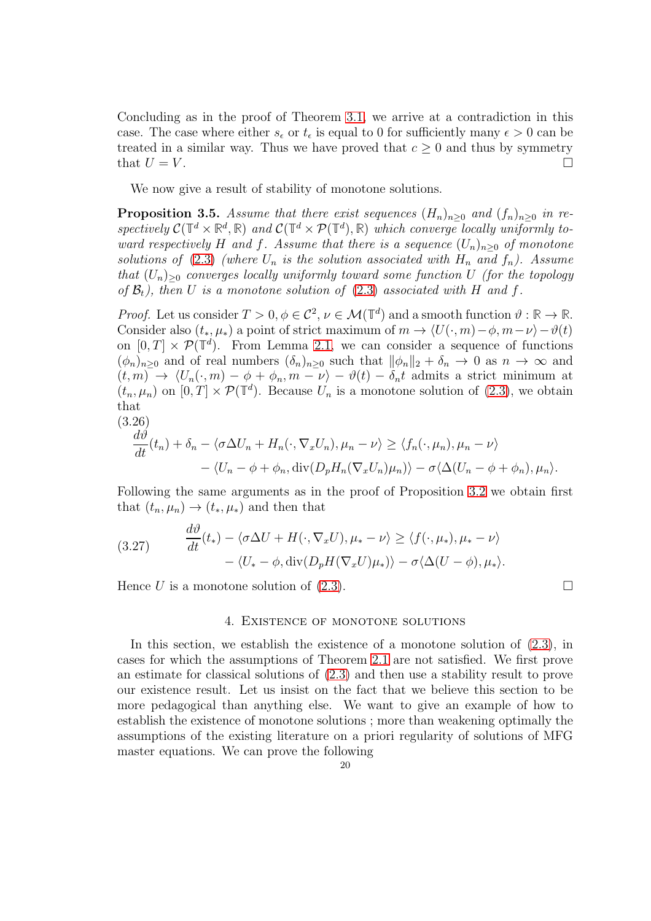Concluding as in the proof of Theorem [3.1,](#page-13-0) we arrive at a contradiction in this case. The case where either  $s_{\epsilon}$  or  $t_{\epsilon}$  is equal to 0 for sufficiently many  $\epsilon > 0$  can be treated in a similar way. Thus we have proved that  $c \ge 0$  and thus by symmetry that  $U = V$ . that  $U = V$ .

We now give a result of stability of monotone solutions.

<span id="page-19-1"></span>**Proposition 3.5.** Assume that there exist sequences  $(H_n)_{n>0}$  and  $(f_n)_{n>0}$  in respectively  $C(\mathbb{T}^d \times \mathbb{R}^d, \mathbb{R})$  and  $C(\mathbb{T}^d \times \mathcal{P}(\mathbb{T}^d), \mathbb{R})$  which converge locally uniformly toward respectively H and f. Assume that there is a sequence  $(U_n)_{n>0}$  of monotone solutions of [\(2.3\)](#page-7-1) (where  $U_n$  is the solution associated with  $H_n$  and  $f_n$ ). Assume that  $(U_n)_{\geq 0}$  converges locally uniformly toward some function U (for the topology of  $\mathcal{B}_t$ ), then U is a monotone solution of [\(2.3\)](#page-7-1) associated with H and f.

Proof. Let us consider  $T > 0$ ,  $\phi \in C^2$ ,  $\nu \in \mathcal{M}(\mathbb{T}^d)$  and a smooth function  $\vartheta : \mathbb{R} \to \mathbb{R}$ . Consider also  $(t_*, \mu_*)$  a point of strict maximum of  $m \to \langle U(\cdot, m) - \phi, m - \nu \rangle - \vartheta(t)$ on  $[0, T] \times \mathcal{P}(\mathbb{T}^d)$ . From Lemma [2.1,](#page-11-1) we can consider a sequence of functions  $(\phi_n)_{n\geq 0}$  and of real numbers  $(\delta_n)_{n\geq 0}$  such that  $\|\phi_n\|_2 + \delta_n \to 0$  as  $n \to \infty$  and  $(t, m) \rightarrow \langle U_n(\cdot, m) - \phi + \phi_n, m - \nu \rangle - \vartheta(t) - \delta_n t$  admits a strict minimum at  $(t_n, \mu_n)$  on  $[0, T] \times \mathcal{P}(\mathbb{T}^d)$ . Because  $U_n$  is a monotone solution of [\(2.3\)](#page-7-1), we obtain that

$$
(3.26)
$$

$$
\frac{d\vartheta}{dt}(t_n) + \delta_n - \langle \sigma \Delta U_n + H_n(\cdot, \nabla_x U_n), \mu_n - \nu \rangle \ge \langle f_n(\cdot, \mu_n), \mu_n - \nu \rangle \n- \langle U_n - \phi + \phi_n, \text{div}(D_p H_n(\nabla_x U_n)\mu_n) \rangle - \sigma \langle \Delta (U_n - \phi + \phi_n), \mu_n \rangle.
$$

Following the same arguments as in the proof of Proposition [3.2](#page-15-2) we obtain first that  $(t_n, \mu_n) \rightarrow (t_*, \mu_*)$  and then that

(3.27) 
$$
\frac{d\theta}{dt}(t_*) - \langle \sigma \Delta U + H(\cdot, \nabla_x U), \mu_* - \nu \rangle \ge \langle f(\cdot, \mu_*) , \mu_* - \nu \rangle - \langle U_* - \phi, \text{div}(D_p H(\nabla_x U)\mu_*) \rangle - \sigma \langle \Delta (U - \phi), \mu_* \rangle.
$$

<span id="page-19-0"></span>Hence U is a monotone solution of  $(2.3)$ .

 $\overline{a}$ 

#### 4. Existence of monotone solutions

In this section, we establish the existence of a monotone solution of [\(2.3\)](#page-7-1), in cases for which the assumptions of Theorem [2.1](#page-9-2) are not satisfied. We first prove an estimate for classical solutions of [\(2.3\)](#page-7-1) and then use a stability result to prove our existence result. Let us insist on the fact that we believe this section to be more pedagogical than anything else. We want to give an example of how to establish the existence of monotone solutions ; more than weakening optimally the assumptions of the existing literature on a priori regularity of solutions of MFG master equations. We can prove the following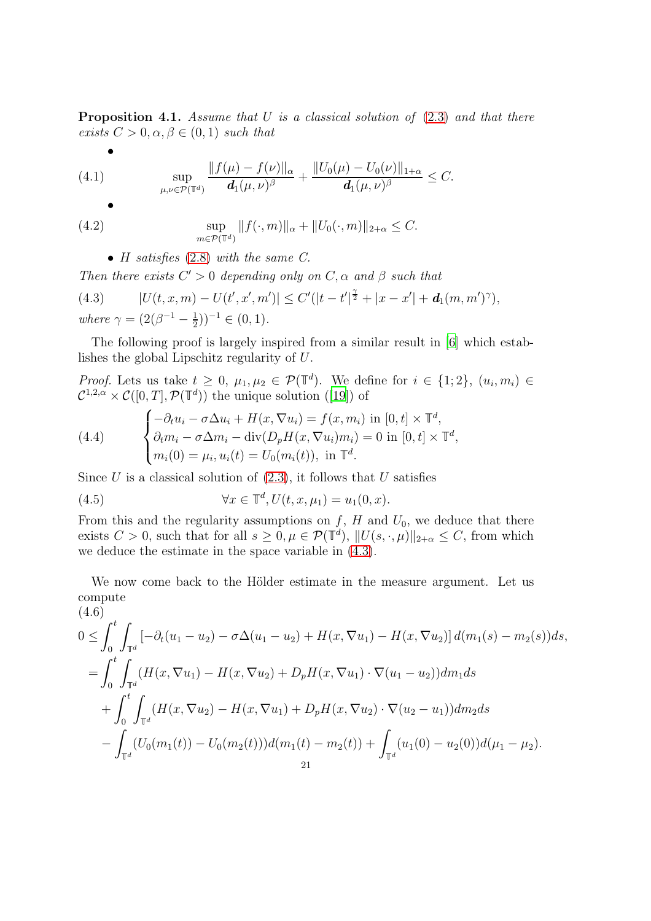<span id="page-20-1"></span>**Proposition 4.1.** Assume that U is a classical solution of  $(2.3)$  and that there exists  $C > 0, \alpha, \beta \in (0, 1)$  such that

(4.1) 
$$
\sup_{\mu,\nu \in \mathcal{P}(\mathbb{T}^d)} \frac{\|f(\mu) - f(\nu)\|_{\alpha}}{d_1(\mu,\nu)^{\beta}} + \frac{\|U_0(\mu) - U_0(\nu)\|_{1+\alpha}}{d_1(\mu,\nu)^{\beta}} \leq C.
$$

$$
\overline{a}
$$

•

(4.2) 
$$
\sup_{m \in \mathcal{P}(\mathbb{T}^d)} \|f(\cdot, m)\|_{\alpha} + \|U_0(\cdot, m)\|_{2+\alpha} \leq C.
$$

<span id="page-20-0"></span>• H satisfies  $(2.8)$  with the same C.

Then there exists  $C' > 0$  depending only on  $C, \alpha$  and  $\beta$  such that

(4.3) 
$$
|U(t, x, m) - U(t', x', m')| \leq C'(|t - t'|^{\frac{\gamma}{2}} + |x - x'| + d_1(m, m')^{\gamma}),
$$
  
where  $\gamma = (2(\beta^{-1} - \frac{1}{2}))^{-1} \in (0, 1).$ 

The following proof is largely inspired from a similar result in [\[6](#page-41-2)] which establishes the global Lipschitz regularity of U.

*Proof.* Lets us take  $t \geq 0$ ,  $\mu_1, \mu_2 \in \mathcal{P}(\mathbb{T}^d)$ . We define for  $i \in \{1, 2\}$ ,  $(u_i, m_i) \in$  $\mathcal{C}^{1,2,\alpha} \times \mathcal{C}([0,T], \mathcal{P}(\mathbb{T}^d))$  the unique solution ([\[19\]](#page-42-0)) of

(4.4) 
$$
\begin{cases}\n-\partial_t u_i - \sigma \Delta u_i + H(x, \nabla u_i) = f(x, m_i) \text{ in } [0, t] \times \mathbb{T}^d, \\
\partial_t m_i - \sigma \Delta m_i - \text{div}(D_p H(x, \nabla u_i) m_i) = 0 \text{ in } [0, t] \times \mathbb{T}^d, \\
m_i(0) = \mu_i, u_i(t) = U_0(m_i(t)), \text{ in } \mathbb{T}^d.\n\end{cases}
$$

Since U is a classical solution of  $(2.3)$ , it follows that U satisfies

(4.5) 
$$
\forall x \in \mathbb{T}^d, U(t, x, \mu_1) = u_1(0, x).
$$

From this and the regularity assumptions on  $f$ ,  $H$  and  $U_0$ , we deduce that there exists  $C > 0$ , such that for all  $s \geq 0, \mu \in \mathcal{P}(\mathbb{T}^d), ||U(s, \cdot, \mu)||_{2+\alpha} \leq C$ , from which we deduce the estimate in the space variable in [\(4.3\)](#page-20-0).

We now come back to the Hölder estimate in the measure argument. Let us compute  $(4.6)$ 

$$
\begin{split}\n&\quad 0 \leq \int_{0}^{t} \int_{\mathbb{T}^{d}} \left[ -\partial_{t}(u_{1}-u_{2}) - \sigma \Delta(u_{1}-u_{2}) + H(x, \nabla u_{1}) - H(x, \nabla u_{2}) \right] d(m_{1}(s) - m_{2}(s)) ds, \\
&= \int_{0}^{t} \int_{\mathbb{T}^{d}} (H(x, \nabla u_{1}) - H(x, \nabla u_{2}) + D_{p}H(x, \nabla u_{1}) \cdot \nabla(u_{1}-u_{2})) dm_{1} ds \\
&+ \int_{0}^{t} \int_{\mathbb{T}^{d}} (H(x, \nabla u_{2}) - H(x, \nabla u_{1}) + D_{p}H(x, \nabla u_{2}) \cdot \nabla(u_{2}-u_{1})) dm_{2} ds \\
&- \int_{\mathbb{T}^{d}} (U_{0}(m_{1}(t)) - U_{0}(m_{2}(t))) d(m_{1}(t) - m_{2}(t)) + \int_{\mathbb{T}^{d}} (u_{1}(0) - u_{2}(0)) d(\mu_{1}-\mu_{2}).\n\end{split}
$$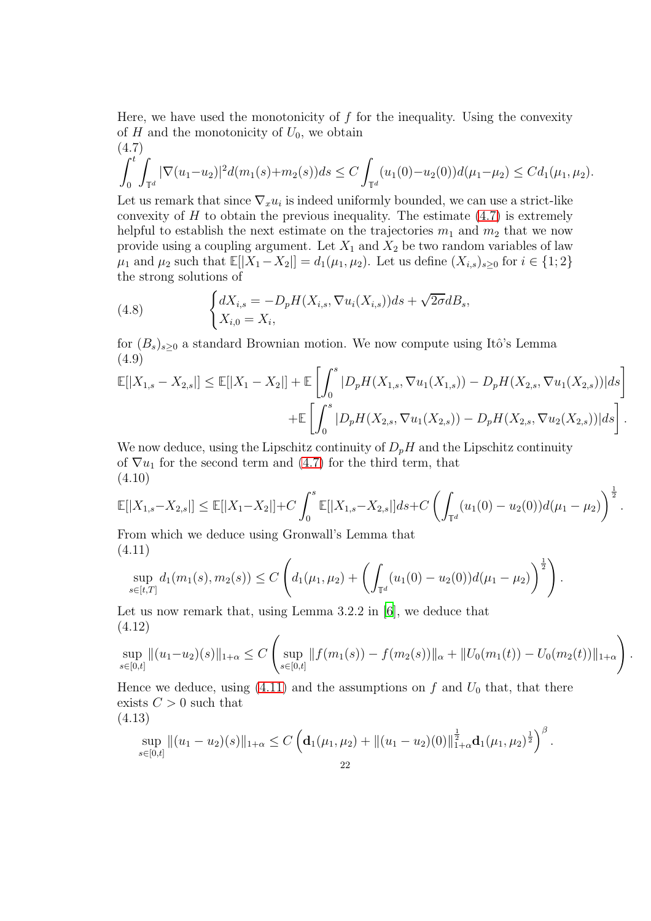Here, we have used the monotonicity of  $f$  for the inequality. Using the convexity of H and the monotonicity of  $U_0$ , we obtain  $(4.7)$ 

<span id="page-21-0"></span>
$$
\int_0^t \int_{\mathbb{T}^d} |\nabla(u_1 - u_2)|^2 d(m_1(s) + m_2(s)) ds \le C \int_{\mathbb{T}^d} (u_1(0) - u_2(0)) d(\mu_1 - \mu_2) \le C d_1(\mu_1, \mu_2).
$$

Let us remark that since  $\nabla_x u_i$  is indeed uniformly bounded, we can use a strict-like convexity of  $H$  to obtain the previous inequality. The estimate  $(4.7)$  is extremely helpful to establish the next estimate on the trajectories  $m_1$  and  $m_2$  that we now provide using a coupling argument. Let  $X_1$  and  $X_2$  be two random variables of law  $\mu_1$  and  $\mu_2$  such that  $\mathbb{E}[|X_1 - X_2|] = d_1(\mu_1, \mu_2)$ . Let us define  $(X_{i,s})_{s>0}$  for  $i \in \{1; 2\}$ the strong solutions of

(4.8) 
$$
\begin{cases} dX_{i,s} = -D_p H(X_{i,s}, \nabla u_i(X_{i,s})) ds + \sqrt{2\sigma} dB_s, \\ X_{i,0} = X_i, \end{cases}
$$

for  $(B_s)_{s\geq0}$  a standard Brownian motion. We now compute using Itô's Lemma (4.9)

$$
\mathbb{E}[|X_{1,s} - X_{2,s}|] \le \mathbb{E}[|X_1 - X_2|] + \mathbb{E}\left[\int_0^s |D_p H(X_{1,s}, \nabla u_1(X_{1,s})) - D_p H(X_{2,s}, \nabla u_1(X_{2,s}))|ds\right] + \mathbb{E}\left[\int_0^s |D_p H(X_{2,s}, \nabla u_1(X_{2,s})) - D_p H(X_{2,s}, \nabla u_2(X_{2,s}))|ds\right].
$$

We now deduce, using the Lipschitz continuity of  $D_pH$  and the Lipschitz continuity of  $\nabla u_1$  for the second term and [\(4.7\)](#page-21-0) for the third term, that (4.10)

$$
\mathbb{E}[|X_{1,s}-X_{2,s}|] \leq \mathbb{E}[|X_1-X_2|] + C \int_0^s \mathbb{E}[|X_{1,s}-X_{2,s}|]ds + C \left(\int_{\mathbb{T}^d} (u_1(0) - u_2(0))d(\mu_1 - \mu_2)\right)^{\frac{1}{2}}.
$$

From which we deduce using Gronwall's Lemma that (4.11)

<span id="page-21-1"></span>
$$
\sup_{s\in[t,T]} d_1(m_1(s),m_2(s)) \leq C \left( d_1(\mu_1,\mu_2) + \left( \int_{\mathbb{T}^d} (u_1(0)-u_2(0))d(\mu_1-\mu_2) \right)^{\frac{1}{2}} \right).
$$

Let us now remark that, using Lemma 3.2.2 in [\[6](#page-41-2)], we deduce that (4.12)  $\overline{1}$ 

$$
\sup_{s \in [0,t]} \|(u_1 - u_2)(s)\|_{1+\alpha} \le C \left( \sup_{s \in [0,t]} \|f(m_1(s)) - f(m_2(s))\|_{\alpha} + \|U_0(m_1(t)) - U_0(m_2(t))\|_{1+\alpha} \right)
$$

.

 $\overline{R}$ 

Hence we deduce, using [\(4.11\)](#page-21-1) and the assumptions on f and  $U_0$  that, that there exists  $C > 0$  such that

$$
(4.13)
$$

$$
\sup_{s\in[0,t]}\|(u_1-u_2)(s)\|_{1+\alpha}\leq C\left(\mathbf{d}_1(\mu_1,\mu_2)+\|(u_1-u_2)(0)\|_{1+\alpha}^{\frac{1}{2}}\mathbf{d}_1(\mu_1,\mu_2)^{\frac{1}{2}}\right)^{\beta}.
$$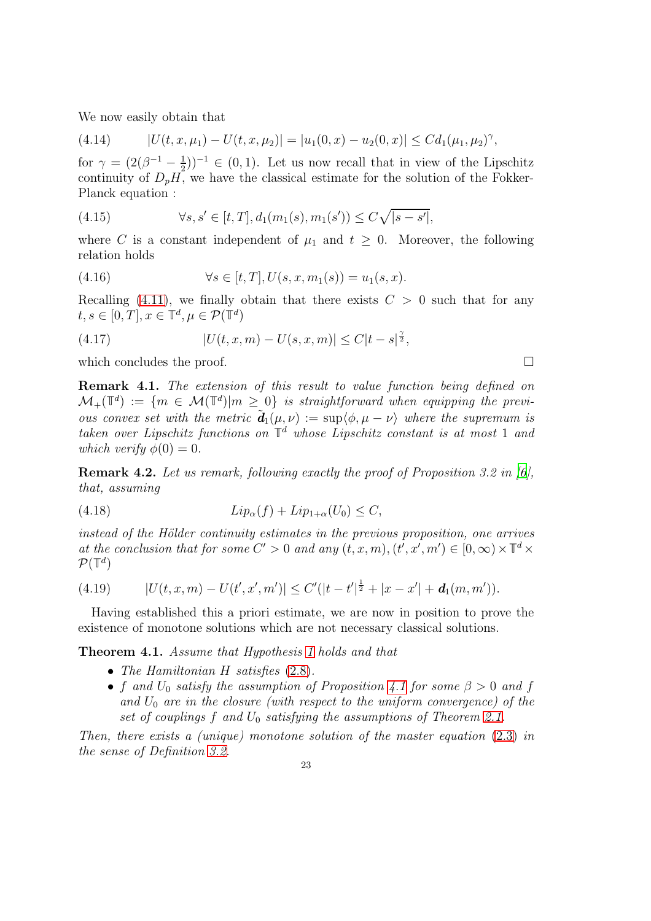We now easily obtain that

(4.14) 
$$
|U(t, x, \mu_1) - U(t, x, \mu_2)| = |u_1(0, x) - u_2(0, x)| \leq C d_1(\mu_1, \mu_2)^\gamma,
$$

for  $\gamma = (2(\beta^{-1} - \frac{1}{2})$  $(\frac{1}{2}))^{-1} \in (0,1)$ . Let us now recall that in view of the Lipschitz continuity of  $D_pH$ , we have the classical estimate for the solution of the Fokker-Planck equation :

(4.15) 
$$
\forall s, s' \in [t, T], d_1(m_1(s), m_1(s')) \leq C \sqrt{|s - s'|},
$$

where C is a constant independent of  $\mu_1$  and  $t \geq 0$ . Moreover, the following relation holds

(4.16) 
$$
\forall s \in [t, T], U(s, x, m_1(s)) = u_1(s, x).
$$

Recalling [\(4.11\)](#page-21-1), we finally obtain that there exists  $C > 0$  such that for any  $t, s \in [0, T], x \in \mathbb{T}^d, \mu \in \mathcal{P}(\mathbb{T}^d)$ 

(4.17) 
$$
|U(t, x, m) - U(s, x, m)| \le C|t - s|^{\frac{\gamma}{2}},
$$

which concludes the proof.  $\Box$ 

Remark 4.1. The extension of this result to value function being defined on  $\mathcal{M}_+(\mathbb{T}^d) := \{ m \in \mathcal{M}(\mathbb{T}^d) | m \geq 0 \}$  is straightforward when equipping the previous convex set with the metric  $\tilde{\mathbf{d}}_1(\mu,\nu) := \sup \langle \phi, \mu - \nu \rangle$  where the supremum is taken over Lipschitz functions on **T** <sup>d</sup> whose Lipschitz constant is at most 1 and which verify  $\phi(0) = 0$ .

Remark 4.2. Let us remark, following exactly the proof of Proposition 3.2 in [\[6\]](#page-41-2). that, assuming

$$
(4.18) \t\t\t Lip_{\alpha}(f) + Lip_{1+\alpha}(U_0) \le C,
$$

 $instead of the Hölder continuity estimates in the previous proposition, one arrives$ at the conclusion that for some  $C' > 0$  and any  $(\tilde{t}, x, m), (\tilde{t'}, x', m') \in [0, \infty) \times \mathbb{T}^d \times$  $\mathcal{P}(\mathbb{T}^d)$ 

(4.19) 
$$
|U(t, x, m) - U(t', x', m')| \leq C'(|t - t'|^{\frac{1}{2}} + |x - x'| + d_1(m, m')).
$$

Having established this a priori estimate, we are now in position to prove the existence of monotone solutions which are not necessary classical solutions.

<span id="page-22-0"></span>Theorem 4.1. Assume that Hypothesis [1](#page-8-2) holds and that

- The Hamiltonian H satisfies  $(2.8)$ .
- f and  $U_0$  satisfy the assumption of Proposition [4.1](#page-20-1) for some  $\beta > 0$  and f and  $U_0$  are in the closure (with respect to the uniform convergence) of the set of couplings f and  $U_0$  satisfying the assumptions of Theorem [2.1.](#page-9-2)

Then, there exists a (unique) monotone solution of the master equation [\(2.3\)](#page-7-1) in the sense of Definition [3.2.](#page-16-1)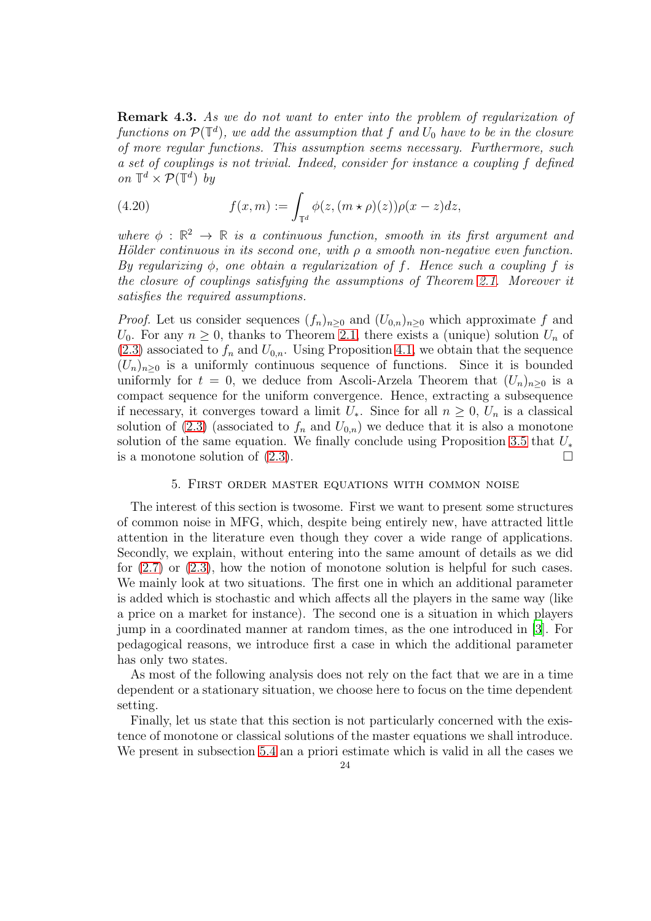Remark 4.3. As we do not want to enter into the problem of regularization of functions on  $\mathcal{P}(\mathbb{T}^d)$ , we add the assumption that f and  $U_0$  have to be in the closure of more regular functions. This assumption seems necessary. Furthermore, such a set of couplings is not trivial. Indeed, consider for instance a coupling f defined on  $\mathbb{T}^d \times \mathcal{P}(\mathbb{T}^d)$  by

(4.20) 
$$
f(x,m) := \int_{\mathbb{T}^d} \phi(z, (m \star \rho)(z)) \rho(x-z) dz,
$$

where  $\phi : \mathbb{R}^2 \to \mathbb{R}$  is a continuous function, smooth in its first argument and Hölder continuous in its second one, with  $\rho$  a smooth non-negative even function. By regularizing  $\phi$ , one obtain a regularization of f. Hence such a coupling f is the closure of couplings satisfying the assumptions of Theorem [2.1.](#page-9-2) Moreover it satisfies the required assumptions.

*Proof.* Let us consider sequences  $(f_n)_{n>0}$  and  $(U_{0,n})_{n>0}$  which approximate f and  $U_0$ . For any  $n \geq 0$ , thanks to Theorem [2.1,](#page-9-2) there exists a (unique) solution  $U_n$  of  $(2.3)$  associated to  $f_n$  and  $U_{0,n}$ . Using Proposition [4.1,](#page-20-1) we obtain that the sequence  $(U_n)_{n\geq 0}$  is a uniformly continuous sequence of functions. Since it is bounded uniformly for  $t = 0$ , we deduce from Ascoli-Arzela Theorem that  $(U_n)_{n>0}$  is a compact sequence for the uniform convergence. Hence, extracting a subsequence if necessary, it converges toward a limit  $U_*$ . Since for all  $n \geq 0$ ,  $U_n$  is a classical solution of [\(2.3\)](#page-7-1) (associated to  $f_n$  and  $U_{0,n}$ ) we deduce that it is also a monotone solution of the same equation. We finally conclude using Proposition [3.5](#page-19-1) that  $U_*$ is a monotone solution of  $(2.3)$ .

## 5. First order master equations with common noise

<span id="page-23-0"></span>The interest of this section is twosome. First we want to present some structures of common noise in MFG, which, despite being entirely new, have attracted little attention in the literature even though they cover a wide range of applications. Secondly, we explain, without entering into the same amount of details as we did for [\(2.7\)](#page-8-3) or [\(2.3\)](#page-7-1), how the notion of monotone solution is helpful for such cases. We mainly look at two situations. The first one in which an additional parameter is added which is stochastic and which affects all the players in the same way (like a price on a market for instance). The second one is a situation in which players jump in a coordinated manner at random times, as the one introduced in [\[3](#page-41-4)]. For pedagogical reasons, we introduce first a case in which the additional parameter has only two states.

As most of the following analysis does not rely on the fact that we are in a time dependent or a stationary situation, we choose here to focus on the time dependent setting.

Finally, let us state that this section is not particularly concerned with the existence of monotone or classical solutions of the master equations we shall introduce. We present in subsection [5.4](#page-29-0) an a priori estimate which is valid in all the cases we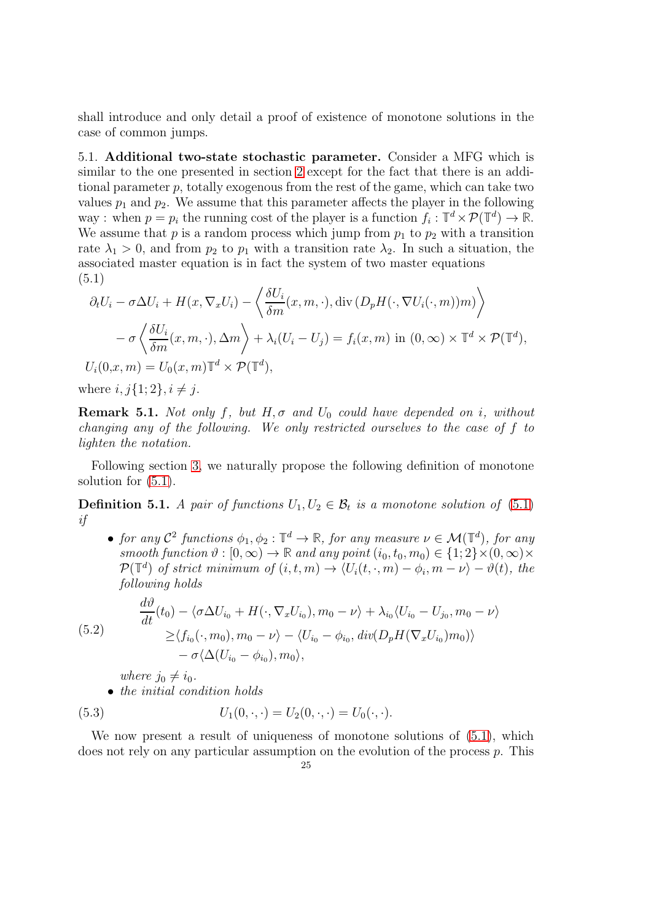shall introduce and only detail a proof of existence of monotone solutions in the case of common jumps.

<span id="page-24-0"></span>5.1. Additional two-state stochastic parameter. Consider a MFG which is similar to the one presented in section [2](#page-6-1) except for the fact that there is an additional parameter p, totally exogenous from the rest of the game, which can take two values  $p_1$  and  $p_2$ . We assume that this parameter affects the player in the following way : when  $p = p_i$  the running cost of the player is a function  $f_i : \mathbb{T}^d \times \mathcal{P}(\mathbb{T}^d) \to \mathbb{R}$ . We assume that  $p$  is a random process which jump from  $p_1$  to  $p_2$  with a transition rate  $\lambda_1 > 0$ , and from  $p_2$  to  $p_1$  with a transition rate  $\lambda_2$ . In such a situation, the associated master equation is in fact the system of two master equations (5.1)

<span id="page-24-1"></span>
$$
\partial_t U_i - \sigma \Delta U_i + H(x, \nabla_x U_i) - \left\langle \frac{\delta U_i}{\delta m}(x, m, \cdot), \operatorname{div} (D_p H(\cdot, \nabla U_i(\cdot, m))m) \right\rangle \n- \sigma \left\langle \frac{\delta U_i}{\delta m}(x, m, \cdot), \Delta m \right\rangle + \lambda_i (U_i - U_j) = f_i(x, m) \text{ in } (0, \infty) \times \mathbb{T}^d \times \mathcal{P}(\mathbb{T}^d),
$$
\n
$$
U_i(0, x, m) = U_0(x, m) \mathbb{T}^d \times \mathcal{P}(\mathbb{T}^d),
$$
\nwhere  $i, i, j, 1, j, i \neq i$ 

where  $i, j\{1; 2\}, i \neq j$ .

**Remark 5.1.** Not only f, but  $H, \sigma$  and  $U_0$  could have depended on i, without changing any of the following. We only restricted ourselves to the case of f to lighten the notation.

Following section [3,](#page-12-0) we naturally propose the following definition of monotone solution for [\(5.1\)](#page-24-1).

<span id="page-24-2"></span>**Definition 5.1.** A pair of functions  $U_1, U_2 \in \mathcal{B}_t$  is a monotone solution of [\(5.1\)](#page-24-1) if

• for any  $\mathcal{C}^2$  functions  $\phi_1, \phi_2 : \mathbb{T}^d \to \mathbb{R}$ , for any measure  $\nu \in \mathcal{M}(\mathbb{T}^d)$ , for any smooth function  $\vartheta : [0, \infty) \to \mathbb{R}$  and any point  $(i_0, t_0, m_0) \in \{1, 2\} \times (0, \infty) \times$  $P(\mathbb{T}^d)$  of strict minimum of  $(i, t, m) \rightarrow \langle U_i(t, \cdot, m) - \phi_i, m - \nu \rangle - \vartheta(t)$ , the following holds

(5.2)  
\n
$$
\frac{d\vartheta}{dt}(t_0) - \langle \sigma \Delta U_{i_0} + H(\cdot, \nabla_x U_{i_0}), m_0 - \nu \rangle + \lambda_{i_0} \langle U_{i_0} - U_{j_0}, m_0 - \nu \rangle
$$
\n
$$
\geq \langle f_{i_0}(\cdot, m_0), m_0 - \nu \rangle - \langle U_{i_0} - \phi_{i_0}, \operatorname{div}(D_p H(\nabla_x U_{i_0}) m_0) \rangle - \sigma \langle \Delta (U_{i_0} - \phi_{i_0}), m_0 \rangle,
$$

where  $j_0 \neq i_0$ .

• the initial condition holds

(5.3) 
$$
U_1(0,\cdot,\cdot) = U_2(0,\cdot,\cdot) = U_0(\cdot,\cdot).
$$

We now present a result of uniqueness of monotone solutions of  $(5.1)$ , which does not rely on any particular assumption on the evolution of the process p. This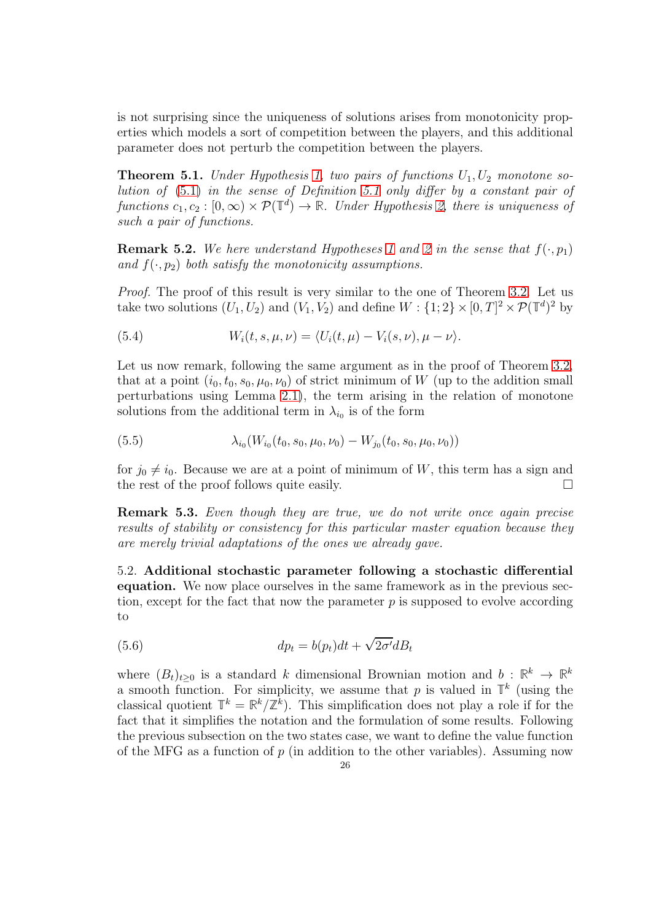is not surprising since the uniqueness of solutions arises from monotonicity properties which models a sort of competition between the players, and this additional parameter does not perturb the competition between the players.

**Theorem 5.1.** Under Hypothesis [1,](#page-8-2) two pairs of functions  $U_1, U_2$  monotone solution of [\(5.1\)](#page-24-1) in the sense of Definition [5.1](#page-24-2) only differ by a constant pair of functions  $c_1, c_2 : [0, \infty) \times \mathcal{P}(\mathbb{T}^d) \to \mathbb{R}$ . Under Hypothesis [2,](#page-13-1) there is uniqueness of such a pair of functions.

**Remark 5.2.** We here understand Hypotheses [1](#page-8-2) and [2](#page-13-1) in the sense that  $f(\cdot, p_1)$ and  $f(\cdot, p_2)$  both satisfy the monotonicity assumptions.

Proof. The proof of this result is very similar to the one of Theorem [3.2.](#page-17-1) Let us take two solutions  $(U_1, U_2)$  and  $(V_1, V_2)$  and define  $W : \{1, 2\} \times [0, T]^2 \times \mathcal{P}(\mathbb{T}^d)^2$  by

(5.4) 
$$
W_i(t,s,\mu,\nu)=\langle U_i(t,\mu)-V_i(s,\nu),\mu-\nu\rangle.
$$

Let us now remark, following the same argument as in the proof of Theorem [3.2,](#page-17-1) that at a point  $(i_0, t_0, s_0, \mu_0, \nu_0)$  of strict minimum of W (up to the addition small perturbations using Lemma [2.1\)](#page-11-1), the term arising in the relation of monotone solutions from the additional term in  $\lambda_{i_0}$  is of the form

(5.5) 
$$
\lambda_{i_0}(W_{i_0}(t_0, s_0, \mu_0, \nu_0) - W_{j_0}(t_0, s_0, \mu_0, \nu_0))
$$

for  $j_0 \neq i_0$ . Because we are at a point of minimum of W, this term has a sign and the rest of the proof follows quite easily. the rest of the proof follows quite easily.

Remark 5.3. Even though they are true, we do not write once again precise results of stability or consistency for this particular master equation because they are merely trivial adaptations of the ones we already gave.

<span id="page-25-0"></span>5.2. Additional stochastic parameter following a stochastic differential equation. We now place ourselves in the same framework as in the previous section, except for the fact that now the parameter  $p$  is supposed to evolve according to

(5.6) 
$$
dp_t = b(p_t)dt + \sqrt{2\sigma'}dB_t
$$

where  $(B_t)_{t\geq 0}$  is a standard k dimensional Brownian motion and  $b: \mathbb{R}^k \to \mathbb{R}^k$ a smooth function. For simplicity, we assume that p is valued in  $\mathbb{T}^k$  (using the classical quotient  $\mathbb{T}^k = \mathbb{R}^k / \mathbb{Z}^k$ . This simplification does not play a role if for the fact that it simplifies the notation and the formulation of some results. Following the previous subsection on the two states case, we want to define the value function of the MFG as a function of  $p$  (in addition to the other variables). Assuming now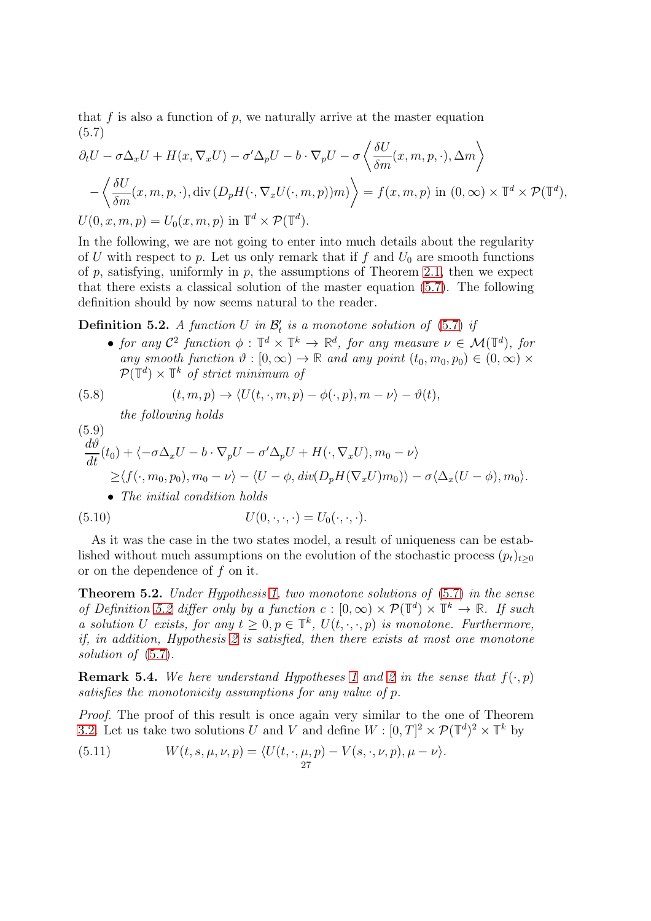that f is also a function of p, we naturally arrive at the master equation (5.7)  $\overline{a}$ 

<span id="page-26-0"></span>
$$
\partial_t U - \sigma \Delta_x U + H(x, \nabla_x U) - \sigma' \Delta_p U - b \cdot \nabla_p U - \sigma \left\langle \frac{\delta U}{\delta m}(x, m, p, \cdot), \Delta m \right\rangle
$$

$$
- \left\langle \frac{\delta U}{\delta m}(x, m, p, \cdot), \text{div} \left( D_p H(\cdot, \nabla_x U(\cdot, m, p)) m \right) \right\rangle = f(x, m, p) \text{ in } (0, \infty) \times \mathbb{T}^d \times \mathcal{P}(\mathbb{T}^d),
$$

$$
U(0, x, m, p) = U_0(x, m, p) \text{ in } \mathbb{T}^d \times \mathcal{P}(\mathbb{T}^d).
$$

In the following, we are not going to enter into much details about the regularity of U with respect to p. Let us only remark that if f and  $U_0$  are smooth functions of p, satisfying, uniformly in p, the assumptions of Theorem [2.1,](#page-9-2) then we expect that there exists a classical solution of the master equation [\(5.7\)](#page-26-0). The following definition should by now seems natural to the reader.

<span id="page-26-1"></span>**Definition 5.2.** A function U in  $\mathcal{B}'_t$  is a monotone solution of [\(5.7\)](#page-26-0) if

• for any  $\mathcal{C}^2$  function  $\phi : \mathbb{T}^d \times \mathbb{T}^k \to \mathbb{R}^d$ , for any measure  $\nu \in \mathcal{M}(\mathbb{T}^d)$ , for any smooth function  $\vartheta : [0, \infty) \to \mathbb{R}$  and any point  $(t_0, m_0, p_0) \in (0, \infty) \times$  $\mathcal{P}(\mathbb{T}^d) \times \mathbb{T}^k$  of strict minimum of

(5.8) 
$$
(t, m, p) \rightarrow \langle U(t, \cdot, m, p) - \phi(\cdot, p), m - \nu \rangle - \vartheta(t),
$$

the following holds

(5.9)  
\n
$$
\frac{d\vartheta}{dt}(t_0) + \langle -\sigma \Delta_x U - b \cdot \nabla_p U - \sigma' \Delta_p U + H(\cdot, \nabla_x U), m_0 - \nu \rangle
$$
\n
$$
\geq \langle f(\cdot, m_0, p_0), m_0 - \nu \rangle - \langle U - \phi, \operatorname{div}(D_p H(\nabla_x U) m_0) \rangle - \sigma \langle \Delta_x (U - \phi), m_0 \rangle.
$$
\n• The initial condition holds  
\n(5.10) 
$$
U(0, \cdot, \cdot, \cdot) = U_0(\cdot, \cdot, \cdot).
$$

As it was the case in the two states model, a result of uniqueness can be established without much assumptions on the evolution of the stochastic process  $(p_t)_{t\geq 0}$ or on the dependence of f on it.

**Theorem 5.2.** Under Hypothesis [1,](#page-8-2) two monotone solutions of  $(5.7)$  in the sense of Definition [5.2](#page-26-1) differ only by a function  $c : [0, \infty) \times \mathcal{P}(\mathbb{T}^d) \times \mathbb{T}^k \to \mathbb{R}$ . If such a solution U exists, for any  $t \geq 0, p \in \mathbb{T}^k$ ,  $U(t, \cdot, \cdot, p)$  is monotone. Furthermore, if, in addition, Hypothesis [2](#page-13-1) is satisfied, then there exists at most one monotone solution of  $(5.7)$ .

**Remark 5.4.** We here understand Hypotheses [1](#page-8-2) and [2](#page-13-1) in the sense that  $f(\cdot, p)$ satisfies the monotonicity assumptions for any value of p.

Proof. The proof of this result is once again very similar to the one of Theorem [3.2.](#page-17-1) Let us take two solutions U and V and define  $W : [0, T]^2 \times \mathcal{P}(\mathbb{T}^d)^2 \times \mathbb{T}^k$  by

(5.11) 
$$
W(t,s,\mu,\nu,p) = \langle U(t,\cdot,\mu,p) - V(s,\cdot,\nu,p), \mu - \nu \rangle.
$$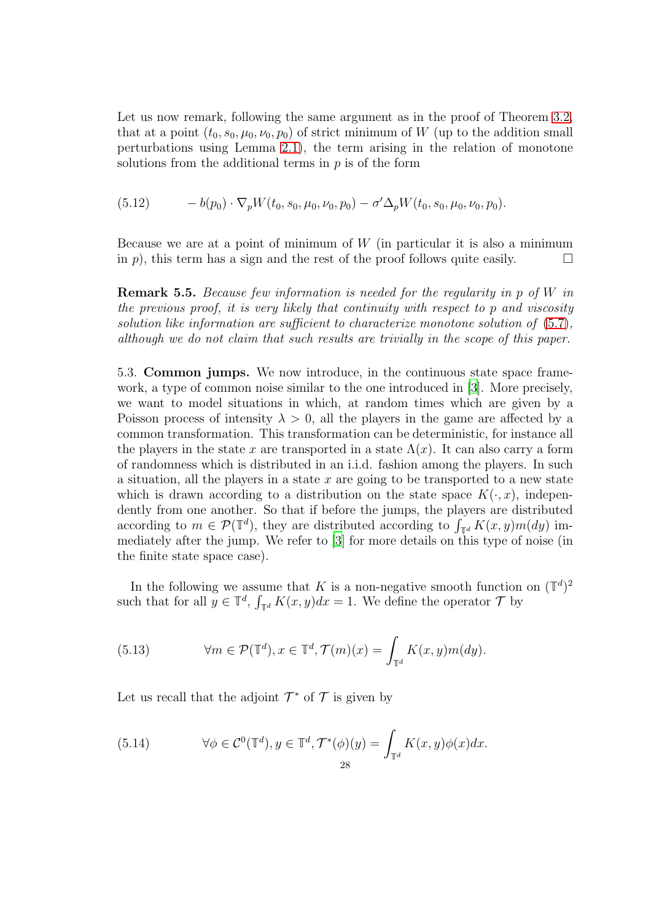Let us now remark, following the same argument as in the proof of Theorem [3.2,](#page-17-1) that at a point  $(t_0, s_0, \mu_0, \nu_0, p_0)$  of strict minimum of W (up to the addition small perturbations using Lemma [2.1\)](#page-11-1), the term arising in the relation of monotone solutions from the additional terms in  $p$  is of the form

$$
(5.12) \t-b(p_0)\cdot\nabla_p W(t_0,s_0,\mu_0,\nu_0,p_0)-\sigma'\Delta_p W(t_0,s_0,\mu_0,\nu_0,p_0).
$$

Because we are at a point of minimum of  $W$  (in particular it is also a minimum in p), this term has a sign and the rest of the proof follows quite easily.  $\Box$ 

**Remark 5.5.** Because few information is needed for the regularity in p of  $W$  in the previous proof, it is very likely that continuity with respect to p and viscosity solution like information are sufficient to characterize monotone solution of [\(5.7\)](#page-26-0), although we do not claim that such results are trivially in the scope of this paper.

<span id="page-27-0"></span>5.3. Common jumps. We now introduce, in the continuous state space framework, a type of common noise similar to the one introduced in [\[3](#page-41-4)]. More precisely, we want to model situations in which, at random times which are given by a Poisson process of intensity  $\lambda > 0$ , all the players in the game are affected by a common transformation. This transformation can be deterministic, for instance all the players in the state x are transported in a state  $\Lambda(x)$ . It can also carry a form of randomness which is distributed in an i.i.d. fashion among the players. In such a situation, all the players in a state  $x$  are going to be transported to a new state which is drawn according to a distribution on the state space  $K(\cdot, x)$ , independently from one another. So that if before the jumps, the players are distributed according to  $m \in \mathcal{P}(\mathbb{T}^d)$ , they are distributed according to  $\int_{\mathbb{T}^d} K(x, y) m(dy)$  immediately after the jump. We refer to [\[3](#page-41-4)] for more details on this type of noise (in the finite state space case).

In the following we assume that K is a non-negative smooth function on  $(\mathbb{T}^d)^2$ such that for all  $y \in \mathbb{T}^d$ ,  $\int_{\mathbb{T}^d} K(x, y) dx = 1$ . We define the operator  $\mathcal{T}$  by

<span id="page-27-1"></span>(5.13) 
$$
\forall m \in \mathcal{P}(\mathbb{T}^d), x \in \mathbb{T}^d, \mathcal{T}(m)(x) = \int_{\mathbb{T}^d} K(x, y) m(dy).
$$

Let us recall that the adjoint  $\mathcal{T}^*$  of  $\mathcal T$  is given by

(5.14) 
$$
\forall \phi \in C^0(\mathbb{T}^d), y \in \mathbb{T}^d, \mathcal{T}^*(\phi)(y) = \int_{\mathbb{T}^d} K(x, y) \phi(x) dx.
$$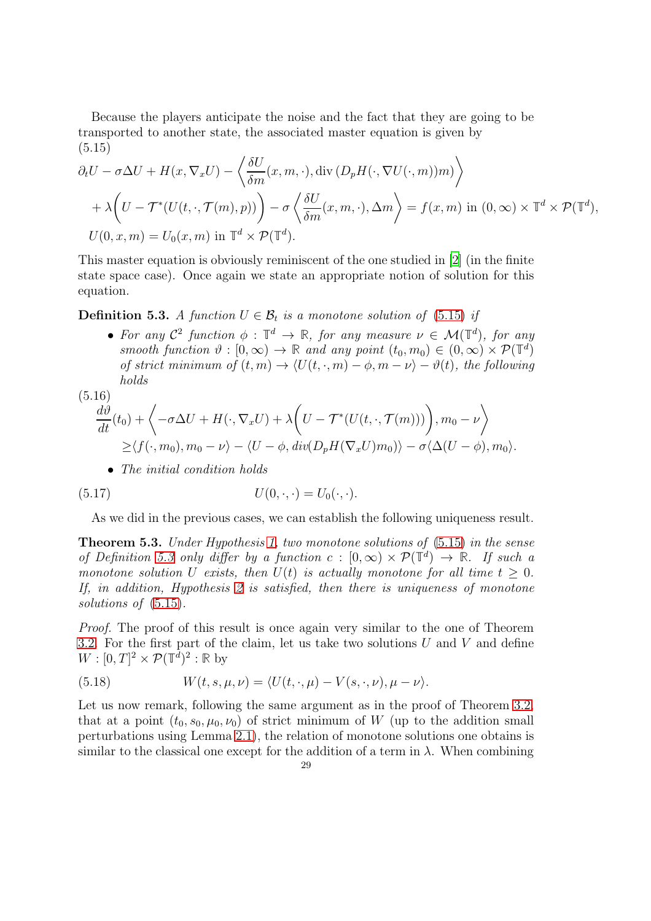Because the players anticipate the noise and the fact that they are going to be transported to another state, the associated master equation is given by (5.15)

<span id="page-28-0"></span>
$$
\partial_t U - \sigma \Delta U + H(x, \nabla_x U) - \left\langle \frac{\delta U}{\delta m}(x, m, \cdot), \operatorname{div} (D_p H(\cdot, \nabla U(\cdot, m))m) \right\rangle + \lambda \left( U - \mathcal{T}^*(U(t, \cdot, \mathcal{T}(m), p)) \right) - \sigma \left\langle \frac{\delta U}{\delta m}(x, m, \cdot), \Delta m \right\rangle = f(x, m) \text{ in } (0, \infty) \times \mathbb{T}^d \times \mathcal{P}(\mathbb{T}^d),
$$
  

$$
U(0, x, m) = U_0(x, m) \text{ in } \mathbb{T}^d \times \mathcal{P}(\mathbb{T}^d).
$$

This master equation is obviously reminiscent of the one studied in [\[2](#page-41-1)] (in the finite state space case). Once again we state an appropriate notion of solution for this equation.

<span id="page-28-1"></span>**Definition 5.3.** A function  $U \in \mathcal{B}_t$  is a monotone solution of [\(5.15\)](#page-28-0) if

• For any  $\mathcal{C}^2$  function  $\phi : \mathbb{T}^d \to \mathbb{R}$ , for any measure  $\nu \in \mathcal{M}(\mathbb{T}^d)$ , for any  $smooth\ function\ \vartheta:[0,\infty)\rightarrow\mathbb{R}$  and any point  $(t_0,m_0)\in(0,\infty)\times\mathcal{P}(\mathbb{T}^d)$ of strict minimum of  $(t, m) \to \langle U(t, \cdot, m) - \phi, m - \nu \rangle - \vartheta(t)$ , the following holds  $(5.16)$ 

$$
\frac{d\vartheta}{dt}(t_0) + \left\langle -\sigma \Delta U + H(\cdot, \nabla_x U) + \lambda \left( U - \mathcal{T}^*(U(t, \cdot, \mathcal{T}(m))) \right), m_0 - \nu \right\rangle
$$
  
 
$$
\geq \langle f(\cdot, m_0), m_0 - \nu \rangle - \langle U - \phi, \operatorname{div}(D_p H(\nabla_x U) m_0) \rangle - \sigma \langle \Delta (U - \phi), m_0 \rangle.
$$

• The initial condition holds

$$
(5.17) \tU(0,\cdot,\cdot) = U_0(\cdot,\cdot).
$$

As we did in the previous cases, we can establish the following uniqueness result.

Theorem 5.3. Under Hypothesis [1,](#page-8-2) two monotone solutions of [\(5.15\)](#page-28-0) in the sense of Definition [5.3](#page-28-1) only differ by a function  $c : [0, \infty) \times \mathcal{P}(\mathbb{T}^d) \to \mathbb{R}$ . If such a monotone solution U exists, then  $U(t)$  is actually monotone for all time  $t > 0$ . If, in addition, Hypothesis [2](#page-13-1) is satisfied, then there is uniqueness of monotone solutions of  $(5.15)$ .

Proof. The proof of this result is once again very similar to the one of Theorem [3.2.](#page-17-1) For the first part of the claim, let us take two solutions  $U$  and  $V$  and define  $W: [0, T]^2 \times \mathcal{P}(\mathbb{T}^{\tilde{d}})^2 : \mathbb{R}$  by

(5.18) 
$$
W(t,s,\mu,\nu) = \langle U(t,\cdot,\mu) - V(s,\cdot,\nu), \mu - \nu \rangle.
$$

Let us now remark, following the same argument as in the proof of Theorem [3.2,](#page-17-1) that at a point  $(t_0, s_0, \mu_0, \nu_0)$  of strict minimum of W (up to the addition small perturbations using Lemma [2.1\)](#page-11-1), the relation of monotone solutions one obtains is similar to the classical one except for the addition of a term in  $\lambda$ . When combining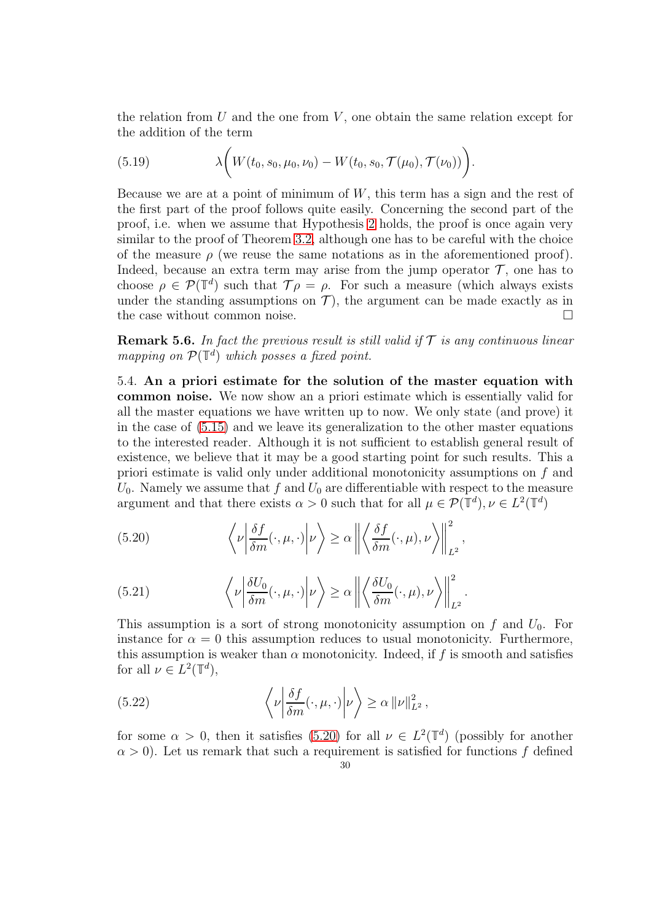the relation from  $U$  and the one from  $V$ , one obtain the same relation except for the addition of the term

(5.19) 
$$
\lambda\bigg(W(t_0, s_0, \mu_0, \nu_0) - W(t_0, s_0, \mathcal{T}(\mu_0), \mathcal{T}(\nu_0))\bigg).
$$

Because we are at a point of minimum of  $W$ , this term has a sign and the rest of the first part of the proof follows quite easily. Concerning the second part of the proof, i.e. when we assume that Hypothesis [2](#page-13-1) holds, the proof is once again very similar to the proof of Theorem [3.2,](#page-17-1) although one has to be careful with the choice of the measure  $\rho$  (we reuse the same notations as in the aforementioned proof). Indeed, because an extra term may arise from the jump operator  $\mathcal T$ , one has to choose  $\rho \in \mathcal{P}(\mathbb{T}^d)$  such that  $\mathcal{T}\rho = \rho$ . For such a measure (which always exists under the standing assumptions on  $\mathcal{T}$ ), the argument can be made exactly as in the case without common noise. the case without common noise.

**Remark 5.6.** In fact the previous result is still valid if  $\mathcal T$  is any continuous linear mapping on  $\mathcal{P}(\mathbb{T}^d)$  which posses a fixed point.

<span id="page-29-0"></span>5.4. An a priori estimate for the solution of the master equation with common noise. We now show an a priori estimate which is essentially valid for all the master equations we have written up to now. We only state (and prove) it in the case of [\(5.15\)](#page-28-0) and we leave its generalization to the other master equations to the interested reader. Although it is not sufficient to establish general result of existence, we believe that it may be a good starting point for such results. This a priori estimate is valid only under additional monotonicity assumptions on f and  $U_0$ . Namely we assume that f and  $U_0$  are differentiable with respect to the measure argument and that there exists  $\alpha > 0$  such that for all  $\mu \in \mathcal{P}(\mathbb{T}^d)$ ,  $\nu \in L^2(\mathbb{T}^d)$ 

<span id="page-29-1"></span>(5.20) 
$$
\left\langle \nu \left| \frac{\delta f}{\delta m}(\cdot, \mu, \cdot) \right| \nu \right\rangle \ge \alpha \left\| \left\langle \frac{\delta f}{\delta m}(\cdot, \mu), \nu \right\rangle \right\|_{L^2}^2,
$$

<span id="page-29-2"></span>(5.21) 
$$
\left\langle \nu \left| \frac{\delta U_0}{\delta m}(\cdot, \mu, \cdot) \right| \nu \right\rangle \ge \alpha \left\| \left\langle \frac{\delta U_0}{\delta m}(\cdot, \mu), \nu \right\rangle \right\|_{L^2}^2.
$$

This assumption is a sort of strong monotonicity assumption on f and  $U_0$ . For instance for  $\alpha = 0$  this assumption reduces to usual monotonicity. Furthermore, this assumption is weaker than  $\alpha$  monotonicity. Indeed, if f is smooth and satisfies for all  $\nu \in L^2(\mathbb{T}^d)$ ,

(5.22) 
$$
\left\langle \nu \left| \frac{\delta f}{\delta m}(\cdot, \mu, \cdot) \right| \nu \right\rangle \geq \alpha \left\| \nu \right\|_{L^2}^2,
$$

for some  $\alpha > 0$ , then it satisfies [\(5.20\)](#page-29-1) for all  $\nu \in L^2(\mathbb{T}^d)$  (possibly for another  $\alpha > 0$ ). Let us remark that such a requirement is satisfied for functions f defined 30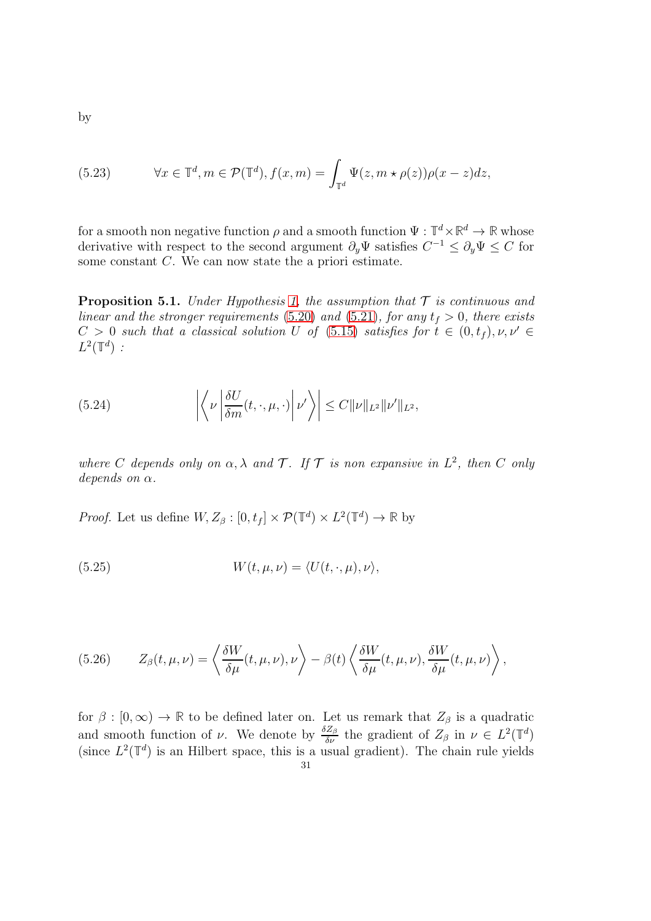(5.23) 
$$
\forall x \in \mathbb{T}^d, m \in \mathcal{P}(\mathbb{T}^d), f(x, m) = \int_{\mathbb{T}^d} \Psi(z, m \star \rho(z)) \rho(x - z) dz,
$$

for a smooth non negative function  $\rho$  and a smooth function  $\Psi : \mathbb{T}^d \times \mathbb{R}^d \to \mathbb{R}$  whose derivative with respect to the second argument  $\partial_y \Psi$  satisfies  $C^{-1} \leq \partial_y \Psi \leq C$  for some constant C. We can now state the a priori estimate.

<span id="page-30-0"></span>**Proposition 5.1.** Under Hypothesis [1,](#page-8-2) the assumption that  $\mathcal T$  is continuous and linear and the stronger requirements [\(5.20\)](#page-29-1) and [\(5.21\)](#page-29-2), for any  $t_f > 0$ , there exists  $C > 0$  such that a classical solution U of [\(5.15\)](#page-28-0) satisfies for  $t \in (0, t_f), \nu, \nu' \in$  $L^2(\mathbb{T}^d)$ :

(5.24) 
$$
\left| \left\langle \nu \left| \frac{\delta U}{\delta m}(t, \cdot, \mu, \cdot) \right| \nu' \right\rangle \right| \leq C ||\nu||_{L^2} ||\nu'||_{L^2},
$$

where C depends only on  $\alpha, \lambda$  and  $\mathcal{T}$ . If  $\mathcal{T}$  is non expansive in  $L^2$ , then C only depends on  $\alpha$ .

*Proof.* Let us define  $W, Z_{\beta} : [0, t_f] \times \mathcal{P}(\mathbb{T}^d) \times L^2(\mathbb{T}^d) \to \mathbb{R}$  by

(5.25) 
$$
W(t, \mu, \nu) = \langle U(t, \cdot, \mu), \nu \rangle,
$$

(5.26) 
$$
Z_{\beta}(t,\mu,\nu) = \left\langle \frac{\delta W}{\delta \mu}(t,\mu,\nu),\nu \right\rangle - \beta(t) \left\langle \frac{\delta W}{\delta \mu}(t,\mu,\nu),\frac{\delta W}{\delta \mu}(t,\mu,\nu) \right\rangle,
$$

for  $\beta : [0, \infty) \to \mathbb{R}$  to be defined later on. Let us remark that  $Z_{\beta}$  is a quadratic and smooth function of  $\nu$ . We denote by  $\frac{\delta Z_{\beta}}{\delta \nu}$  the gradient of  $Z_{\beta}$  in  $\nu \in L^2(\mathbb{T}^d)$ (since  $L^2(\mathbb{T}^d)$  is an Hilbert space, this is a usual gradient). The chain rule yields 31

by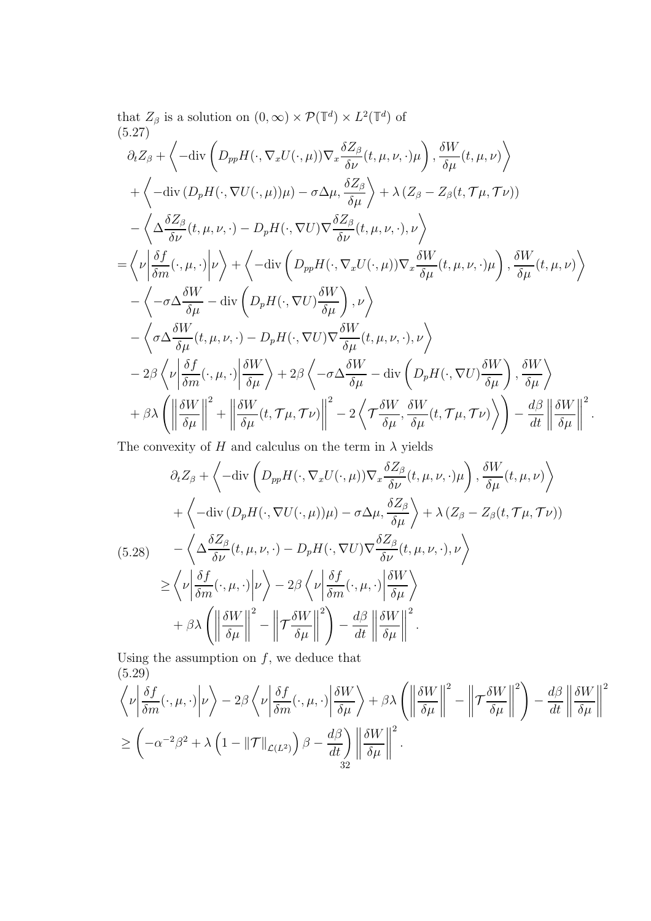that 
$$
Z_{\beta}
$$
 is a solution on  $(0, \infty) \times \mathcal{P}(\mathbb{T}^{d}) \times L^{2}(\mathbb{T}^{d})$  of  
\n $(5.27)$   
\n $\partial_{t}Z_{\beta} + \left\langle -\text{div}\left(D_{pp}H(\cdot, \nabla_{x}U(\cdot, \mu))\nabla_{x}\frac{\delta Z_{\beta}}{\delta\nu}(t, \mu, \nu, \cdot)\mu\right), \frac{\delta W}{\delta\mu}(t, \mu, \nu)\right\rangle$   
\n $+ \left\langle -\text{div}(D_{p}H(\cdot, \nabla U(\cdot, \mu))\mu) - \sigma \Delta \mu, \frac{\delta Z_{\beta}}{\delta\mu}\right\rangle + \lambda (Z_{\beta} - Z_{\beta}(t, \mathcal{T}\mu, \mathcal{T}\nu))$   
\n $- \left\langle \Delta \frac{\delta Z_{\beta}}{\delta\nu}(t, \mu, \nu, \cdot) - D_{p}H(\cdot, \nabla U)\nabla \frac{\delta Z_{\beta}}{\delta\nu}(t, \mu, \nu, \cdot), \nu \right\rangle$   
\n $= \left\langle \nu \left| \frac{\delta f}{\delta m}(\cdot, \mu, \cdot) \right| \nu \right\rangle + \left\langle -\text{div}\left(D_{pp}H(\cdot, \nabla_{x}U(\cdot, \mu))\nabla_{x}\frac{\delta W}{\delta\mu}(t, \mu, \nu, \cdot)\mu\right), \frac{\delta W}{\delta\mu}(t, \mu, \nu) \right\rangle$   
\n $- \left\langle -\sigma \Delta \frac{\delta W}{\delta\mu} - \text{div}\left(D_{p}H(\cdot, \nabla U)\frac{\delta W}{\delta\mu}\right), \nu \right\rangle$   
\n $- \left\langle \sigma \Delta \frac{\delta W}{\delta\mu}(t, \mu, \nu, \cdot) - D_{p}H(\cdot, \nabla U)\nabla \frac{\delta W}{\delta\mu}(t, \mu, \nu, \cdot), \nu \right\rangle$   
\n $- 2\beta \left\langle \nu \left| \frac{\delta f}{\delta m}(\cdot, \mu, \cdot) \right| \frac{\delta W}{\delta \mu} \right\rangle + 2\beta \left\langle -\sigma \Delta \frac{\delta W}{\delta\mu} - \text{div}\left(D_{p}H(\cdot, \nabla U)\frac{\delta W}{\delta\mu}\$ 

The convexity of  $H$  and calculus on the term in  $\lambda$  yields

<span id="page-31-0"></span>
$$
\partial_t Z_{\beta} + \left\langle -\text{div}\left(D_{pp}H(\cdot,\nabla_x U(\cdot,\mu))\nabla_x \frac{\delta Z_{\beta}}{\delta \nu}(t,\mu,\nu,\cdot)\mu\right), \frac{\delta W}{\delta \mu}(t,\mu,\nu)\right\rangle + \left\langle -\text{div}\left(D_pH(\cdot,\nabla U(\cdot,\mu))\mu\right) - \sigma \Delta \mu, \frac{\delta Z_{\beta}}{\delta \mu}\right\rangle + \lambda \left(Z_{\beta} - Z_{\beta}(t,\mathcal{T}\mu,\mathcal{T}\nu)\right) (5.28) \qquad - \left\langle \Delta \frac{\delta Z_{\beta}}{\delta \nu}(t,\mu,\nu,\cdot) - D_pH(\cdot,\nabla U)\nabla \frac{\delta Z_{\beta}}{\delta \nu}(t,\mu,\nu,\cdot),\nu \right\rangle \geq \left\langle \nu \left| \frac{\delta f}{\delta m}(\cdot,\mu,\cdot) \right| \nu \right\rangle - 2\beta \left\langle \nu \left| \frac{\delta f}{\delta m}(\cdot,\mu,\cdot) \right| \frac{\delta W}{\delta \mu}\right\rangle + \beta \lambda \left( \left\| \frac{\delta W}{\delta \mu} \right\|^2 - \left\| \mathcal{T} \frac{\delta W}{\delta \mu} \right\|^2 \right) - \frac{d\beta}{dt} \left\| \frac{\delta W}{\delta \mu} \right\|^2.
$$

Using the assumption on  $f$ , we deduce that (5.29)

$$
\left\langle \nu \left| \frac{\delta f}{\delta m}(\cdot, \mu, \cdot) \right| \nu \right\rangle - 2\beta \left\langle \nu \left| \frac{\delta f}{\delta m}(\cdot, \mu, \cdot) \right| \frac{\delta W}{\delta \mu} \right\rangle + \beta \lambda \left( \left\| \frac{\delta W}{\delta \mu} \right\|^2 - \left\| \mathcal{T} \frac{\delta W}{\delta \mu} \right\|^2 \right) - \frac{d\beta}{dt} \left\| \frac{\delta W}{\delta \mu} \right\|^2
$$
  

$$
\geq \left( -\alpha^{-2} \beta^2 + \lambda \left( 1 - \|\mathcal{T}\|_{\mathcal{L}(L^2)} \right) \beta - \frac{d\beta}{dt} \right) \left\| \frac{\delta W}{\delta \mu} \right\|^2.
$$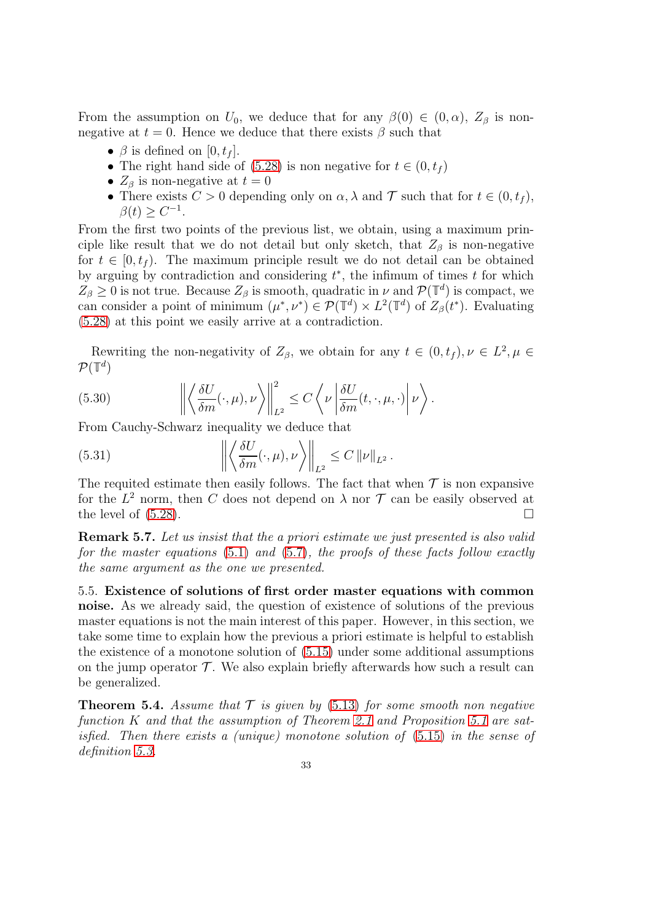From the assumption on  $U_0$ , we deduce that for any  $\beta(0) \in (0, \alpha)$ ,  $Z_\beta$  is nonnegative at  $t = 0$ . Hence we deduce that there exists  $\beta$  such that

- $\beta$  is defined on [0,  $t_f$ ].
- The right hand side of [\(5.28\)](#page-31-0) is non negative for  $t \in (0, t_f)$
- $Z_{\beta}$  is non-negative at  $t = 0$
- There exists  $C > 0$  depending only on  $\alpha, \lambda$  and  $\mathcal T$  such that for  $t \in (0, t_f)$ ,  $\beta(t) \geq C^{-1}.$

From the first two points of the previous list, we obtain, using a maximum principle like result that we do not detail but only sketch, that  $Z_{\beta}$  is non-negative for  $t \in [0, t_f)$ . The maximum principle result we do not detail can be obtained by arguing by contradiction and considering  $t^*$ , the infimum of times  $t$  for which  $Z_{\beta} \geq 0$  is not true. Because  $Z_{\beta}$  is smooth, quadratic in  $\nu$  and  $\mathcal{P}(\mathbb{T}^d)$  is compact, we can consider a point of minimum  $(\mu^*, \nu^*) \in \mathcal{P}(\mathbb{T}^d) \times L^2(\mathbb{T}^d)$  of  $Z_\beta(t^*)$ . Evaluating [\(5.28\)](#page-31-0) at this point we easily arrive at a contradiction.

Rewriting the non-negativity of  $Z_{\beta}$ , we obtain for any  $t \in (0, t_f), \nu \in L^2, \mu \in$  $\mathcal{P}(\mathbb{T}^d)$ 

(5.30) 
$$
\left\| \left\langle \frac{\delta U}{\delta m}(\cdot,\mu),\nu \right\rangle \right\|_{L^2}^2 \leq C \left\langle \nu \left| \frac{\delta U}{\delta m}(t,\cdot,\mu,\cdot) \right| \nu \right\rangle.
$$

From Cauchy-Schwarz inequality we deduce that

(5.31) 
$$
\left\| \left\langle \frac{\delta U}{\delta m}(\cdot, \mu), \nu \right\rangle \right\|_{L^2} \leq C \left\| \nu \right\|_{L^2}.
$$

The requited estimate then easily follows. The fact that when  $\mathcal T$  is non expansive for the  $L^2$  norm, then C does not depend on  $\lambda$  nor T can be easily observed at the level of  $(5.28)$ .

Remark 5.7. Let us insist that the a priori estimate we just presented is also valid for the master equations  $(5.1)$  and  $(5.7)$ , the proofs of these facts follow exactly the same argument as the one we presented.

<span id="page-32-0"></span>5.5. Existence of solutions of first order master equations with common noise. As we already said, the question of existence of solutions of the previous master equations is not the main interest of this paper. However, in this section, we take some time to explain how the previous a priori estimate is helpful to establish the existence of a monotone solution of [\(5.15\)](#page-28-0) under some additional assumptions on the jump operator  $\mathcal T$ . We also explain briefly afterwards how such a result can be generalized.

<span id="page-32-1"></span>**Theorem 5.4.** Assume that  $\mathcal T$  is given by [\(5.13\)](#page-27-1) for some smooth non negative function K and that the assumption of Theorem [2.1](#page-9-2) and Proposition [5.1](#page-30-0) are satisfied. Then there exists a (unique) monotone solution of [\(5.15\)](#page-28-0) in the sense of definition [5.3.](#page-28-1)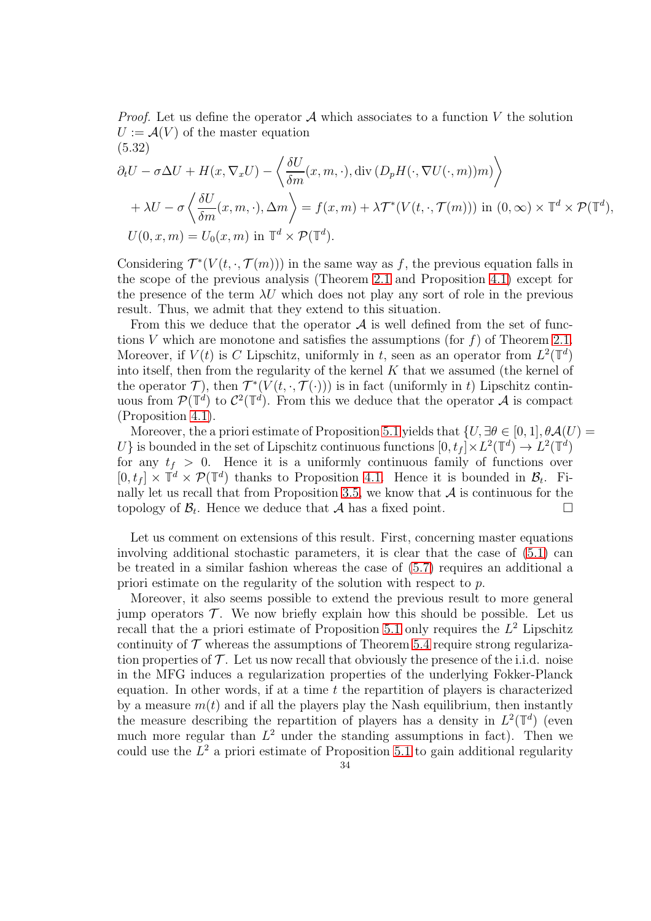*Proof.* Let us define the operator  $A$  which associates to a function V the solution  $U := \mathcal{A}(V)$  of the master equation (5.32)

$$
\partial_t U - \sigma \Delta U + H(x, \nabla_x U) - \left\langle \frac{\delta U}{\delta m}(x, m, \cdot), \operatorname{div} (D_p H(\cdot, \nabla U(\cdot, m))m) \right\rangle + \lambda U - \sigma \left\langle \frac{\delta U}{\delta m}(x, m, \cdot), \Delta m \right\rangle = f(x, m) + \lambda \mathcal{T}^*(V(t, \cdot, \mathcal{T}(m))) \text{ in } (0, \infty) \times \mathbb{T}^d \times \mathcal{P}(\mathbb{T}^d),
$$
  

$$
U(0, x, m) = U_0(x, m) \text{ in } \mathbb{T}^d \times \mathcal{P}(\mathbb{T}^d).
$$

Considering  $\mathcal{T}^*(V(t,\cdot,\mathcal{T}(m)))$  in the same way as f, the previous equation falls in the scope of the previous analysis (Theorem [2.1](#page-9-2) and Proposition [4.1\)](#page-22-0) except for the presence of the term  $\lambda U$  which does not play any sort of role in the previous result. Thus, we admit that they extend to this situation.

From this we deduce that the operator  $A$  is well defined from the set of functions V which are monotone and satisfies the assumptions (for  $f$ ) of Theorem [2.1.](#page-9-2) Moreover, if  $V(t)$  is C Lipschitz, uniformly in t, seen as an operator from  $L^2(\mathbb{T}^d)$ into itself, then from the regularity of the kernel K that we assumed (the kernel of the operator  $\mathcal{T}$ ), then  $\mathcal{T}^*(V(t,\cdot,\mathcal{T}(\cdot)))$  is in fact (uniformly in t) Lipschitz continuous from  $\mathcal{P}(\mathbb{T}^d)$  to  $\mathcal{C}^2(\mathbb{T}^d)$ . From this we deduce that the operator A is compact (Proposition [4.1\)](#page-22-0).

Moreover, the a priori estimate of Proposition [5.1](#page-30-0) yields that  $\{U, \exists \theta \in [0, 1], \theta \mathcal{A}(U) =$ U is bounded in the set of Lipschitz continuous functions  $[0, t_f] \times L^2(\mathbb{T}^d) \to L^2(\mathbb{T}^d)$ for any  $t_f > 0$ . Hence it is a uniformly continuous family of functions over  $[0, t_f] \times \mathbb{T}^d \times \mathcal{P}(\mathbb{T}^d)$  thanks to Proposition [4.1.](#page-20-1) Hence it is bounded in  $\mathcal{B}_t$ . Fi-nally let us recall that from Proposition [3.5,](#page-19-1) we know that  $\mathcal A$  is continuous for the topology of  $\mathcal B_t$ . Hence we deduce that  $\mathcal A$  has a fixed point. topology of  $\mathcal{B}_t$ . Hence we deduce that  $\mathcal{A}$  has a fixed point.

Let us comment on extensions of this result. First, concerning master equations involving additional stochastic parameters, it is clear that the case of [\(5.1\)](#page-24-1) can be treated in a similar fashion whereas the case of [\(5.7\)](#page-26-0) requires an additional a priori estimate on the regularity of the solution with respect to p.

Moreover, it also seems possible to extend the previous result to more general jump operators  $\mathcal T$ . We now briefly explain how this should be possible. Let us recall that the a priori estimate of Proposition [5.1](#page-30-0) only requires the  $L^2$  Lipschitz continuity of  $\mathcal T$  whereas the assumptions of Theorem [5.4](#page-32-1) require strong regularization properties of  $\mathcal T$ . Let us now recall that obviously the presence of the i.i.d. noise in the MFG induces a regularization properties of the underlying Fokker-Planck equation. In other words, if at a time  $t$  the repartition of players is characterized by a measure  $m(t)$  and if all the players play the Nash equilibrium, then instantly the measure describing the repartition of players has a density in  $L^2(\mathbb{T}^d)$  (even much more regular than  $L^2$  under the standing assumptions in fact). Then we could use the  $L^2$  a priori estimate of Proposition [5.1](#page-30-0) to gain additional regularity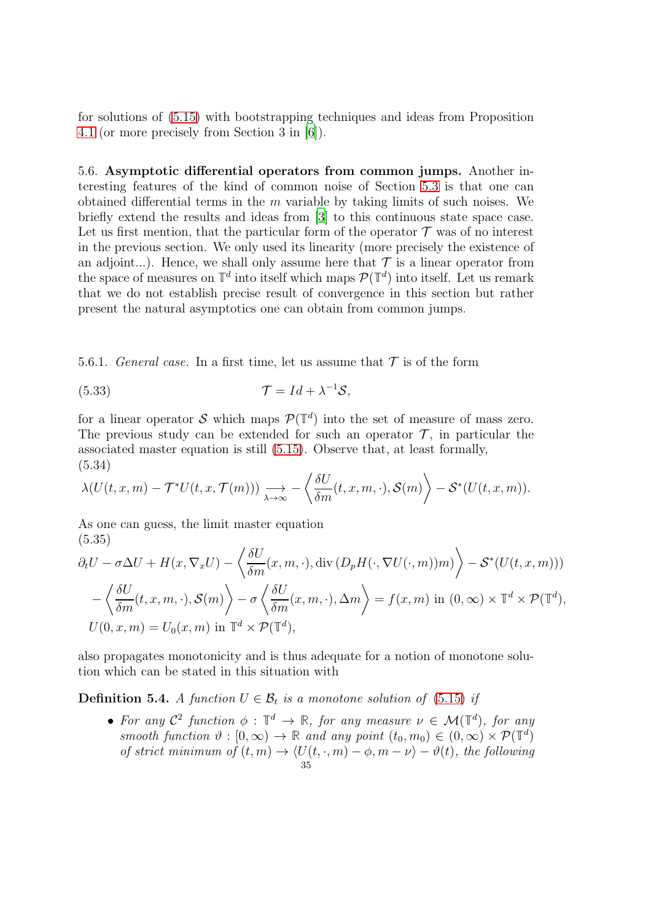for solutions of [\(5.15\)](#page-28-0) with bootstrapping techniques and ideas from Proposition [4.1](#page-20-1) (or more precisely from Section 3 in [\[6](#page-41-2)]).

<span id="page-34-0"></span>5.6. Asymptotic differential operators from common jumps. Another interesting features of the kind of common noise of Section [5.3](#page-27-0) is that one can obtained differential terms in the  $m$  variable by taking limits of such noises. We briefly extend the results and ideas from [\[3\]](#page-41-4) to this continuous state space case. Let us first mention, that the particular form of the operator  $\mathcal T$  was of no interest in the previous section. We only used its linearity (more precisely the existence of an adjoint...). Hence, we shall only assume here that  $\mathcal T$  is a linear operator from the space of measures on  $\mathbb{T}^d$  into itself which maps  $\mathcal{P}(\mathbb{T}^d)$  into itself. Let us remark that we do not establish precise result of convergence in this section but rather present the natural asymptotics one can obtain from common jumps.

5.6.1. General case. In a first time, let us assume that  $\mathcal T$  is of the form

(5.33) 
$$
\mathcal{T} = Id + \lambda^{-1} \mathcal{S},
$$

for a linear operator S which maps  $\mathcal{P}(\mathbb{T}^d)$  into the set of measure of mass zero. The previous study can be extended for such an operator  $\mathcal{T}$ , in particular the associated master equation is still [\(5.15\)](#page-28-0). Observe that, at least formally, (5.34)

$$
\lambda(U(t,x,m)-\mathcal{T}^*U(t,x,\mathcal{T}(m)))\underset{\lambda\to\infty}{\longrightarrow}-\left\langle\frac{\delta U}{\delta m}(t,x,m,\cdot),\mathcal{S}(m)\right\rangle-\mathcal{S}^*(U(t,x,m)).
$$

As one can guess, the limit master equation (5.35)

$$
\partial_t U - \sigma \Delta U + H(x, \nabla_x U) - \left\langle \frac{\delta U}{\delta m}(x, m, \cdot), \operatorname{div} \left( D_p H(\cdot, \nabla U(\cdot, m)) m \right) \right\rangle - \mathcal{S}^*(U(t, x, m)))
$$

$$
- \left\langle \frac{\delta U}{\delta m}(t, x, m, \cdot), \mathcal{S}(m) \right\rangle - \sigma \left\langle \frac{\delta U}{\delta m}(x, m, \cdot), \Delta m \right\rangle = f(x, m) \text{ in } (0, \infty) \times \mathbb{T}^d \times \mathcal{P}(\mathbb{T}^d),
$$

$$
U(0, x, m) = U_0(x, m) \text{ in } \mathbb{T}^d \times \mathcal{P}(\mathbb{T}^d),
$$

also propagates monotonicity and is thus adequate for a notion of monotone solution which can be stated in this situation with

**Definition 5.4.** A function  $U \in \mathcal{B}_t$  is a monotone solution of [\(5.15\)](#page-28-0) if

• For any  $\mathcal{C}^2$  function  $\phi : \mathbb{T}^d \to \mathbb{R}$ , for any measure  $\nu \in \mathcal{M}(\mathbb{T}^d)$ , for any  $smooth\ function\ \vartheta:[0,\infty)\rightarrow\mathbb{R}\ and\ any\ point\ (t_0,m_0)\in(0,\infty)\times\mathcal{P}(\mathbb{T}^d)$ of strict minimum of  $(t, m) \rightarrow \langle U(t, \cdot, m) - \phi, m - \nu \rangle - \vartheta(t)$ , the following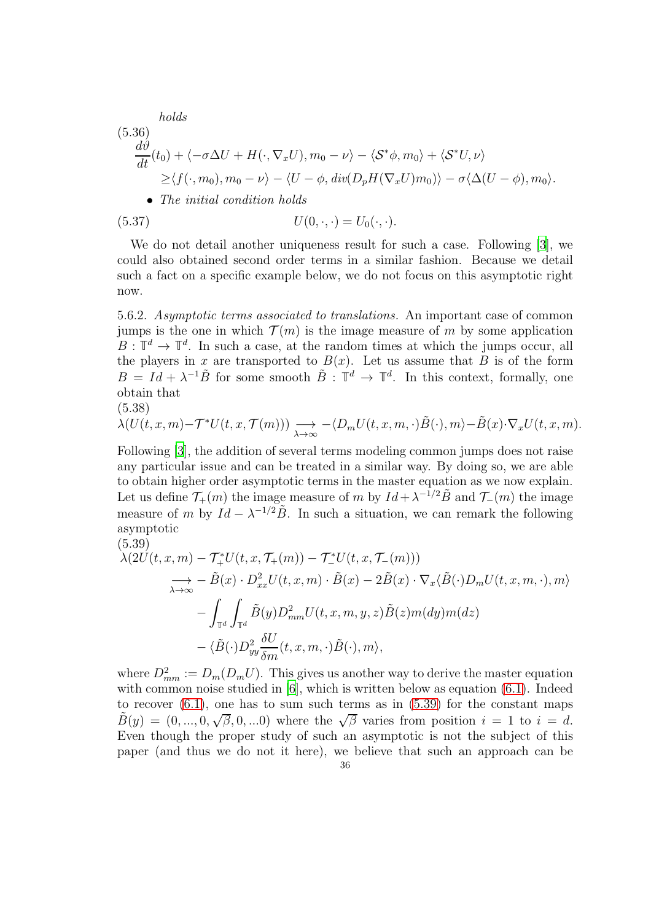*holds*  
\n(5.36)  
\n
$$
\frac{d\vartheta}{dt}(t_0) + \langle -\sigma \Delta U + H(\cdot, \nabla_x U), m_0 - \nu \rangle - \langle S^* \phi, m_0 \rangle + \langle S^* U, \nu \rangle
$$
\n
$$
\geq \langle f(\cdot, m_0), m_0 - \nu \rangle - \langle U - \phi, \operatorname{div}(D_p H(\nabla_x U) m_0) \rangle - \sigma \langle \Delta (U - \phi), m_0 \rangle.
$$
\n• *The initial condition holds*  
\n(5.37)  
\n
$$
U(0, \cdot, \cdot) = U_0(\cdot, \cdot).
$$

We do not detail another uniqueness result for such a case. Following [\[3](#page-41-4)], we could also obtained second order terms in a similar fashion. Because we detail such a fact on a specific example below, we do not focus on this asymptotic right now.

<span id="page-35-1"></span>5.6.2. Asymptotic terms associated to translations. An important case of common jumps is the one in which  $\mathcal{T}(m)$  is the image measure of m by some application  $B : \mathbb{T}^d \to \mathbb{T}^d$ . In such a case, at the random times at which the jumps occur, all the players in x are transported to  $B(x)$ . Let us assume that B is of the form  $B = Id + \lambda^{-1} \tilde{B}$  for some smooth  $\tilde{B} : \mathbb{T}^d \to \mathbb{T}^d$ . In this context, formally, one obtain that

$$
(5.38)
$$

$$
\lambda(U(t,x,m)-\mathcal{T}^*U(t,x,\mathcal{T}(m)))\underset{\lambda\to\infty}{\longrightarrow}-\langle D_mU(t,x,m,\cdot)\tilde{B}(\cdot),m\rangle-\tilde{B}(x)\cdot\nabla_xU(t,x,m).
$$

Following [\[3](#page-41-4)], the addition of several terms modeling common jumps does not raise any particular issue and can be treated in a similar way. By doing so, we are able to obtain higher order asymptotic terms in the master equation as we now explain. Let us define  $\mathcal{T}_+(m)$  the image measure of m by  $Id + \lambda^{-1/2} \tilde{B}$  and  $\mathcal{T}_-(m)$  the image measure of m by  $Id - \lambda^{-1/2} \tilde{B}$ . In such a situation, we can remark the following asymptotic (5.39)

<span id="page-35-0"></span>
$$
\lambda(2U(t, x, m) - \mathcal{T}_{+}^{*}U(t, x, \mathcal{T}_{+}(m)) - \mathcal{T}_{-}^{*}U(t, x, \mathcal{T}_{-}(m)))
$$
  
\n
$$
\rightarrow -\tilde{B}(x) \cdot D_{xx}^{2}U(t, x, m) \cdot \tilde{B}(x) - 2\tilde{B}(x) \cdot \nabla_{x}\langle \tilde{B}(\cdot)D_{m}U(t, x, m, \cdot), m \rangle
$$
  
\n
$$
- \int_{\mathbb{T}^{d}} \int_{\mathbb{T}^{d}} \tilde{B}(y)D_{mm}^{2}U(t, x, m, y, z) \tilde{B}(z) m(dy) m(dz)
$$
  
\n
$$
- \langle \tilde{B}(\cdot)D_{yy}^{2} \frac{\delta U}{\delta m}(t, x, m, \cdot) \tilde{B}(\cdot), m \rangle,
$$

where  $D_{mm}^2 := D_m(D_m U)$ . This gives us another way to derive the master equation with common noise studied in [\[6](#page-41-2)], which is written below as equation [\(6.1\)](#page-36-1). Indeed to recover  $(6.1)$ , one has to sum such terms as in  $(5.39)$  for the constant maps  $\tilde{B}(y) = (0, ..., 0, \sqrt{\beta}, 0, ...0)$  where the  $\sqrt{\beta}$  varies from position  $i = 1$  to  $i = d$ . Even though the proper study of such an asymptotic is not the subject of this paper (and thus we do not it here), we believe that such an approach can be 36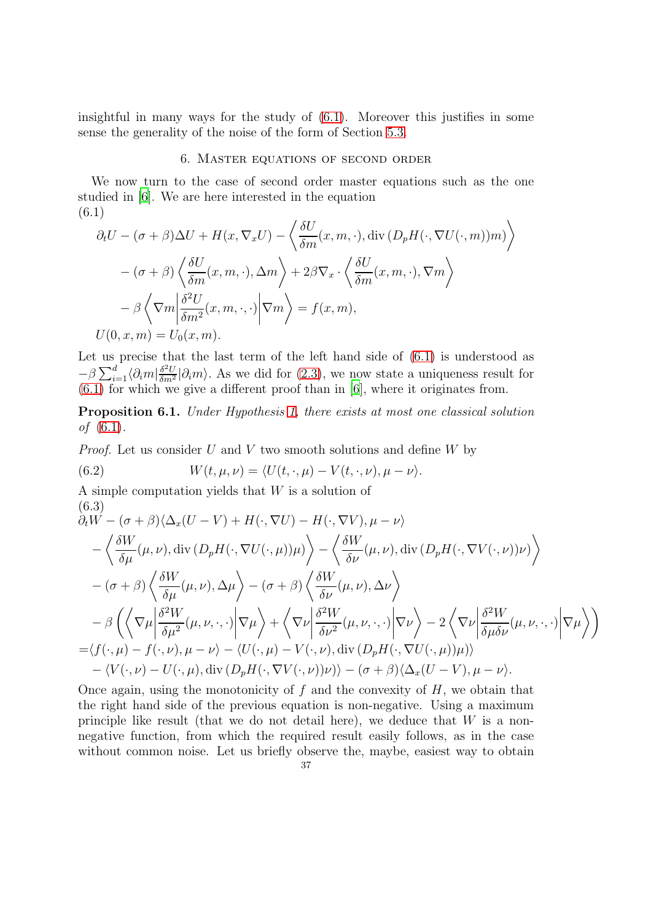<span id="page-36-0"></span>insightful in many ways for the study of [\(6.1\)](#page-36-1). Moreover this justifies in some sense the generality of the noise of the form of Section [5.3.](#page-27-0)

## 6. Master equations of second order

We now turn to the case of second order master equations such as the one studied in [\[6](#page-41-2)]. We are here interested in the equation (6.1)

<span id="page-36-1"></span>
$$
\partial_t U - (\sigma + \beta) \Delta U + H(x, \nabla_x U) - \left\langle \frac{\delta U}{\delta m}(x, m, \cdot), \text{div} \left( D_p H(\cdot, \nabla U(\cdot, m)) m \right) \right\rangle
$$

$$
- (\sigma + \beta) \left\langle \frac{\delta U}{\delta m}(x, m, \cdot), \Delta m \right\rangle + 2\beta \nabla_x \cdot \left\langle \frac{\delta U}{\delta m}(x, m, \cdot), \nabla m \right\rangle
$$

$$
- \beta \left\langle \nabla m \middle| \frac{\delta^2 U}{\delta m^2}(x, m, \cdot, \cdot) \middle| \nabla m \right\rangle = f(x, m),
$$

$$
U(0, x, m) = U_0(x, m).
$$

Let us precise that the last term of the left hand side of  $(6.1)$  is understood as  $-\beta \sum_{i=1}^d \langle \partial_i m | \frac{\delta^2 U}{\delta m^2}$  $\frac{\partial^2 U}{\partial m^2}|\partial_i m\rangle$ . As we did for [\(2.3\)](#page-7-1), we now state a uniqueness result for [\(6.1\)](#page-36-1) for which we give a different proof than in [\[6\]](#page-41-2), where it originates from.

Proposition 6.1. Under Hypothesis [1,](#page-8-2) there exists at most one classical solution *of*  $(6.1)$ .

*Proof.* Let us consider  $U$  and  $V$  two smooth solutions and define  $W$  by

(6.2) 
$$
W(t,\mu,\nu) = \langle U(t,\cdot,\mu) - V(t,\cdot,\nu), \mu - \nu \rangle.
$$

A simple computation yields that W is a solution of (6.3)

$$
\partial_t W - (\sigma + \beta) \langle \Delta_x (U - V) + H(\cdot, \nabla U) - H(\cdot, \nabla V), \mu - \nu \rangle \n- \langle \frac{\delta W}{\delta \mu} (\mu, \nu), \operatorname{div} (D_p H(\cdot, \nabla U(\cdot, \mu)) \mu) \rangle - \langle \frac{\delta W}{\delta \nu} (\mu, \nu), \operatorname{div} (D_p H(\cdot, \nabla V(\cdot, \nu)) \nu) \rangle \n- (\sigma + \beta) \langle \frac{\delta W}{\delta \mu} (\mu, \nu), \Delta \mu \rangle - (\sigma + \beta) \langle \frac{\delta W}{\delta \nu} (\mu, \nu), \Delta \nu \rangle \n- \beta \langle \langle \nabla \mu | \frac{\delta^2 W}{\delta \mu^2} (\mu, \nu, \cdot, \cdot) | \nabla \mu \rangle + \langle \nabla \nu | \frac{\delta^2 W}{\delta \nu^2} (\mu, \nu, \cdot, \cdot) | \nabla \nu \rangle - 2 \langle \nabla \nu | \frac{\delta^2 W}{\delta \mu \delta \nu} (\mu, \nu, \cdot, \cdot) | \nabla \mu \rangle \rangle \n= \langle f(\cdot, \mu) - f(\cdot, \nu), \mu - \nu \rangle - \langle U(\cdot, \mu) - V(\cdot, \nu), \operatorname{div} (D_p H(\cdot, \nabla U(\cdot, \mu)) \mu) \rangle \n- \langle V(\cdot, \nu) - U(\cdot, \mu), \operatorname{div} (D_p H(\cdot, \nabla V(\cdot, \nu)) \nu) \rangle - (\sigma + \beta) \langle \Delta_x (U - V), \mu - \nu \rangle.
$$

Once again, using the monotonicity of  $f$  and the convexity of  $H$ , we obtain that the right hand side of the previous equation is non-negative. Using a maximum principle like result (that we do not detail here), we deduce that  $W$  is a nonnegative function, from which the required result easily follows, as in the case without common noise. Let us briefly observe the, maybe, easiest way to obtain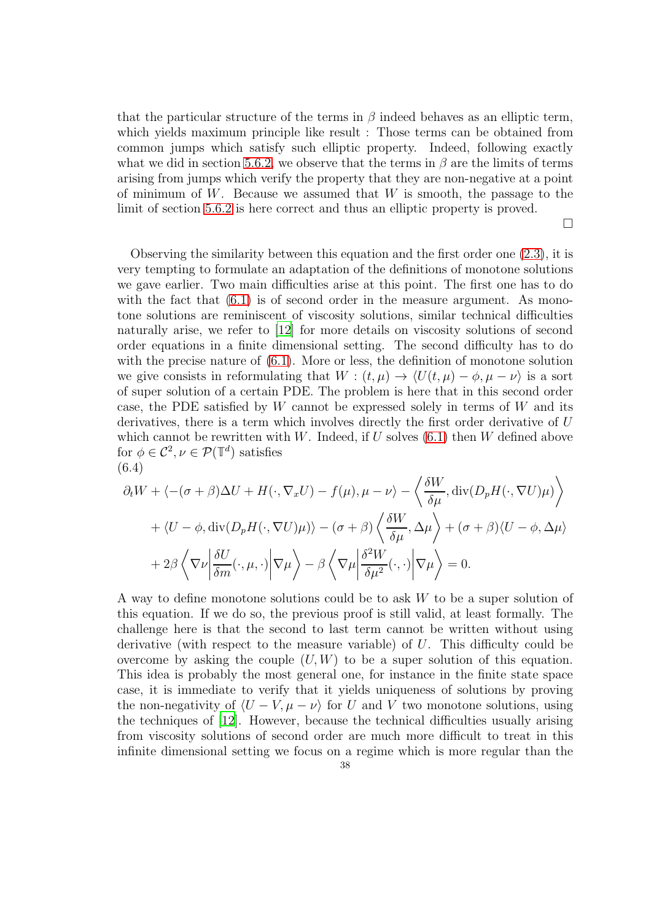that the particular structure of the terms in  $\beta$  indeed behaves as an elliptic term, which yields maximum principle like result : Those terms can be obtained from common jumps which satisfy such elliptic property. Indeed, following exactly what we did in section [5.6.2,](#page-35-1) we observe that the terms in  $\beta$  are the limits of terms arising from jumps which verify the property that they are non-negative at a point of minimum of  $W$ . Because we assumed that  $W$  is smooth, the passage to the limit of section [5.6.2](#page-35-1) is here correct and thus an elliptic property is proved.

 $\Box$ 

Observing the similarity between this equation and the first order one [\(2.3\)](#page-7-1), it is very tempting to formulate an adaptation of the definitions of monotone solutions we gave earlier. Two main difficulties arise at this point. The first one has to do with the fact that  $(6.1)$  is of second order in the measure argument. As monotone solutions are reminiscent of viscosity solutions, similar technical difficulties naturally arise, we refer to [\[12](#page-42-10)] for more details on viscosity solutions of second order equations in a finite dimensional setting. The second difficulty has to do with the precise nature of [\(6.1\)](#page-36-1). More or less, the definition of monotone solution we give consists in reformulating that  $W : (t, \mu) \to \langle U(t, \mu) - \phi, \mu - \nu \rangle$  is a sort of super solution of a certain PDE. The problem is here that in this second order case, the PDE satisfied by W cannot be expressed solely in terms of W and its derivatives, there is a term which involves directly the first order derivative of U which cannot be rewritten with W. Indeed, if  $U$  solves  $(6.1)$  then W defined above for  $\phi \in \mathcal{C}^2$ ,  $\nu \in \mathcal{P}(\mathbb{T}^d)$  satisfies (6.4)

$$
\partial_t W + \langle -(\sigma + \beta) \Delta U + H(\cdot, \nabla_x U) - f(\mu), \mu - \nu \rangle - \langle \frac{\delta W}{\delta \mu}, \text{div}(D_p H(\cdot, \nabla U)\mu) \rangle
$$
  
+ 
$$
\langle U - \phi, \text{div}(D_p H(\cdot, \nabla U)\mu) \rangle - (\sigma + \beta) \langle \frac{\delta W}{\delta \mu}, \Delta \mu \rangle + (\sigma + \beta) \langle U - \phi, \Delta \mu \rangle
$$
  
+ 
$$
2\beta \langle \nabla \nu \left| \frac{\delta U}{\delta m}(\cdot, \mu, \cdot) \right| \nabla \mu \rangle - \beta \langle \nabla \mu \left| \frac{\delta^2 W}{\delta \mu^2}(\cdot, \cdot) \right| \nabla \mu \rangle = 0.
$$

A way to define monotone solutions could be to ask W to be a super solution of this equation. If we do so, the previous proof is still valid, at least formally. The challenge here is that the second to last term cannot be written without using derivative (with respect to the measure variable) of U. This difficulty could be overcome by asking the couple  $(U, W)$  to be a super solution of this equation. This idea is probably the most general one, for instance in the finite state space case, it is immediate to verify that it yields uniqueness of solutions by proving the non-negativity of  $\langle U - V, \mu - \nu \rangle$  for U and V two monotone solutions, using the techniques of [\[12](#page-42-10)]. However, because the technical difficulties usually arising from viscosity solutions of second order are much more difficult to treat in this infinite dimensional setting we focus on a regime which is more regular than the 38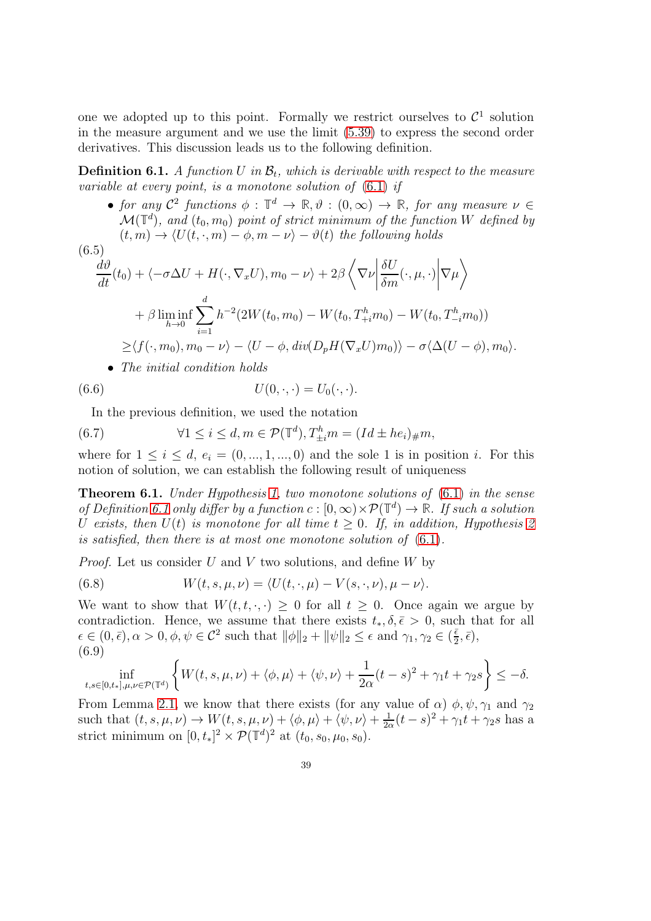one we adopted up to this point. Formally we restrict ourselves to  $\mathcal{C}^1$  solution in the measure argument and we use the limit [\(5.39\)](#page-35-0) to express the second order derivatives. This discussion leads us to the following definition.

<span id="page-38-0"></span>**Definition 6.1.** A function U in  $\mathcal{B}_t$ , which is derivable with respect to the measure variable at every point, is a monotone solution of [\(6.1\)](#page-36-1) if

• for any  $C^2$  functions  $\phi : \mathbb{T}^d \to \mathbb{R}, \vartheta : (0, \infty) \to \mathbb{R}$ , for any measure  $\nu \in \mathbb{R}$  $\mathcal{M}(\mathbb{T}^d)$ , and  $(t_0, m_0)$  point of strict minimum of the function W defined by  $(t, m) \rightarrow \langle U(t, \cdot, m) - \phi, m - \nu \rangle - \vartheta(t)$  the following holds

(6.5)  
\n
$$
\frac{d\vartheta}{dt}(t_0) + \langle -\sigma \Delta U + H(\cdot, \nabla_x U), m_0 - \nu \rangle + 2\beta \langle \nabla \nu \left| \frac{\delta U}{\delta m}(\cdot, \mu, \cdot) \right| \nabla \mu \rangle
$$
\n
$$
+ \beta \liminf_{h \to 0} \sum_{i=1}^d h^{-2} (2W(t_0, m_0) - W(t_0, T_{+i}^h m_0) - W(t_0, T_{-i}^h m_0))
$$
\n
$$
\geq \langle f(\cdot, m_0), m_0 - \nu \rangle - \langle U - \phi, \operatorname{div}(D_p H(\nabla_x U) m_0) \rangle - \sigma \langle \Delta (U - \phi), m_0 \rangle.
$$
\n• The initial condition holds

(6.6) 
$$
U(0,\cdot,\cdot)=U_0(\cdot,\cdot).
$$

In the previous definition, we used the notation

(6.7) 
$$
\forall 1 \leq i \leq d, m \in \mathcal{P}(\mathbb{T}^d), T^h_{\pm i}m = (Id \pm he_i)_{\#}m,
$$

where for  $1 \leq i \leq d$ ,  $e_i = (0, ..., 1, ..., 0)$  and the sole 1 is in position *i*. For this notion of solution, we can establish the following result of uniqueness

**Theorem 6.1.** Under Hypothesis [1,](#page-8-2) two monotone solutions of  $(6.1)$  in the sense of Definition [6.1](#page-38-0) only differ by a function  $c : [0, \infty) \times \mathcal{P}(\mathbb{T}^d) \to \mathbb{R}$ . If such a solution U exists, then  $U(t)$  is monotone for all time  $t \geq 0$ . If, in addition, Hypothesis [2](#page-13-1) is satisfied, then there is at most one monotone solution of [\(6.1\)](#page-36-1).

*Proof.* Let us consider U and V two solutions, and define  $W$  by

(6.8) 
$$
W(t,s,\mu,\nu) = \langle U(t,\cdot,\mu) - V(s,\cdot,\nu), \mu - \nu \rangle.
$$

We want to show that  $W(t, t, \cdot, \cdot) \geq 0$  for all  $t \geq 0$ . Once again we argue by contradiction. Hence, we assume that there exists  $t_*, \delta, \bar{\epsilon} > 0$ , such that for all  $\epsilon \in (0, \bar{\epsilon}), \alpha > 0, \phi, \psi \in \mathcal{C}^2$  such that  $\|\phi\|_2 + \|\psi\|_2 \leq \epsilon$  and  $\gamma_1, \gamma_2 \in (\frac{\bar{\epsilon}}{2})$  $\frac{\bar{\epsilon}}{2}, \bar{\epsilon}),$ (6.9)

$$
\inf_{t,s\in[0,t_*],\mu,\nu\in\mathcal{P}(\mathbb{T}^d)}\left\{W(t,s,\mu,\nu)+\langle\phi,\mu\rangle+\langle\psi,\nu\rangle+\frac{1}{2\alpha}(t-s)^2+\gamma_1t+\gamma_2s\right\}\leq-\delta.
$$

From Lemma [2.1,](#page-11-1) we know that there exists (for any value of  $\alpha$ )  $\phi$ ,  $\psi$ ,  $\gamma_1$  and  $\gamma_2$ such that  $(t, s, \mu, \nu) \rightarrow W(t, s, \mu, \nu) + \langle \phi, \mu \rangle + \langle \psi, \nu \rangle + \frac{1}{2c}$  $\frac{1}{2\alpha}(t-s)^2 + \gamma_1 t + \gamma_2 s$  has a strict minimum on  $[0, t_*]^2 \times \mathcal{P}(\mathbb{T}^d)^2$  at  $(t_0, s_0, \mu_0, s_0)$ .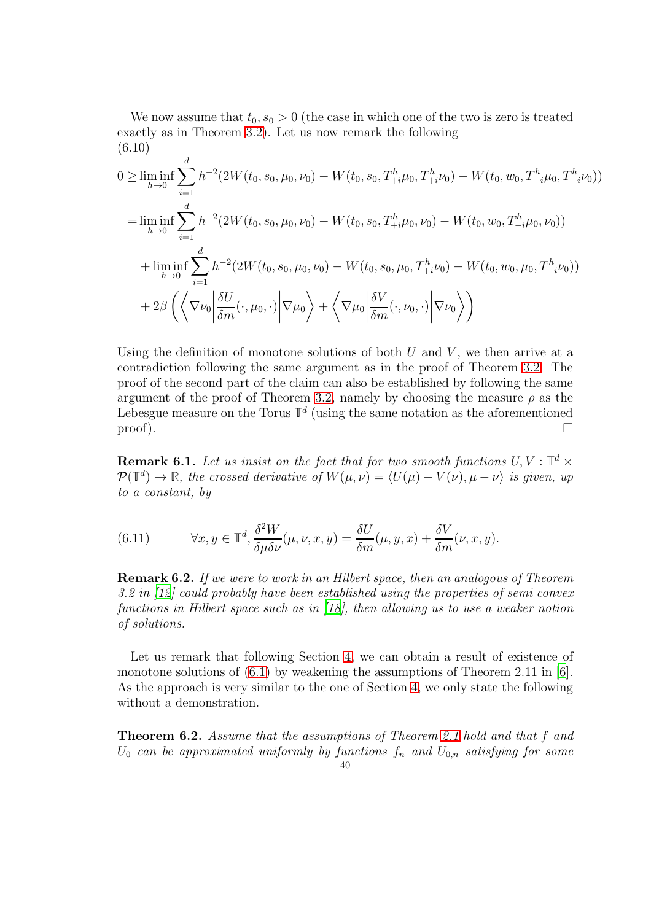We now assume that  $t_0, s_0 > 0$  (the case in which one of the two is zero is treated exactly as in Theorem [3.2\)](#page-17-1). Let us now remark the following (6.10)

$$
0 \geq \liminf_{h \to 0} \sum_{i=1}^{d} h^{-2} (2W(t_0, s_0, \mu_0, \nu_0) - W(t_0, s_0, T_{+i}^h \mu_0, T_{+i}^h \nu_0) - W(t_0, w_0, T_{-i}^h \mu_0, T_{-i}^h \nu_0))
$$
  
\n
$$
= \liminf_{h \to 0} \sum_{i=1}^{d} h^{-2} (2W(t_0, s_0, \mu_0, \nu_0) - W(t_0, s_0, T_{+i}^h \mu_0, \nu_0) - W(t_0, w_0, T_{-i}^h \mu_0, \nu_0))
$$
  
\n
$$
+ \liminf_{h \to 0} \sum_{i=1}^{d} h^{-2} (2W(t_0, s_0, \mu_0, \nu_0) - W(t_0, s_0, \mu_0, T_{+i}^h \nu_0) - W(t_0, w_0, \mu_0, T_{-i}^h \nu_0))
$$
  
\n
$$
+ 2\beta \left( \left\langle \nabla \nu_0 \left| \frac{\delta U}{\delta m}(\cdot, \mu_0, \cdot) \right| \nabla \mu_0 \right\rangle + \left\langle \nabla \mu_0 \left| \frac{\delta V}{\delta m}(\cdot, \nu_0, \cdot) \right| \nabla \nu_0 \right\rangle \right)
$$

Using the definition of monotone solutions of both  $U$  and  $V$ , we then arrive at a contradiction following the same argument as in the proof of Theorem [3.2.](#page-17-1) The proof of the second part of the claim can also be established by following the same argument of the proof of Theorem [3.2,](#page-17-1) namely by choosing the measure  $\rho$  as the Lebesgue measure on the Torus  $\mathbb{T}^d$  (using the same notation as the aforementioned  $\Box$ 

**Remark 6.1.** Let us insist on the fact that for two smooth functions  $U, V : \mathbb{T}^d \times \mathbb{T}^d$  $\mathcal{P}(\mathbb{T}^d) \to \mathbb{R}$ , the crossed derivative of  $W(\mu, \nu) = \langle U(\mu) - V(\nu), \mu - \nu \rangle$  is given, up to a constant, by

(6.11) 
$$
\forall x, y \in \mathbb{T}^d, \frac{\delta^2 W}{\delta \mu \delta \nu}(\mu, \nu, x, y) = \frac{\delta U}{\delta m}(\mu, y, x) + \frac{\delta V}{\delta m}(\nu, x, y).
$$

**Remark 6.2.** If we were to work in an Hilbert space, then an analogous of Theorem 3.2 in [\[12](#page-42-10)] could probably have been established using the properties of semi convex functions in Hilbert space such as in [\[18](#page-42-11)], then allowing us to use a weaker notion of solutions.

Let us remark that following Section [4,](#page-19-0) we can obtain a result of existence of monotone solutions of  $(6.1)$  by weakening the assumptions of Theorem 2.11 in  $[6]$ . As the approach is very similar to the one of Section [4,](#page-19-0) we only state the following without a demonstration.

Theorem 6.2. Assume that the assumptions of Theorem [2.1](#page-9-2) hold and that f and  $U_0$  can be approximated uniformly by functions  $f_n$  and  $U_{0,n}$  satisfying for some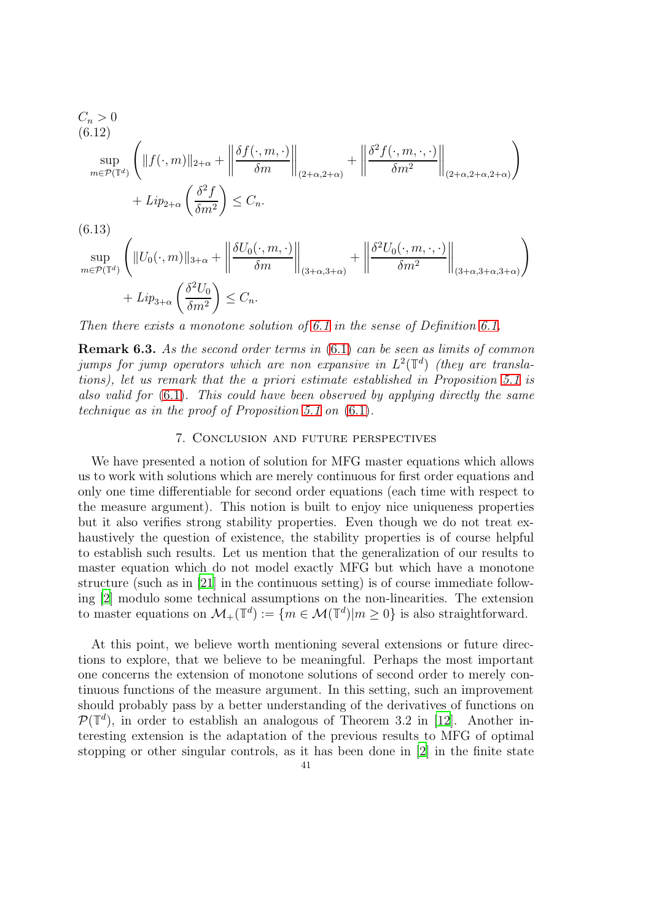$$
C_n > 0
$$
\n(6.12)\n
$$
\sup_{m \in \mathcal{P}(\mathbb{T}^d)} \left( \|f(\cdot, m)\|_{2+\alpha} + \left\|\frac{\delta f(\cdot, m, \cdot)}{\delta m}\right\|_{(2+\alpha, 2+\alpha)} + \left\|\frac{\delta^2 f(\cdot, m, \cdot, \cdot)}{\delta m^2}\right\|_{(2+\alpha, 2+\alpha, 2+\alpha)}\right)
$$
\n
$$
+ Lip_{2+\alpha} \left(\frac{\delta^2 f}{\delta m^2}\right) \leq C_n.
$$
\n(6.13)\n
$$
\sup_{m \in \mathcal{P}(\mathbb{T}^d)} \left( \|U_0(\cdot, m)\|_{3+\alpha} + \left\|\frac{\delta U_0(\cdot, m, \cdot)}{\delta m}\right\|_{(3+\alpha, 3+\alpha)} + \left\|\frac{\delta^2 U_0(\cdot, m, \cdot, \cdot)}{\delta m^2}\right\|_{(3+\alpha, 3+\alpha, 3+\alpha)}\right)
$$
\n
$$
+ Lip_{3+\alpha} \left(\frac{\delta^2 U_0}{\delta m^2}\right) \leq C_n.
$$

Then there exists a monotone solution of [6.1](#page-36-1) in the sense of Definition [6.1.](#page-38-0)

Remark 6.3. As the second order terms in [\(6.1\)](#page-36-1) can be seen as limits of common jumps for jump operators which are non expansive in  $L^2(\mathbb{T}^d)$  (they are translations), let us remark that the a priori estimate established in Proposition [5.1](#page-30-0) is also valid for  $(6.1)$ . This could have been observed by applying directly the same technique as in the proof of Proposition [5.1](#page-30-0) on [\(6.1\)](#page-36-1).

#### 7. Conclusion and future perspectives

<span id="page-40-0"></span>We have presented a notion of solution for MFG master equations which allows us to work with solutions which are merely continuous for first order equations and only one time differentiable for second order equations (each time with respect to the measure argument). This notion is built to enjoy nice uniqueness properties but it also verifies strong stability properties. Even though we do not treat exhaustively the question of existence, the stability properties is of course helpful to establish such results. Let us mention that the generalization of our results to master equation which do not model exactly MFG but which have a monotone structure (such as in [\[21\]](#page-42-12) in the continuous setting) is of course immediate following [\[2](#page-41-1)] modulo some technical assumptions on the non-linearities. The extension to master equations on  $\mathcal{M}_+(\mathbb{T}^d) := \{ m \in \mathcal{M}(\mathbb{T}^d) | m \geq 0 \}$  is also straightforward.

At this point, we believe worth mentioning several extensions or future directions to explore, that we believe to be meaningful. Perhaps the most important one concerns the extension of monotone solutions of second order to merely continuous functions of the measure argument. In this setting, such an improvement should probably pass by a better understanding of the derivatives of functions on  $\mathcal{P}(\mathbb{T}^d)$ , in order to establish an analogous of Theorem 3.2 in [\[12\]](#page-42-10). Another interesting extension is the adaptation of the previous results to MFG of optimal stopping or other singular controls, as it has been done in [\[2](#page-41-1)] in the finite state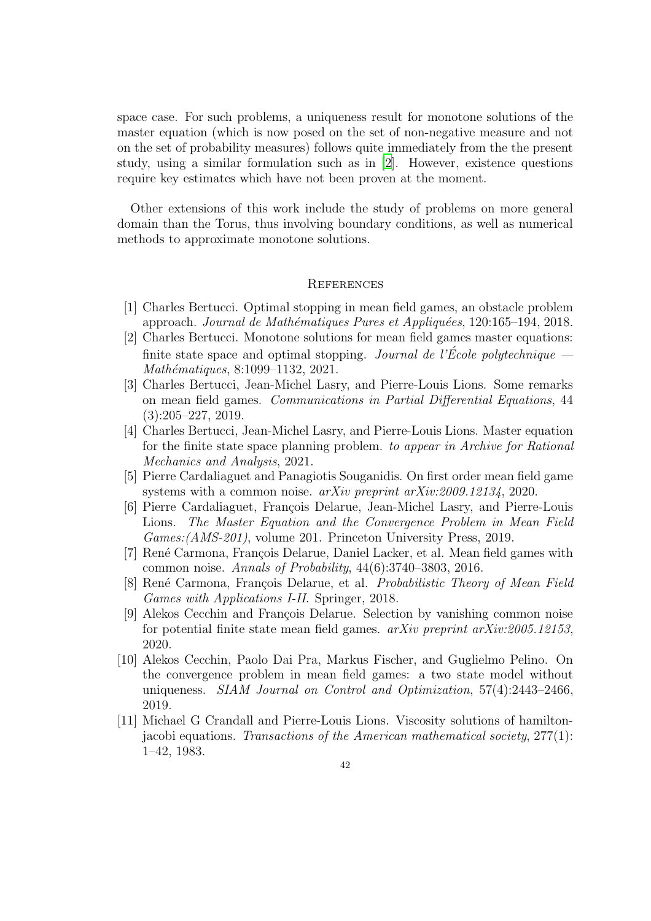space case. For such problems, a uniqueness result for monotone solutions of the master equation (which is now posed on the set of non-negative measure and not on the set of probability measures) follows quite immediately from the the present study, using a similar formulation such as in [\[2\]](#page-41-1). However, existence questions require key estimates which have not been proven at the moment.

Other extensions of this work include the study of problems on more general domain than the Torus, thus involving boundary conditions, as well as numerical methods to approximate monotone solutions.

#### <span id="page-41-0"></span>**REFERENCES**

- <span id="page-41-10"></span>[1] Charles Bertucci. Optimal stopping in mean field games, an obstacle problem approach. Journal de Mathématiques Pures et Appliquées, 120:165–194, 2018.
- <span id="page-41-1"></span>[2] Charles Bertucci. Monotone solutions for mean field games master equations: finite state space and optimal stopping. Journal de l'École polytechnique — Mathématiques, 8:1099-1132, 2021.
- <span id="page-41-4"></span>[3] Charles Bertucci, Jean-Michel Lasry, and Pierre-Louis Lions. Some remarks on mean field games. Communications in Partial Differential Equations, 44 (3):205–227, 2019.
- <span id="page-41-5"></span>[4] Charles Bertucci, Jean-Michel Lasry, and Pierre-Louis Lions. Master equation for the finite state space planning problem. to appear in Archive for Rational Mechanics and Analysis, 2021.
- <span id="page-41-9"></span>[5] Pierre Cardaliaguet and Panagiotis Souganidis. On first order mean field game systems with a common noise. arXiv preprint arXiv:2009.12134, 2020.
- <span id="page-41-2"></span>[6] Pierre Cardaliaguet, François Delarue, Jean-Michel Lasry, and Pierre-Louis Lions. The Master Equation and the Convergence Problem in Mean Field Games:(AMS-201), volume 201. Princeton University Press, 2019.
- <span id="page-41-8"></span>[7] René Carmona, François Delarue, Daniel Lacker, et al. Mean field games with common noise. Annals of Probability, 44(6):3740–3803, 2016.
- <span id="page-41-3"></span>[8] René Carmona, François Delarue, et al. *Probabilistic Theory of Mean Field* Games with Applications I-II. Springer, 2018.
- <span id="page-41-7"></span>[9] Alekos Cecchin and François Delarue. Selection by vanishing common noise for potential finite state mean field games.  $arXiv$  preprint  $arXiv:2005.12153$ , 2020.
- <span id="page-41-6"></span>[10] Alekos Cecchin, Paolo Dai Pra, Markus Fischer, and Guglielmo Pelino. On the convergence problem in mean field games: a two state model without uniqueness. SIAM Journal on Control and Optimization, 57(4):2443–2466, 2019.
- <span id="page-41-11"></span>[11] Michael G Crandall and Pierre-Louis Lions. Viscosity solutions of hamiltonjacobi equations. Transactions of the American mathematical society,  $277(1)$ : 1–42, 1983.